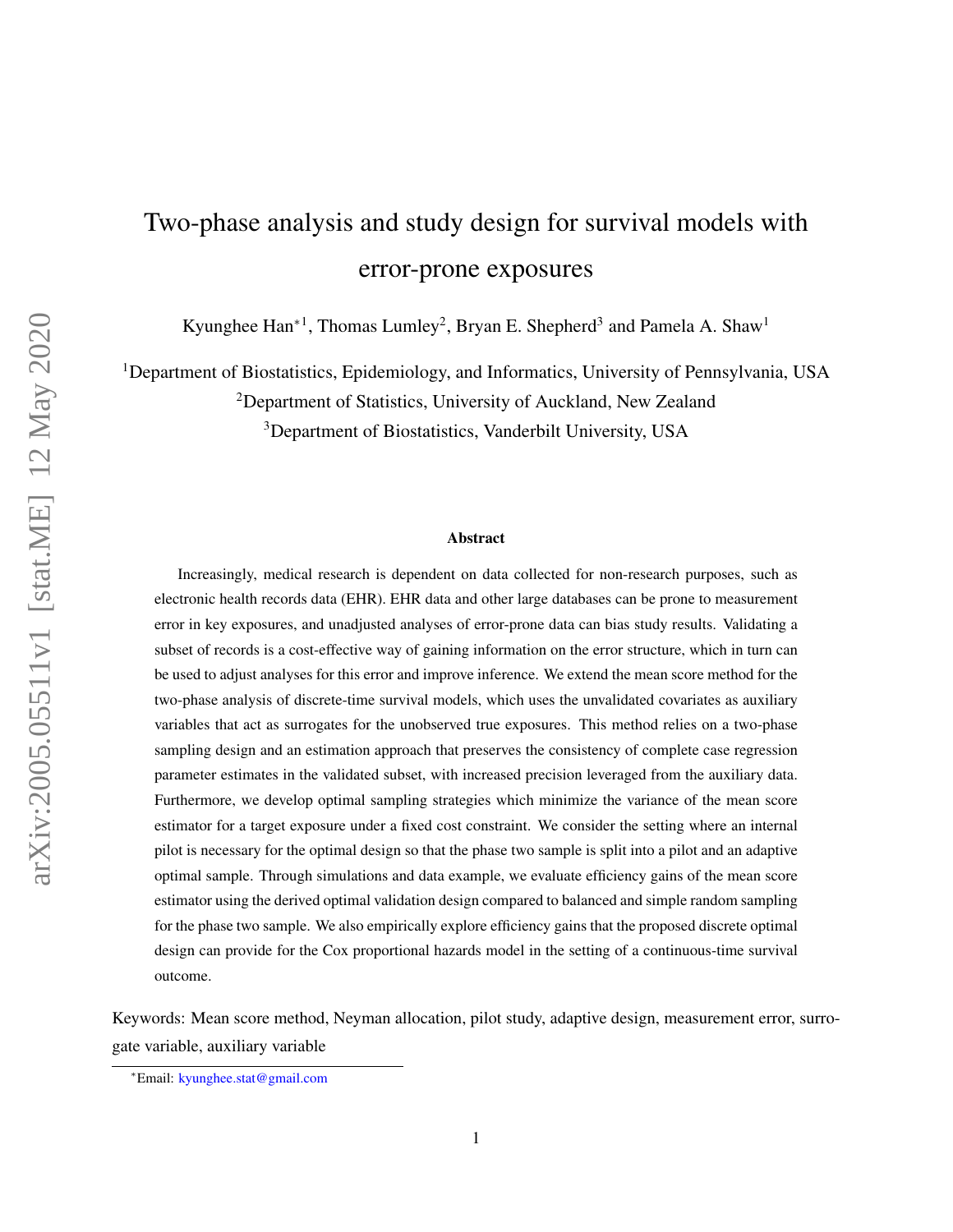# Two-phase analysis and study design for survival models with error-prone exposures

Kyunghee  $\text{Han}^{*1}$ , Thomas Lumley<sup>2</sup>, Bryan E. Shepherd<sup>3</sup> and Pamela A. Shaw<sup>1</sup>

<sup>1</sup>Department of Biostatistics, Epidemiology, and Informatics, University of Pennsylvania, USA

<sup>2</sup>Department of Statistics, University of Auckland, New Zealand

<sup>3</sup>Department of Biostatistics, Vanderbilt University, USA

#### Abstract

Increasingly, medical research is dependent on data collected for non-research purposes, such as electronic health records data (EHR). EHR data and other large databases can be prone to measurement error in key exposures, and unadjusted analyses of error-prone data can bias study results. Validating a subset of records is a cost-effective way of gaining information on the error structure, which in turn can be used to adjust analyses for this error and improve inference. We extend the mean score method for the two-phase analysis of discrete-time survival models, which uses the unvalidated covariates as auxiliary variables that act as surrogates for the unobserved true exposures. This method relies on a two-phase sampling design and an estimation approach that preserves the consistency of complete case regression parameter estimates in the validated subset, with increased precision leveraged from the auxiliary data. Furthermore, we develop optimal sampling strategies which minimize the variance of the mean score estimator for a target exposure under a fixed cost constraint. We consider the setting where an internal pilot is necessary for the optimal design so that the phase two sample is split into a pilot and an adaptive optimal sample. Through simulations and data example, we evaluate efficiency gains of the mean score estimator using the derived optimal validation design compared to balanced and simple random sampling for the phase two sample. We also empirically explore efficiency gains that the proposed discrete optimal design can provide for the Cox proportional hazards model in the setting of a continuous-time survival outcome.

Keywords: Mean score method, Neyman allocation, pilot study, adaptive design, measurement error, surrogate variable, auxiliary variable

<sup>∗</sup>Email: [kyunghee.stat@gmail.com](mailto:Kyunghee)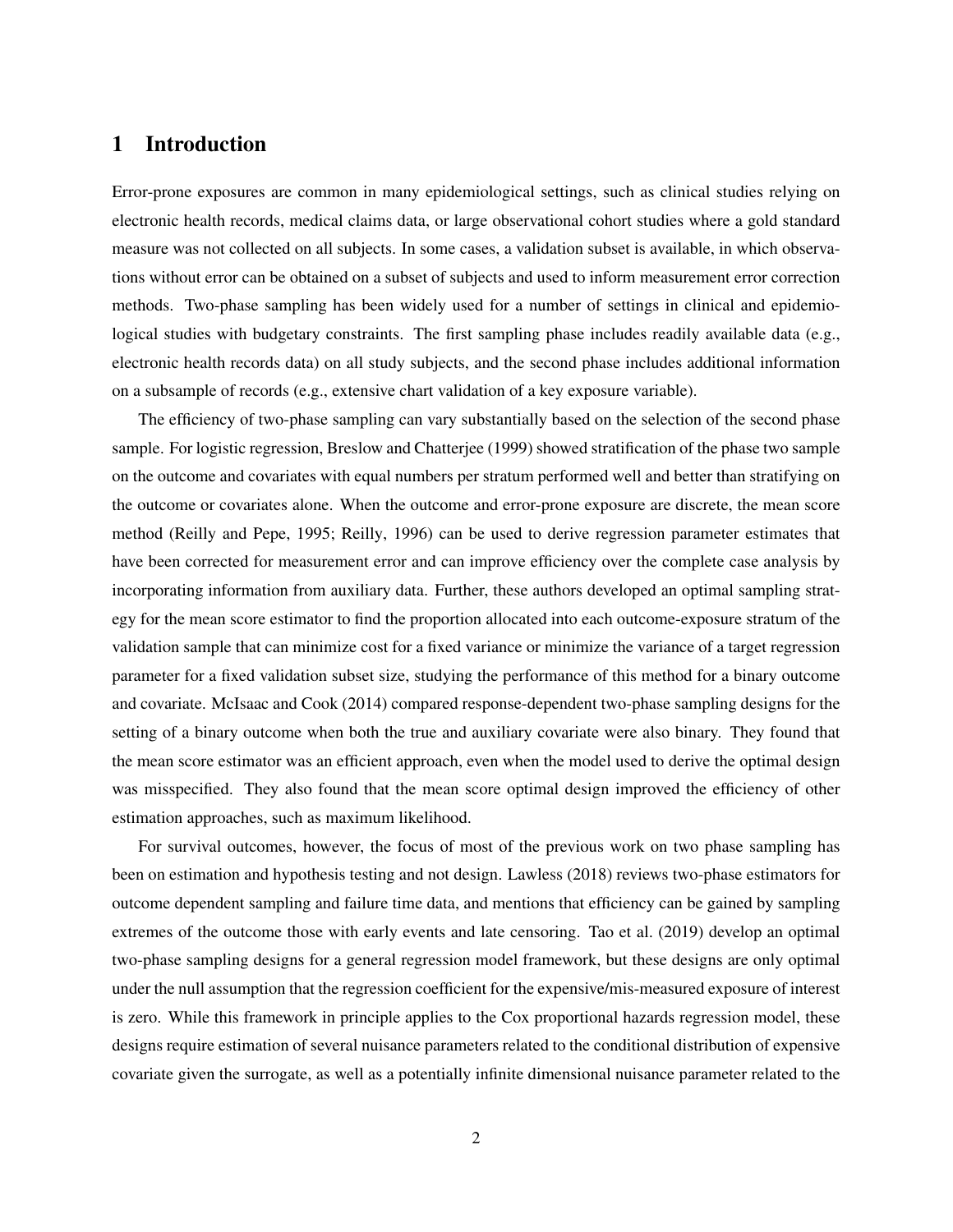## 1 Introduction

Error-prone exposures are common in many epidemiological settings, such as clinical studies relying on electronic health records, medical claims data, or large observational cohort studies where a gold standard measure was not collected on all subjects. In some cases, a validation subset is available, in which observations without error can be obtained on a subset of subjects and used to inform measurement error correction methods. Two-phase sampling has been widely used for a number of settings in clinical and epidemiological studies with budgetary constraints. The first sampling phase includes readily available data (e.g., electronic health records data) on all study subjects, and the second phase includes additional information on a subsample of records (e.g., extensive chart validation of a key exposure variable).

The efficiency of two-phase sampling can vary substantially based on the selection of the second phase sample. For logistic regression, [Breslow and Chatterjee](#page-20-0) [\(1999\)](#page-20-0) showed stratification of the phase two sample on the outcome and covariates with equal numbers per stratum performed well and better than stratifying on the outcome or covariates alone. When the outcome and error-prone exposure are discrete, the mean score method [\(Reilly and Pepe,](#page-21-0) [1995;](#page-21-0) [Reilly,](#page-21-1) [1996\)](#page-21-1) can be used to derive regression parameter estimates that have been corrected for measurement error and can improve efficiency over the complete case analysis by incorporating information from auxiliary data. Further, these authors developed an optimal sampling strategy for the mean score estimator to find the proportion allocated into each outcome-exposure stratum of the validation sample that can minimize cost for a fixed variance or minimize the variance of a target regression parameter for a fixed validation subset size, studying the performance of this method for a binary outcome and covariate. [McIsaac and Cook](#page-21-2) [\(2014\)](#page-21-2) compared response-dependent two-phase sampling designs for the setting of a binary outcome when both the true and auxiliary covariate were also binary. They found that the mean score estimator was an efficient approach, even when the model used to derive the optimal design was misspecified. They also found that the mean score optimal design improved the efficiency of other estimation approaches, such as maximum likelihood.

For survival outcomes, however, the focus of most of the previous work on two phase sampling has been on estimation and hypothesis testing and not design. [Lawless](#page-21-3) [\(2018\)](#page-21-3) reviews two-phase estimators for outcome dependent sampling and failure time data, and mentions that efficiency can be gained by sampling extremes of the outcome those with early events and late censoring. [Tao et al.](#page-21-4) [\(2019\)](#page-21-4) develop an optimal two-phase sampling designs for a general regression model framework, but these designs are only optimal under the null assumption that the regression coefficient for the expensive/mis-measured exposure of interest is zero. While this framework in principle applies to the Cox proportional hazards regression model, these designs require estimation of several nuisance parameters related to the conditional distribution of expensive covariate given the surrogate, as well as a potentially infinite dimensional nuisance parameter related to the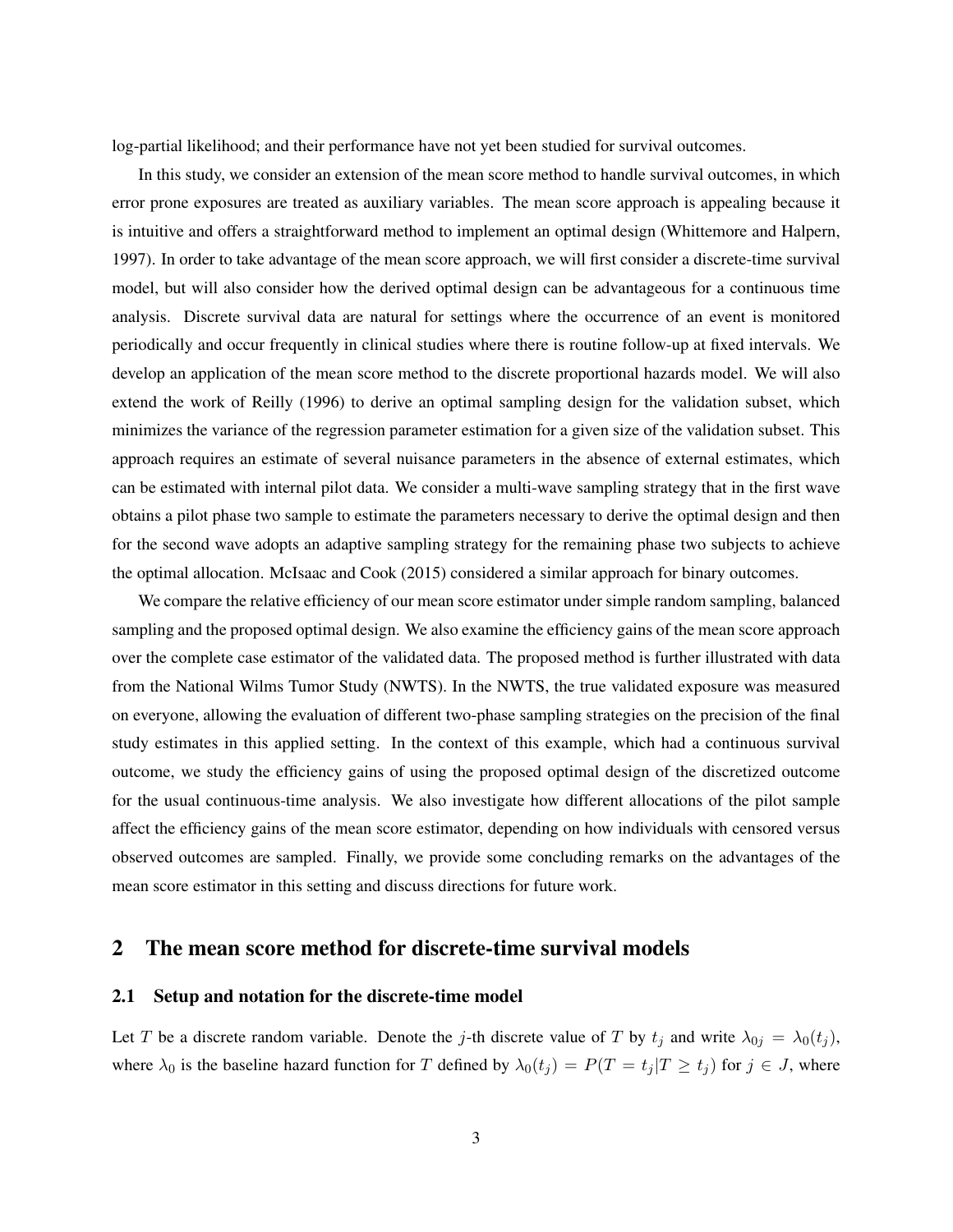log-partial likelihood; and their performance have not yet been studied for survival outcomes.

In this study, we consider an extension of the mean score method to handle survival outcomes, in which error prone exposures are treated as auxiliary variables. The mean score approach is appealing because it is intuitive and offers a straightforward method to implement an optimal design [\(Whittemore and Halpern,](#page-21-5) [1997\)](#page-21-5). In order to take advantage of the mean score approach, we will first consider a discrete-time survival model, but will also consider how the derived optimal design can be advantageous for a continuous time analysis. Discrete survival data are natural for settings where the occurrence of an event is monitored periodically and occur frequently in clinical studies where there is routine follow-up at fixed intervals. We develop an application of the mean score method to the discrete proportional hazards model. We will also extend the work of [Reilly](#page-21-1) [\(1996\)](#page-21-1) to derive an optimal sampling design for the validation subset, which minimizes the variance of the regression parameter estimation for a given size of the validation subset. This approach requires an estimate of several nuisance parameters in the absence of external estimates, which can be estimated with internal pilot data. We consider a multi-wave sampling strategy that in the first wave obtains a pilot phase two sample to estimate the parameters necessary to derive the optimal design and then for the second wave adopts an adaptive sampling strategy for the remaining phase two subjects to achieve the optimal allocation. [McIsaac and Cook](#page-21-6) [\(2015\)](#page-21-6) considered a similar approach for binary outcomes.

We compare the relative efficiency of our mean score estimator under simple random sampling, balanced sampling and the proposed optimal design. We also examine the efficiency gains of the mean score approach over the complete case estimator of the validated data. The proposed method is further illustrated with data from the National Wilms Tumor Study (NWTS). In the NWTS, the true validated exposure was measured on everyone, allowing the evaluation of different two-phase sampling strategies on the precision of the final study estimates in this applied setting. In the context of this example, which had a continuous survival outcome, we study the efficiency gains of using the proposed optimal design of the discretized outcome for the usual continuous-time analysis. We also investigate how different allocations of the pilot sample affect the efficiency gains of the mean score estimator, depending on how individuals with censored versus observed outcomes are sampled. Finally, we provide some concluding remarks on the advantages of the mean score estimator in this setting and discuss directions for future work.

## 2 The mean score method for discrete-time survival models

### 2.1 Setup and notation for the discrete-time model

Let T be a discrete random variable. Denote the j-th discrete value of T by  $t_j$  and write  $\lambda_{0j} = \lambda_0(t_j)$ , where  $\lambda_0$  is the baseline hazard function for T defined by  $\lambda_0(t_j) = P(T = t_j | T \ge t_j)$  for  $j \in J$ , where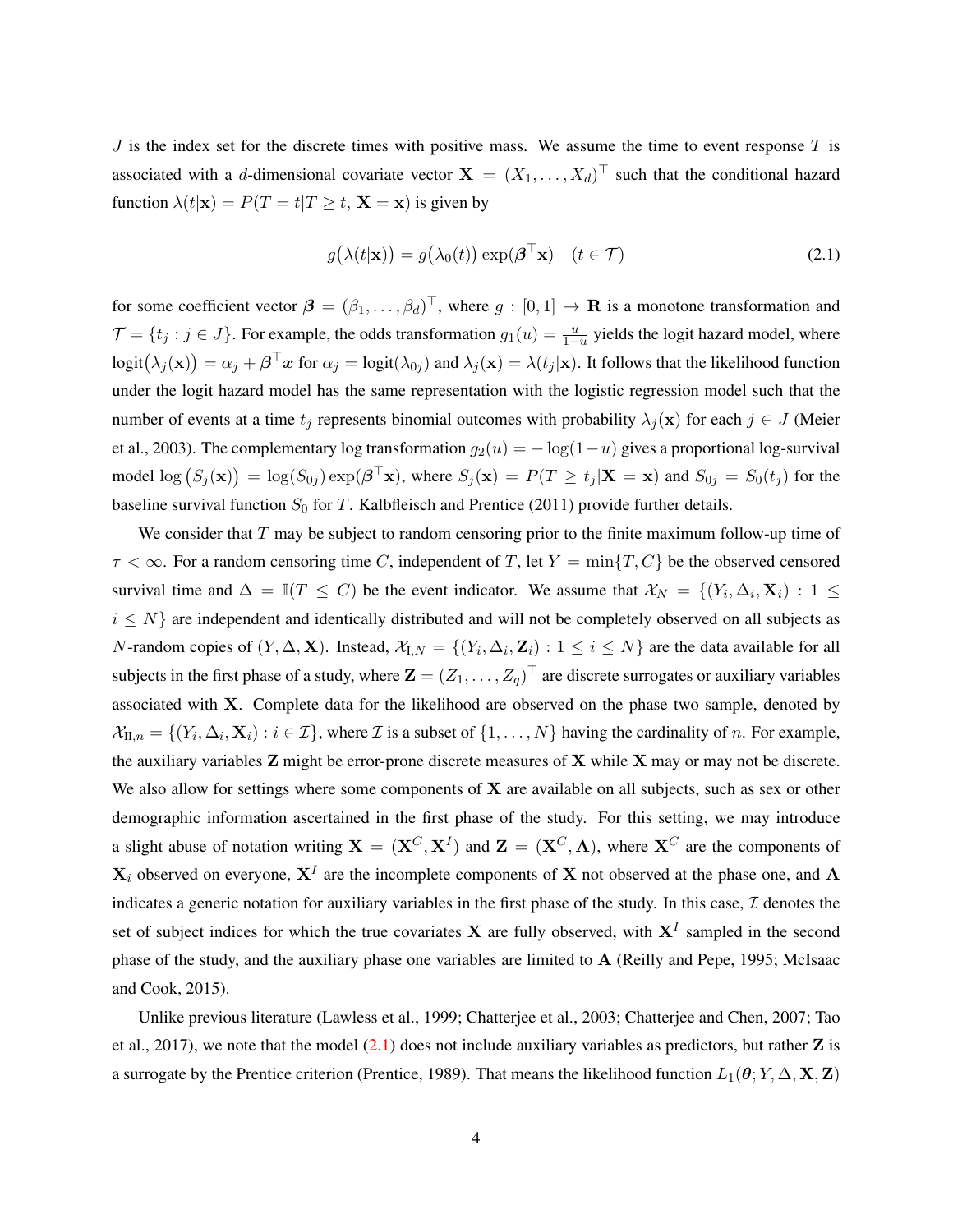$J$  is the index set for the discrete times with positive mass. We assume the time to event response  $T$  is associated with a *d*-dimensional covariate vector  $X = (X_1, \ldots, X_d)^\top$  such that the conditional hazard function  $\lambda(t|\mathbf{x}) = P(T = t | T \ge t, \mathbf{X} = \mathbf{x})$  is given by

<span id="page-3-0"></span>
$$
g(\lambda(t|\mathbf{x})) = g(\lambda_0(t)) \exp(\boldsymbol{\beta}^\top \mathbf{x}) \quad (t \in \mathcal{T})
$$
\n(2.1)

for some coefficient vector  $\boldsymbol{\beta} = (\beta_1, \dots, \beta_d)^\top$ , where  $g : [0, 1] \to \mathbf{R}$  is a monotone transformation and  $\mathcal{T} = \{t_j : j \in J\}$ . For example, the odds transformation  $g_1(u) = \frac{u}{1-u}$  yields the logit hazard model, where  $logit(\lambda_j(\mathbf{x})) = \alpha_j + \boldsymbol{\beta}^\top \boldsymbol{x}$  for  $\alpha_j = logit(\lambda_{0j})$  and  $\lambda_j(\mathbf{x}) = \lambda(t_j|\mathbf{x})$ . It follows that the likelihood function under the logit hazard model has the same representation with the logistic regression model such that the number of events at a time  $t_j$  represents binomial outcomes with probability  $\lambda_j(\mathbf{x})$  for each  $j \in J$  [\(Meier](#page-21-7) [et al.,](#page-21-7) [2003\)](#page-21-7). The complementary log transformation  $g_2(u) = -\log(1-u)$  gives a proportional log-survival model  $\log (S_j(\mathbf{x})) = \log(S_{0j}) \exp(\boldsymbol{\beta}^\top \mathbf{x})$ , where  $S_j(\mathbf{x}) = P(T \ge t_j | \mathbf{X} = \mathbf{x})$  and  $S_{0j} = S_0(t_j)$  for the baseline survival function  $S_0$  for T. [Kalbfleisch and Prentice](#page-21-8) [\(2011\)](#page-21-8) provide further details.

We consider that  $T$  may be subject to random censoring prior to the finite maximum follow-up time of  $\tau < \infty$ . For a random censoring time C, independent of T, let  $Y = \min\{T, C\}$  be the observed censored survival time and  $\Delta = \mathbb{I}(T \leq C)$  be the event indicator. We assume that  $\mathcal{X}_N = \{(Y_i, \Delta_i, \mathbf{X}_i) : 1 \leq i \leq N\}$  $i \leq N$  are independent and identically distributed and will not be completely observed on all subjects as N-random copies of  $(Y, \Delta, \mathbf{X})$ . Instead,  $\mathcal{X}_{I,N} = \{(Y_i, \Delta_i, \mathbf{Z}_i) : 1 \leq i \leq N\}$  are the data available for all subjects in the first phase of a study, where  $\mathbf{Z}=(Z_1,\ldots,Z_q)^\top$  are discrete surrogates or auxiliary variables associated with X. Complete data for the likelihood are observed on the phase two sample, denoted by  $\mathcal{X}_{\Pi,n} = \{(Y_i, \Delta_i, \mathbf{X}_i) : i \in \mathcal{I}\}\$ , where  $\mathcal{I}$  is a subset of  $\{1, \dots, N\}$  having the cardinality of n. For example, the auxiliary variables  $Z$  might be error-prone discrete measures of  $X$  while  $X$  may or may not be discrete. We also allow for settings where some components of  $X$  are available on all subjects, such as sex or other demographic information ascertained in the first phase of the study. For this setting, we may introduce a slight abuse of notation writing  $X = (X^C, X^I)$  and  $Z = (X^C, A)$ , where  $X^C$  are the components of  $X_i$  observed on everyone,  $X^I$  are the incomplete components of X not observed at the phase one, and A indicates a generic notation for auxiliary variables in the first phase of the study. In this case,  $I$  denotes the set of subject indices for which the true covariates **X** are fully observed, with  $X<sup>I</sup>$  sampled in the second phase of the study, and the auxiliary phase one variables are limited to A [\(Reilly and Pepe,](#page-21-0) [1995;](#page-21-0) [McIsaac](#page-21-6) [and Cook,](#page-21-6) [2015\)](#page-21-6).

Unlike previous literature [\(Lawless et al.,](#page-21-9) [1999;](#page-21-9) [Chatterjee et al.,](#page-20-1) [2003;](#page-20-1) [Chatterjee and Chen,](#page-20-2) [2007;](#page-20-2) [Tao](#page-21-10) [et al.,](#page-21-10) [2017\)](#page-21-10), we note that the model  $(2.1)$  does not include auxiliary variables as predictors, but rather  $\mathbb Z$  is a surrogate by the Prentice criterion [\(Prentice,](#page-21-11) [1989\)](#page-21-11). That means the likelihood function  $L_1(\theta; Y, \Delta, \mathbf{X}, \mathbf{Z})$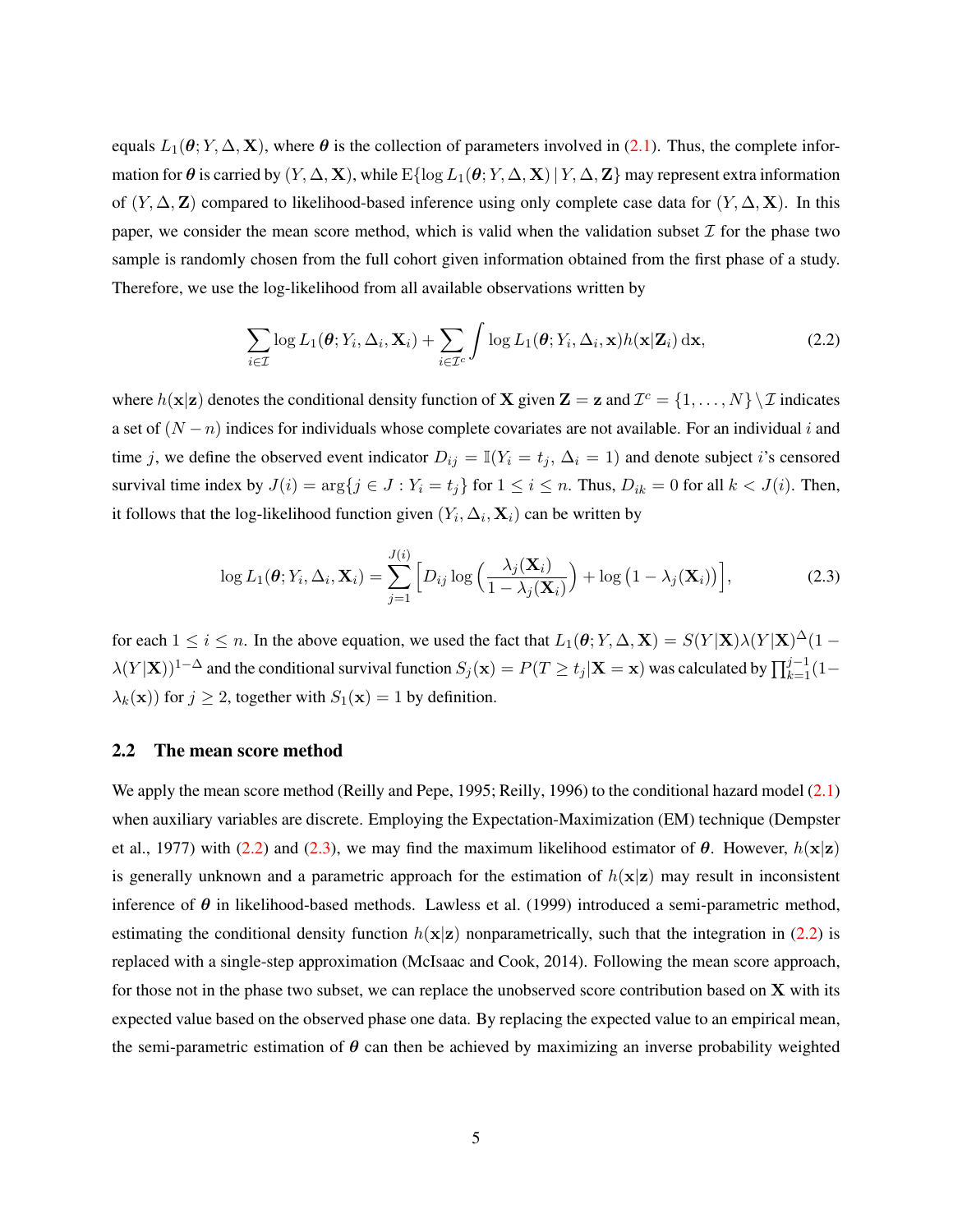equals  $L_1(\theta; Y, \Delta, \mathbf{X})$ , where  $\theta$  is the collection of parameters involved in [\(2.1\)](#page-3-0). Thus, the complete information for  $\theta$  is carried by  $(Y, \Delta, \mathbf{X})$ , while  $E\{\log L_1(\theta; Y, \Delta, \mathbf{X}) | Y, \Delta, \mathbf{Z}\}\$  may represent extra information of  $(Y, \Delta, Z)$  compared to likelihood-based inference using only complete case data for  $(Y, \Delta, X)$ . In this paper, we consider the mean score method, which is valid when the validation subset  $\mathcal I$  for the phase two sample is randomly chosen from the full cohort given information obtained from the first phase of a study. Therefore, we use the log-likelihood from all available observations written by

<span id="page-4-0"></span>
$$
\sum_{i\in\mathcal{I}}\log L_1(\boldsymbol{\theta};Y_i,\Delta_i,\mathbf{X}_i)+\sum_{i\in\mathcal{I}^c}\int\log L_1(\boldsymbol{\theta};Y_i,\Delta_i,\mathbf{x})h(\mathbf{x}|\mathbf{Z}_i)\,\mathrm{d}\mathbf{x},\qquad(2.2)
$$

where  $h(\mathbf{x}|\mathbf{z})$  denotes the conditional density function of **X** given  $\mathbf{Z} = \mathbf{z}$  and  $\mathcal{I}^c = \{1, \dots, N\} \setminus \mathcal{I}$  indicates a set of  $(N - n)$  indices for individuals whose complete covariates are not available. For an individual i and time j, we define the observed event indicator  $D_{ij} = \mathbb{I}(Y_i = t_j, \Delta_i = 1)$  and denote subject i's censored survival time index by  $J(i) = \arg\{j \in J : Y_i = t_j\}$  for  $1 \le i \le n$ . Thus,  $D_{ik} = 0$  for all  $k < J(i)$ . Then, it follows that the log-likelihood function given  $(Y_i, \Delta_i, \mathbf{X}_i)$  can be written by

<span id="page-4-1"></span>
$$
\log L_1(\boldsymbol{\theta}; Y_i, \Delta_i, \mathbf{X}_i) = \sum_{j=1}^{J(i)} \Big[ D_{ij} \log \Big( \frac{\lambda_j(\mathbf{X}_i)}{1 - \lambda_j(\mathbf{X}_i)} \Big) + \log \big( 1 - \lambda_j(\mathbf{X}_i) \big) \Big], \tag{2.3}
$$

for each  $1 \le i \le n$ . In the above equation, we used the fact that  $L_1(\theta; Y, \Delta, \mathbf{X}) = S(Y|\mathbf{X})\lambda(Y|\mathbf{X})^{\Delta}(1-\mathbf{X})$  $\lambda(Y|\mathbf{X}))^{1-\Delta}$  and the conditional survival function  $S_j(\mathbf{x}) = P(T \ge t_j | \mathbf{X} = \mathbf{x})$  was calculated by  $\prod_{k=1}^{j-1} (1-\mathbf{X})$  $\lambda_k(\mathbf{x})$  for  $j \geq 2$ , together with  $S_1(\mathbf{x}) = 1$  by definition.

#### <span id="page-4-2"></span>2.2 The mean score method

We apply the mean score method [\(Reilly and Pepe,](#page-21-0) [1995;](#page-21-0) [Reilly,](#page-21-1) [1996\)](#page-21-1) to the conditional hazard model [\(2.1\)](#page-3-0) when auxiliary variables are discrete. Employing the Expectation-Maximization (EM) technique [\(Dempster](#page-21-12) [et al.,](#page-21-12) [1977\)](#page-21-12) with [\(2.2\)](#page-4-0) and [\(2.3\)](#page-4-1), we may find the maximum likelihood estimator of  $\theta$ . However,  $h(\mathbf{x}|\mathbf{z})$ is generally unknown and a parametric approach for the estimation of  $h(\mathbf{x}|\mathbf{z})$  may result in inconsistent inference of  $\theta$  in likelihood-based methods. [Lawless et al.](#page-21-9) [\(1999\)](#page-21-9) introduced a semi-parametric method, estimating the conditional density function  $h(\mathbf{x}|\mathbf{z})$  nonparametrically, such that the integration in [\(2.2\)](#page-4-0) is replaced with a single-step approximation [\(McIsaac and Cook,](#page-21-2) [2014\)](#page-21-2). Following the mean score approach, for those not in the phase two subset, we can replace the unobserved score contribution based on  $X$  with its expected value based on the observed phase one data. By replacing the expected value to an empirical mean, the semi-parametric estimation of  $\theta$  can then be achieved by maximizing an inverse probability weighted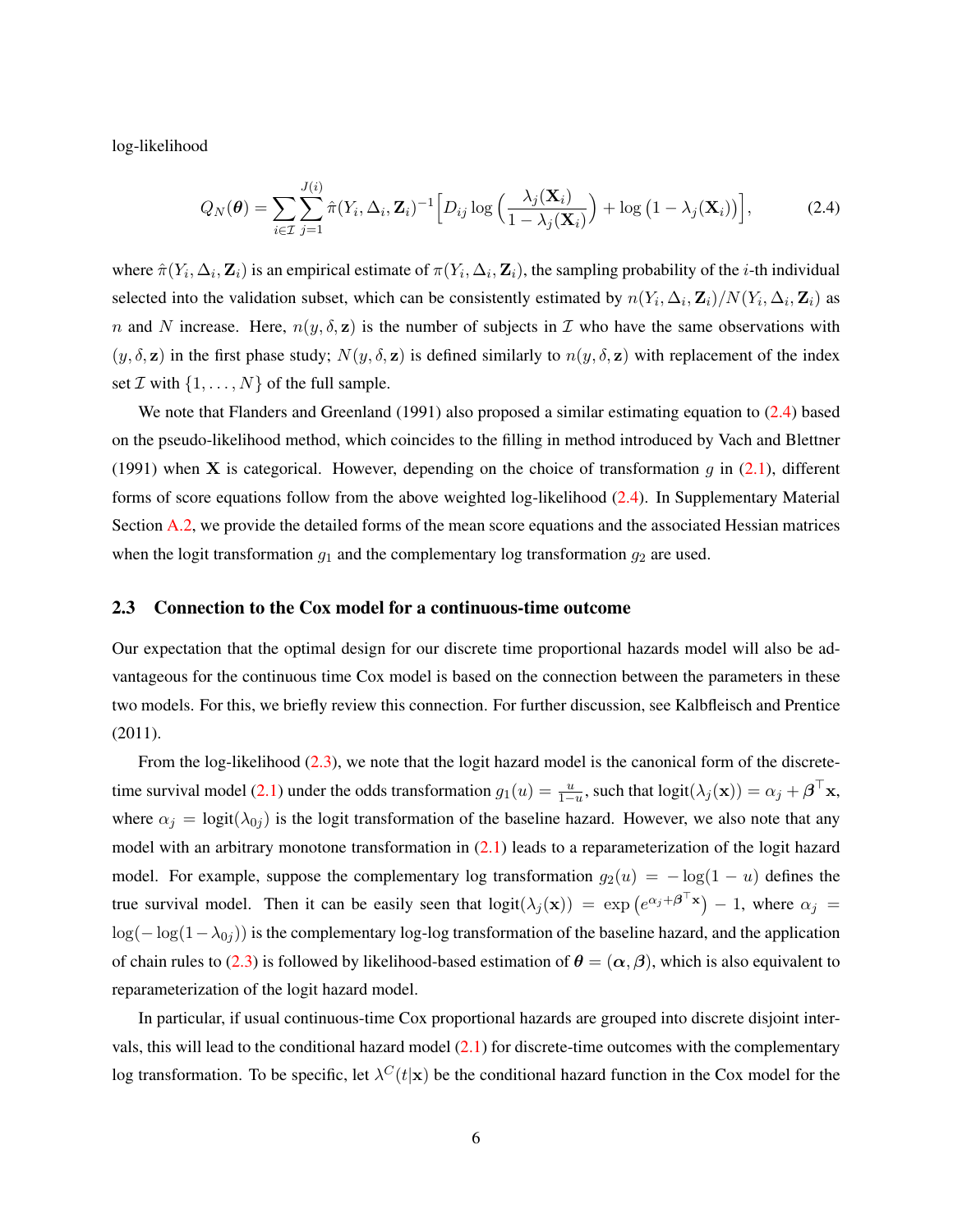log-likelihood

<span id="page-5-0"></span>
$$
Q_N(\boldsymbol{\theta}) = \sum_{i \in \mathcal{I}} \sum_{j=1}^{J(i)} \hat{\pi}(Y_i, \Delta_i, \mathbf{Z}_i)^{-1} \Big[ D_{ij} \log \Big( \frac{\lambda_j(\mathbf{X}_i)}{1 - \lambda_j(\mathbf{X}_i)} \Big) + \log \big( 1 - \lambda_j(\mathbf{X}_i) \big) \Big], \tag{2.4}
$$

where  $\hat{\pi}(Y_i, \Delta_i, \mathbf{Z}_i)$  is an empirical estimate of  $\pi(Y_i, \Delta_i, \mathbf{Z}_i)$ , the sampling probability of the *i*-th individual selected into the validation subset, which can be consistently estimated by  $n(Y_i, \Delta_i, \mathbf{Z}_i) / N(Y_i, \Delta_i, \mathbf{Z}_i)$  as n and N increase. Here,  $n(y, \delta, z)$  is the number of subjects in T who have the same observations with  $(y, \delta, \mathbf{z})$  in the first phase study;  $N(y, \delta, \mathbf{z})$  is defined similarly to  $n(y, \delta, \mathbf{z})$  with replacement of the index set  $\mathcal I$  with  $\{1, \ldots, N\}$  of the full sample.

We note that [Flanders and Greenland](#page-21-13) [\(1991\)](#page-21-13) also proposed a similar estimating equation to [\(2.4\)](#page-5-0) based on the pseudo-likelihood method, which coincides to the filling in method introduced by [Vach and Blettner](#page-21-14) [\(1991\)](#page-21-14) when **X** is categorical. However, depending on the choice of transformation  $g$  in [\(2.1\)](#page-3-0), different forms of score equations follow from the above weighted log-likelihood [\(2.4\)](#page-5-0). In Supplementary Material Section [A.2,](#page-22-0) we provide the detailed forms of the mean score equations and the associated Hessian matrices when the logit transformation  $g_1$  and the complementary log transformation  $g_2$  are used.

#### <span id="page-5-1"></span>2.3 Connection to the Cox model for a continuous-time outcome

Our expectation that the optimal design for our discrete time proportional hazards model will also be advantageous for the continuous time Cox model is based on the connection between the parameters in these two models. For this, we briefly review this connection. For further discussion, see [Kalbfleisch and Prentice](#page-21-8) [\(2011\)](#page-21-8).

From the log-likelihood  $(2.3)$ , we note that the logit hazard model is the canonical form of the discrete-time survival model [\(2.1\)](#page-3-0) under the odds transformation  $g_1(u) = \frac{u}{1-u}$ , such that  $logit(\lambda_j(\mathbf{x})) = \alpha_j + \boldsymbol{\beta}^\top \mathbf{x}$ , where  $\alpha_j = \text{logit}(\lambda_{0j})$  is the logit transformation of the baseline hazard. However, we also note that any model with an arbitrary monotone transformation in  $(2.1)$  leads to a reparameterization of the logit hazard model. For example, suppose the complementary log transformation  $g_2(u) = -\log(1 - u)$  defines the true survival model. Then it can be easily seen that  $logit(\lambda_j(\mathbf{x})) = exp(e^{\alpha_j + \beta^{\top} \mathbf{x}}) - 1$ , where  $\alpha_j =$  $\log(-\log(1-\lambda_{0i}))$  is the complementary log-log transformation of the baseline hazard, and the application of chain rules to [\(2.3\)](#page-4-1) is followed by likelihood-based estimation of  $\theta = (\alpha, \beta)$ , which is also equivalent to reparameterization of the logit hazard model.

In particular, if usual continuous-time Cox proportional hazards are grouped into discrete disjoint intervals, this will lead to the conditional hazard model [\(2.1\)](#page-3-0) for discrete-time outcomes with the complementary log transformation. To be specific, let  $\lambda^C(t|\mathbf{x})$  be the conditional hazard function in the Cox model for the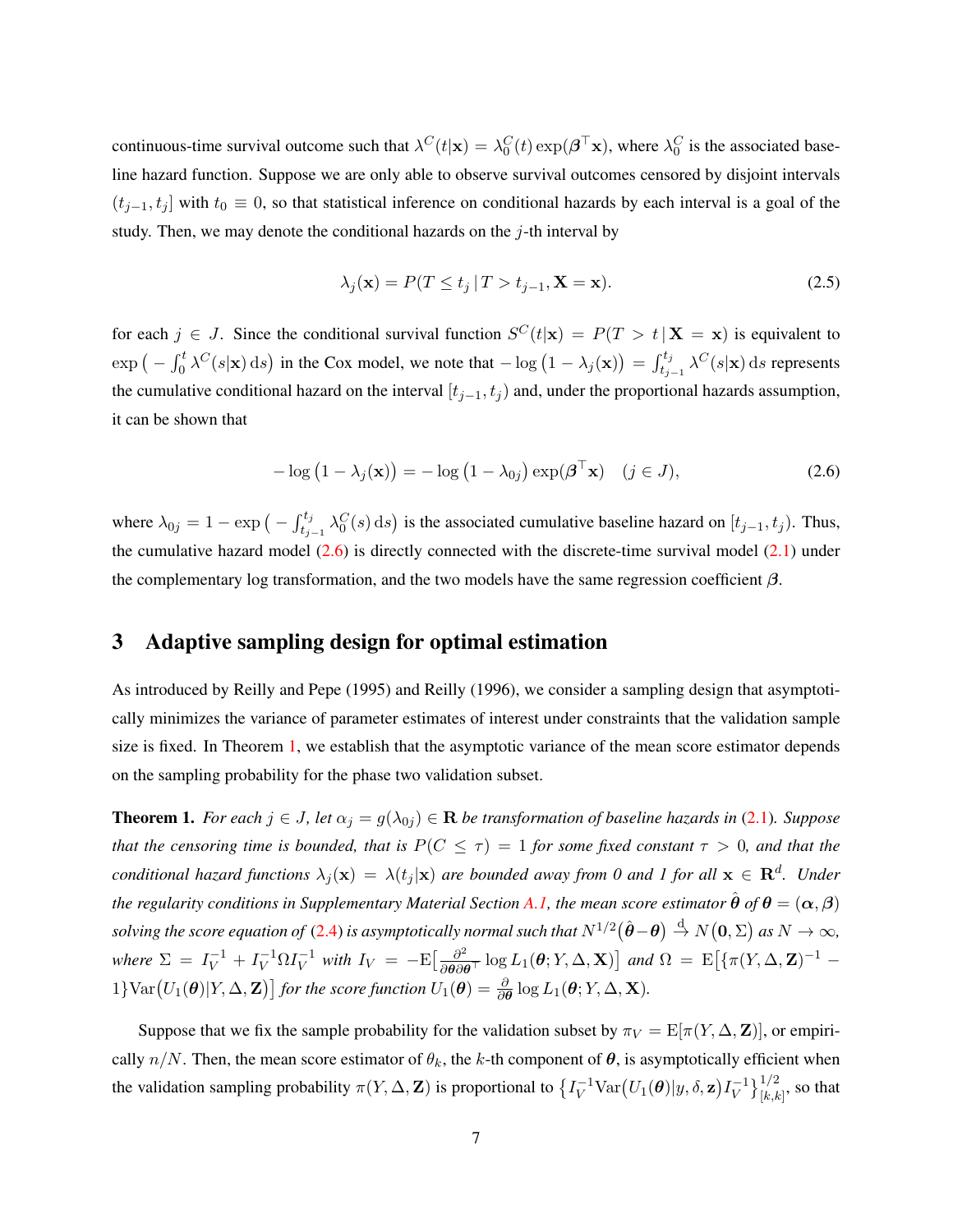continuous-time survival outcome such that  $\lambda^C(t|\mathbf{x}) = \lambda_0^C(t) \exp(\boldsymbol{\beta}^\top \mathbf{x})$ , where  $\lambda_0^C$  is the associated baseline hazard function. Suppose we are only able to observe survival outcomes censored by disjoint intervals  $(t_{j-1}, t_j]$  with  $t_0 \equiv 0$ , so that statistical inference on conditional hazards by each interval is a goal of the study. Then, we may denote the conditional hazards on the  $j$ -th interval by

<span id="page-6-0"></span>
$$
\lambda_j(\mathbf{x}) = P(T \le t_j | T > t_{j-1}, \mathbf{X} = \mathbf{x}).\tag{2.5}
$$

for each  $j \in J$ . Since the conditional survival function  $S^{C}(t|\mathbf{x}) = P(T > t | \mathbf{X} = \mathbf{x})$  is equivalent to  $\exp\left(-\int_0^t \lambda^C(s|\mathbf{x}) ds\right)$  in the Cox model, we note that  $-\log\left(1-\lambda_j(\mathbf{x})\right) = \int_{t_{j-1}}^{t_j} \lambda^C(s|\mathbf{x}) ds$  represents the cumulative conditional hazard on the interval  $[t_{j-1}, t_j)$  and, under the proportional hazards assumption, it can be shown that

$$
-\log(1 - \lambda_j(\mathbf{x})) = -\log(1 - \lambda_{0j}) \exp(\boldsymbol{\beta}^\top \mathbf{x}) \quad (j \in J), \tag{2.6}
$$

where  $\lambda_{0j} = 1 - \exp\left(-\int_{t_{j-1}}^{t_j} \lambda_0^C(s) ds\right)$  is the associated cumulative baseline hazard on  $[t_{j-1}, t_j)$ . Thus, the cumulative hazard model  $(2.6)$  is directly connected with the discrete-time survival model  $(2.1)$  under the complementary log transformation, and the two models have the same regression coefficient  $\beta$ .

## <span id="page-6-2"></span>3 Adaptive sampling design for optimal estimation

As introduced by [Reilly and Pepe](#page-21-0) [\(1995\)](#page-21-0) and [Reilly](#page-21-1) [\(1996\)](#page-21-1), we consider a sampling design that asymptotically minimizes the variance of parameter estimates of interest under constraints that the validation sample size is fixed. In Theorem [1,](#page-6-1) we establish that the asymptotic variance of the mean score estimator depends on the sampling probability for the phase two validation subset.

<span id="page-6-1"></span>**Theorem 1.** *For each*  $j \in J$ , *let*  $\alpha_j = g(\lambda_{0j}) \in \mathbb{R}$  *be transformation of baseline hazards in* [\(2.1\)](#page-3-0)*. Suppose that the censoring time is bounded, that is*  $P(C \leq \tau) = 1$  *for some fixed constant*  $\tau > 0$ *, and that the conditional hazard functions*  $\lambda_j(\mathbf{x}) = \lambda(t_j|\mathbf{x})$  are bounded away from 0 and 1 for all  $\mathbf{x} \in \mathbf{R}^d$ . Under *the regularity conditions in Supplementary Material Section [A.1,](#page-22-1) the mean score estimator*  $\hat{\theta}$  *of*  $\theta = (\alpha, \beta)$ solving the score equation of [\(2.4\)](#page-5-0) is asymptotically normal such that  $N^{1/2}(\hat{\bm{\theta}}-\bm{\theta})\stackrel{d}{\to}N(\bm{0},\Sigma)$  as  $N\to\infty$ , where  $\Sigma = I_V^{-1} + I_V^{-1} \Omega I_V^{-1}$  with  $I_V = -E \left[ \frac{\partial^2}{\partial \theta \partial t} \right]$  $\frac{\partial^2}{\partial \theta \partial \theta^{\top}} \log L_1(\theta;Y,\Delta,\mathbf{X})$  and  $\Omega = \mathrm{E}\big[\{\pi(Y,\Delta,\mathbf{Z})^{-1} - \mathbf{Z}\big\}$  $1$ }Var $(U_1(\theta)|Y, \Delta, \mathbf{Z})$ ] for the score function  $U_1(\theta) = \frac{\partial}{\partial \theta} \log L_1(\theta; Y, \Delta, \mathbf{X})$ .

Suppose that we fix the sample probability for the validation subset by  $\pi_V = \mathbb{E}[\pi(Y, \Delta, \mathbf{Z})]$ , or empirically  $n/N$ . Then, the mean score estimator of  $\theta_k$ , the k-th component of  $\theta$ , is asymptotically efficient when the validation sampling probability  $\pi(Y, \Delta, \mathbf{Z})$  is proportional to  $\{I_V^{-1} \text{Var}(U_1(\boldsymbol{\theta}) | y, \delta, \mathbf{z}) I_V^{-1}$  $\{V^{-1}\}_{[k,k]}^{1/2}$ , so that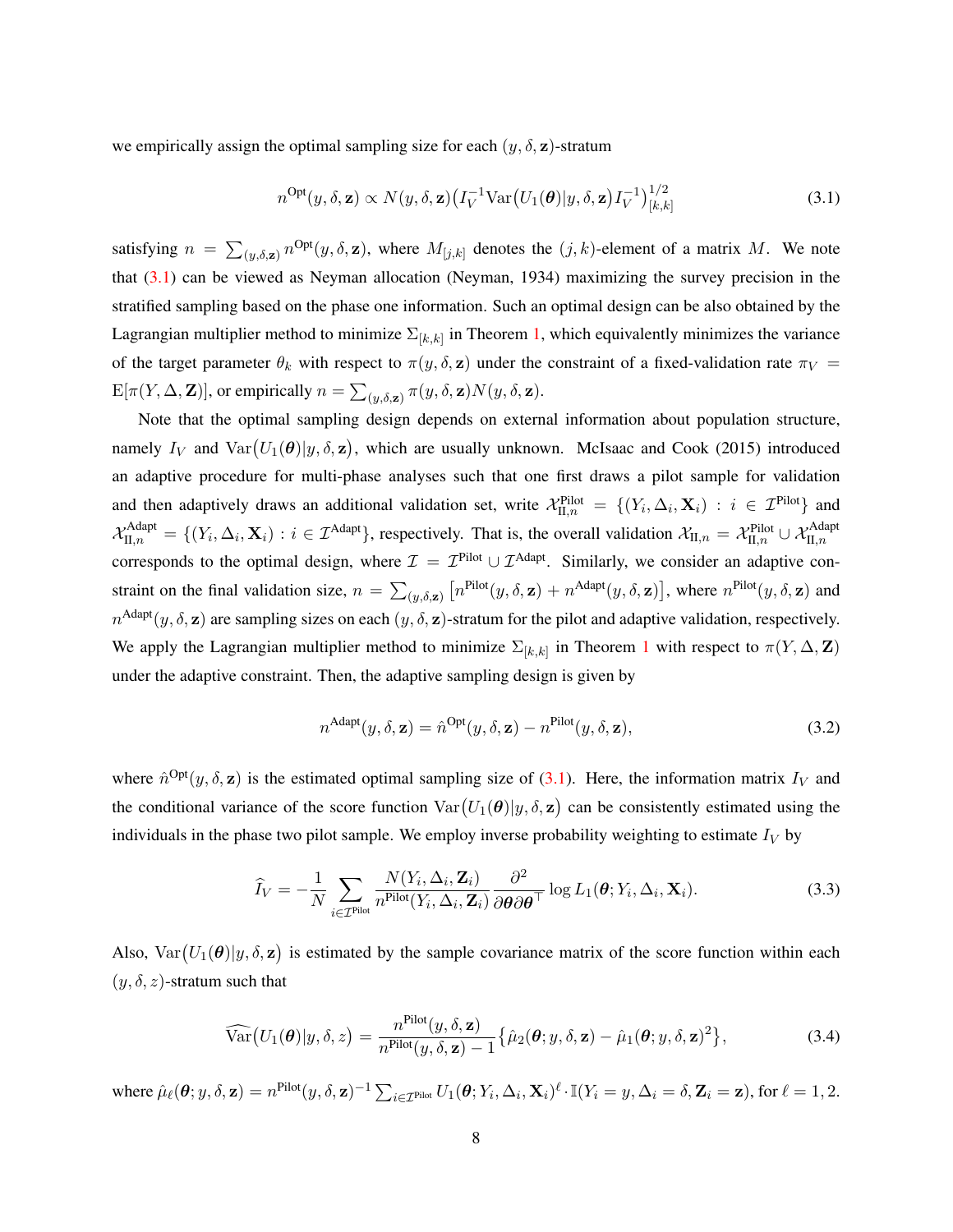we empirically assign the optimal sampling size for each  $(y, \delta, z)$ -stratum

<span id="page-7-0"></span>
$$
n^{\text{Opt}}(y,\delta,\mathbf{z}) \propto N(y,\delta,\mathbf{z}) \left( I_V^{-1} \text{Var}\left( U_1(\boldsymbol{\theta}) | y,\delta,\mathbf{z} \right) I_V^{-1} \right)_{[k,k]}^{1/2}
$$
(3.1)

satisfying  $n = \sum_{(y,\delta,\mathbf{z})} n^{\text{Opt}}(y,\delta,\mathbf{z})$ , where  $M_{[j,k]}$  denotes the  $(j,k)$ -element of a matrix M. We note that [\(3.1\)](#page-7-0) can be viewed as Neyman allocation [\(Neyman,](#page-21-15) [1934\)](#page-21-15) maximizing the survey precision in the stratified sampling based on the phase one information. Such an optimal design can be also obtained by the Lagrangian multiplier method to minimize  $\Sigma_{[k,k]}$  in Theorem [1,](#page-6-1) which equivalently minimizes the variance of the target parameter  $\theta_k$  with respect to  $\pi(y, \delta, z)$  under the constraint of a fixed-validation rate  $\pi_V$  =  $\mathbb{E}[\pi(Y, \Delta, \mathbf{Z})]$ , or empirically  $n = \sum_{(y, \delta, \mathbf{z})} \pi(y, \delta, \mathbf{z}) N(y, \delta, \mathbf{z})$ .

Note that the optimal sampling design depends on external information about population structure, namely  $I_V$  and  $Var(U_1(\theta)|y, \delta, z)$ , which are usually unknown. [McIsaac and Cook](#page-21-6) [\(2015\)](#page-21-6) introduced an adaptive procedure for multi-phase analyses such that one first draws a pilot sample for validation and then adaptively draws an additional validation set, write  $\mathcal{X}_{\Pi,n}^{\text{Pilot}} = \{(Y_i, \Delta_i, \mathbf{X}_i) : i \in \mathcal{I}^{\text{Pilot}}\}\$ and  $\mathcal{X}_{\text{II},n}^{\text{Adapt}} = \{(Y_i, \Delta_i, \mathbf{X}_i) : i \in \mathcal{I}^{\text{Adapt}}\},$  respectively. That is, the overall validation  $\mathcal{X}_{\text{II},n} = \mathcal{X}_{\text{II},n}^{\text{Pilot}} \cup \mathcal{X}_{\text{II},n}^{\text{Adapt}}$ corresponds to the optimal design, where  $\mathcal{I} = \mathcal{I}^{\text{Pilot}} \cup \mathcal{I}^{\text{Adapt}}$ . Similarly, we consider an adaptive constraint on the final validation size,  $n = \sum_{(y,\delta,\mathbf{z})} \left[ n^{\text{Pilot}}(y,\delta,\mathbf{z}) + n^{\text{Adapt}}(y,\delta,\mathbf{z}) \right]$ , where  $n^{\text{Pilot}}(y,\delta,\mathbf{z})$  and  $n^{\text{Adapt}}(y, \delta, \mathbf{z})$  are sampling sizes on each  $(y, \delta, \mathbf{z})$ -stratum for the pilot and adaptive validation, respectively. We apply the Lagrangian multiplier method to minimize  $\Sigma_{[k,k]}$  in Theorem [1](#page-6-1) with respect to  $\pi(Y, \Delta, \mathbf{Z})$ under the adaptive constraint. Then, the adaptive sampling design is given by

<span id="page-7-3"></span><span id="page-7-2"></span><span id="page-7-1"></span>
$$
n^{\text{Adapt}}(y,\delta,\mathbf{z}) = \hat{n}^{\text{Opt}}(y,\delta,\mathbf{z}) - n^{\text{Pilot}}(y,\delta,\mathbf{z}),\tag{3.2}
$$

where  $\hat{n}^{Opt}(y, \delta, z)$  is the estimated optimal sampling size of [\(3.1\)](#page-7-0). Here, the information matrix  $I_V$  and the conditional variance of the score function  $Var(U_1(\theta)|y, \delta, z)$  can be consistently estimated using the individuals in the phase two pilot sample. We employ inverse probability weighting to estimate  $I_V$  by

$$
\widehat{I}_V = -\frac{1}{N} \sum_{i \in \mathcal{I}^{\text{Pilot}}} \frac{N(Y_i, \Delta_i, \mathbf{Z}_i)}{n^{\text{Pilot}}(Y_i, \Delta_i, \mathbf{Z}_i)} \frac{\partial^2}{\partial \boldsymbol{\theta} \partial \boldsymbol{\theta}^\top} \log L_1(\boldsymbol{\theta}; Y_i, \Delta_i, \mathbf{X}_i).
$$
(3.3)

Also,  $Var(U_1(\theta)|y, \delta, z)$  is estimated by the sample covariance matrix of the score function within each  $(y, \delta, z)$ -stratum such that

$$
\widehat{\text{Var}}\big(U_1(\boldsymbol{\theta})|y,\delta,z\big) = \frac{n^{\text{Pilot}}(y,\delta,\mathbf{z})}{n^{\text{Pilot}}(y,\delta,\mathbf{z})-1} \big\{\hat{\mu}_2(\boldsymbol{\theta};y,\delta,\mathbf{z}) - \hat{\mu}_1(\boldsymbol{\theta};y,\delta,\mathbf{z})^2\big\},\tag{3.4}
$$

where  $\hat{\mu}_{\ell}(\boldsymbol{\theta};y,\delta,\mathbf{z}) = n^{\text{Pilot}}(y,\delta,\mathbf{z})^{-1} \sum_{i \in \mathcal{I}^{\text{Pilot}}} U_1(\boldsymbol{\theta};Y_i,\Delta_i,\mathbf{X}_i)^{\ell} \cdot \mathbb{I}(Y_i=y,\Delta_i=\delta,\mathbf{Z}_i=\mathbf{z}), \text{ for } \ell=1,2.$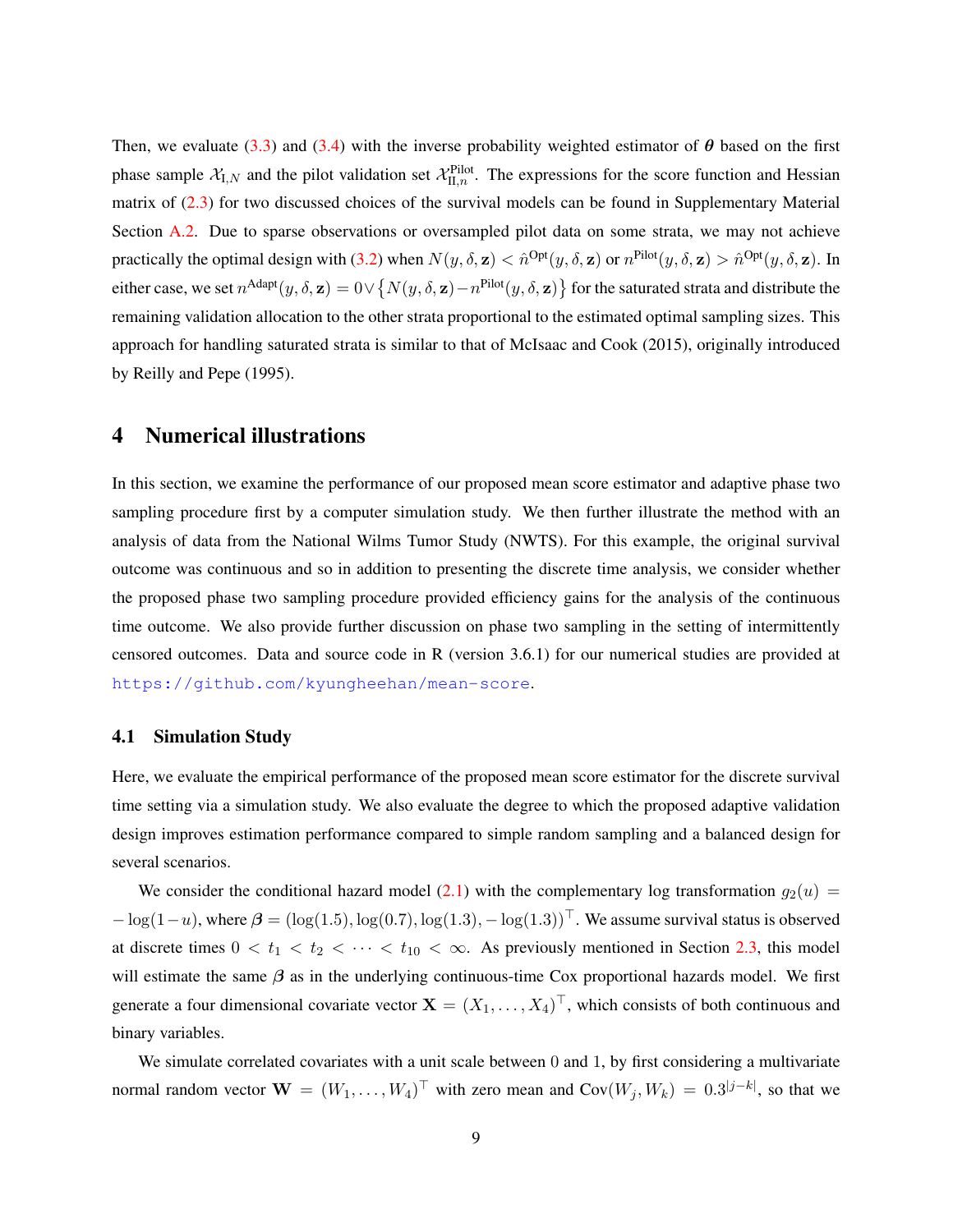Then, we evaluate [\(3.3\)](#page-7-1) and [\(3.4\)](#page-7-2) with the inverse probability weighted estimator of  $\theta$  based on the first phase sample  $X_{I,N}$  and the pilot validation set  $X_{II,n}^{Pilot}$ . The expressions for the score function and Hessian matrix of [\(2.3\)](#page-4-1) for two discussed choices of the survival models can be found in Supplementary Material Section [A.2.](#page-22-0) Due to sparse observations or oversampled pilot data on some strata, we may not achieve practically the optimal design with [\(3.2\)](#page-7-3) when  $N(y, \delta, \mathbf{z}) < \hat{n}^{Opt}(y, \delta, \mathbf{z})$  or  $n^{Pilot}(y, \delta, \mathbf{z}) > \hat{n}^{Opt}(y, \delta, \mathbf{z})$ . In either case, we set  $n^{\text{Adapt}}(y,\delta,\mathbf{z})=0 \vee \{N(y,\delta,\mathbf{z})-n^{\text{Pilot}}(y,\delta,\mathbf{z})\}$  for the saturated strata and distribute the remaining validation allocation to the other strata proportional to the estimated optimal sampling sizes. This approach for handling saturated strata is similar to that of [McIsaac and Cook](#page-21-6) [\(2015\)](#page-21-6), originally introduced by [Reilly and Pepe](#page-21-0) [\(1995\)](#page-21-0).

## 4 Numerical illustrations

In this section, we examine the performance of our proposed mean score estimator and adaptive phase two sampling procedure first by a computer simulation study. We then further illustrate the method with an analysis of data from the National Wilms Tumor Study (NWTS). For this example, the original survival outcome was continuous and so in addition to presenting the discrete time analysis, we consider whether the proposed phase two sampling procedure provided efficiency gains for the analysis of the continuous time outcome. We also provide further discussion on phase two sampling in the setting of intermittently censored outcomes. Data and source code in R (version 3.6.1) for our numerical studies are provided at <https://github.com/kyungheehan/mean-score>.

#### <span id="page-8-0"></span>4.1 Simulation Study

Here, we evaluate the empirical performance of the proposed mean score estimator for the discrete survival time setting via a simulation study. We also evaluate the degree to which the proposed adaptive validation design improves estimation performance compared to simple random sampling and a balanced design for several scenarios.

We consider the conditional hazard model [\(2.1\)](#page-3-0) with the complementary log transformation  $g_2(u)$  =  $-\log(1-u)$ , where  $\beta = (\log(1.5), \log(0.7), \log(1.3), -\log(1.3))^T$ . We assume survival status is observed at discrete times  $0 < t_1 < t_2 < \cdots < t_{10} < \infty$ . As previously mentioned in Section [2.3,](#page-5-1) this model will estimate the same  $\beta$  as in the underlying continuous-time Cox proportional hazards model. We first generate a four dimensional covariate vector  $X = (X_1, \ldots, X_4)^\top$ , which consists of both continuous and binary variables.

We simulate correlated covariates with a unit scale between 0 and 1, by first considering a multivariate normal random vector  $\mathbf{W} = (W_1, \dots, W_4)^\top$  with zero mean and  $\text{Cov}(W_j, W_k) = 0.3^{|j-k|}$ , so that we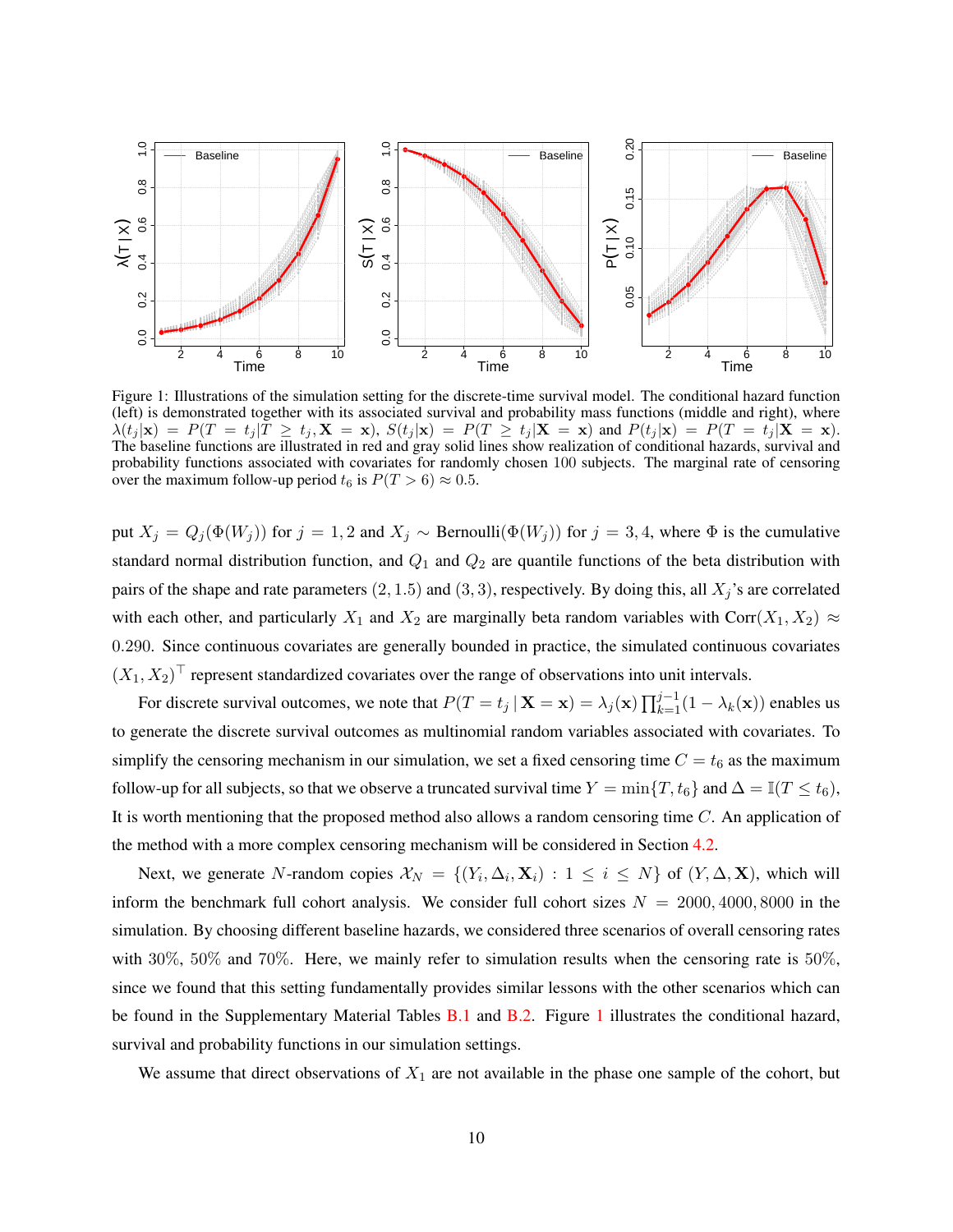<span id="page-9-0"></span>

Figure 1: Illustrations of the simulation setting for the discrete-time survival model. The conditional hazard function (left) is demonstrated together with its associated survival and probability mass functions (middle and right), where  $\lambda(t_j | \mathbf{x}) = P(T = t_j | T \ge t_j, \mathbf{X} = \mathbf{x})$ ,  $S(t_j | \mathbf{x}) = P(T \ge t_j | \mathbf{X} = \mathbf{x})$  and  $P(t_j | \mathbf{x}) = P(T = t_j | \mathbf{X} = \mathbf{x})$ . The baseline functions are illustrated in red and gray solid lines show realization of conditional hazards, survival and probability functions associated with covariates for randomly chosen 100 subjects. The marginal rate of censoring over the maximum follow-up period  $t_6$  is  $P(T > 6) \approx 0.5$ .

put  $X_j = Q_j(\Phi(W_j))$  for  $j = 1, 2$  and  $X_j \sim \text{Bernoulli}(\Phi(W_j))$  for  $j = 3, 4$ , where  $\Phi$  is the cumulative standard normal distribution function, and  $Q_1$  and  $Q_2$  are quantile functions of the beta distribution with pairs of the shape and rate parameters  $(2, 1.5)$  and  $(3, 3)$ , respectively. By doing this, all  $X_j$ 's are correlated with each other, and particularly  $X_1$  and  $X_2$  are marginally beta random variables with Corr $(X_1, X_2) \approx$ 0.290. Since continuous covariates are generally bounded in practice, the simulated continuous covariates  $(X_1, X_2)^\top$  represent standardized covariates over the range of observations into unit intervals.

For discrete survival outcomes, we note that  $P(T = t_j | \mathbf{X} = \mathbf{x}) = \lambda_j(\mathbf{x}) \prod_{k=1}^{j-1} (1 - \lambda_k(\mathbf{x}))$  enables us to generate the discrete survival outcomes as multinomial random variables associated with covariates. To simplify the censoring mechanism in our simulation, we set a fixed censoring time  $C = t_6$  as the maximum follow-up for all subjects, so that we observe a truncated survival time  $Y = \min\{T, t_6\}$  and  $\Delta = \mathbb{I}(T \le t_6)$ , It is worth mentioning that the proposed method also allows a random censoring time  $C$ . An application of the method with a more complex censoring mechanism will be considered in Section [4.2.](#page-13-0)

Next, we generate N-random copies  $\mathcal{X}_N = \{(Y_i, \Delta_i, \mathbf{X}_i) : 1 \leq i \leq N\}$  of  $(Y, \Delta, \mathbf{X})$ , which will inform the benchmark full cohort analysis. We consider full cohort sizes  $N = 2000, 4000, 8000$  in the simulation. By choosing different baseline hazards, we considered three scenarios of overall censoring rates with 30%, 50% and 70%. Here, we mainly refer to simulation results when the censoring rate is 50%, since we found that this setting fundamentally provides similar lessons with the other scenarios which can be found in the Supplementary Material Tables [B.1](#page-25-0) and [B.2.](#page-26-0) Figure [1](#page-9-0) illustrates the conditional hazard, survival and probability functions in our simulation settings.

We assume that direct observations of  $X_1$  are not available in the phase one sample of the cohort, but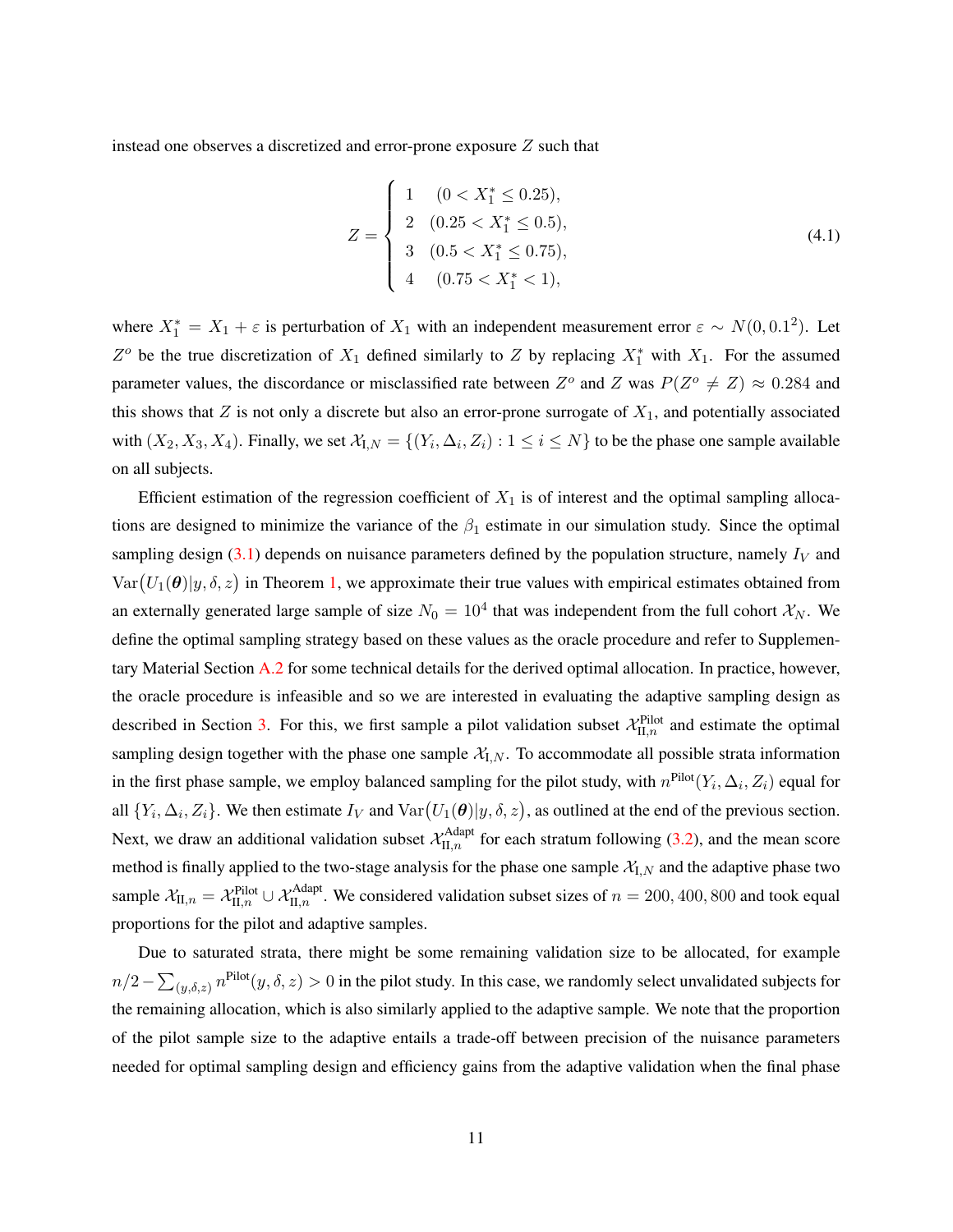instead one observes a discretized and error-prone exposure Z such that

$$
Z = \begin{cases} 1 & (0 < X_1^* \le 0.25), \\ 2 & (0.25 < X_1^* \le 0.5), \\ 3 & (0.5 < X_1^* \le 0.75), \\ 4 & (0.75 < X_1^* < 1), \end{cases}
$$
(4.1)

where  $X_1^* = X_1 + \varepsilon$  is perturbation of  $X_1$  with an independent measurement error  $\varepsilon \sim N(0, 0.1^2)$ . Let  $Z^o$  be the true discretization of  $X_1$  defined similarly to  $Z$  by replacing  $X_1^*$  with  $X_1$ . For the assumed parameter values, the discordance or misclassified rate between  $Z^{\circ}$  and Z was  $P(Z^{\circ} \neq Z) \approx 0.284$  and this shows that  $Z$  is not only a discrete but also an error-prone surrogate of  $X_1$ , and potentially associated with  $(X_2, X_3, X_4)$ . Finally, we set  $\mathcal{X}_{I,N} = \{(Y_i, \Delta_i, Z_i) : 1 \leq i \leq N\}$  to be the phase one sample available on all subjects.

Efficient estimation of the regression coefficient of  $X_1$  is of interest and the optimal sampling allocations are designed to minimize the variance of the  $\beta_1$  estimate in our simulation study. Since the optimal sampling design  $(3.1)$  depends on nuisance parameters defined by the population structure, namely  $I_V$  and  $Var(U_1(\theta)|y, \delta, z)$  in Theorem [1,](#page-6-1) we approximate their true values with empirical estimates obtained from an externally generated large sample of size  $N_0 = 10^4$  that was independent from the full cohort  $\mathcal{X}_N$ . We define the optimal sampling strategy based on these values as the oracle procedure and refer to Supplementary Material Section [A.2](#page-22-0) for some technical details for the derived optimal allocation. In practice, however, the oracle procedure is infeasible and so we are interested in evaluating the adaptive sampling design as described in Section [3.](#page-6-2) For this, we first sample a pilot validation subset  $\mathcal{X}_{\text{II},n}^{\text{Pilot}}$  and estimate the optimal sampling design together with the phase one sample  $X_{I,N}$ . To accommodate all possible strata information in the first phase sample, we employ balanced sampling for the pilot study, with  $n^{\text{Pilot}}(Y_i, \Delta_i, Z_i)$  equal for all  $\{Y_i, \Delta_i, Z_i\}$ . We then estimate  $I_V$  and  $\text{Var}(U_1(\theta)|y, \delta, z)$ , as outlined at the end of the previous section. Next, we draw an additional validation subset  $\mathcal{X}_{II,n}^{\text{Adapt}}$  for each stratum following [\(3.2\)](#page-7-3), and the mean score method is finally applied to the two-stage analysis for the phase one sample  $\mathcal{X}_{I,N}$  and the adaptive phase two sample  $\mathcal{X}_{II,n} = \mathcal{X}_{II,n}^{\text{Pilot}} \cup \mathcal{X}_{II,n}^{\text{Adapt}}$ . We considered validation subset sizes of  $n = 200, 400, 800$  and took equal proportions for the pilot and adaptive samples.

Due to saturated strata, there might be some remaining validation size to be allocated, for example  $n/2-\sum_{(y,\delta,z)}n^{\text{Pilot}}(y,\delta,z)>0$  in the pilot study. In this case, we randomly select unvalidated subjects for the remaining allocation, which is also similarly applied to the adaptive sample. We note that the proportion of the pilot sample size to the adaptive entails a trade-off between precision of the nuisance parameters needed for optimal sampling design and efficiency gains from the adaptive validation when the final phase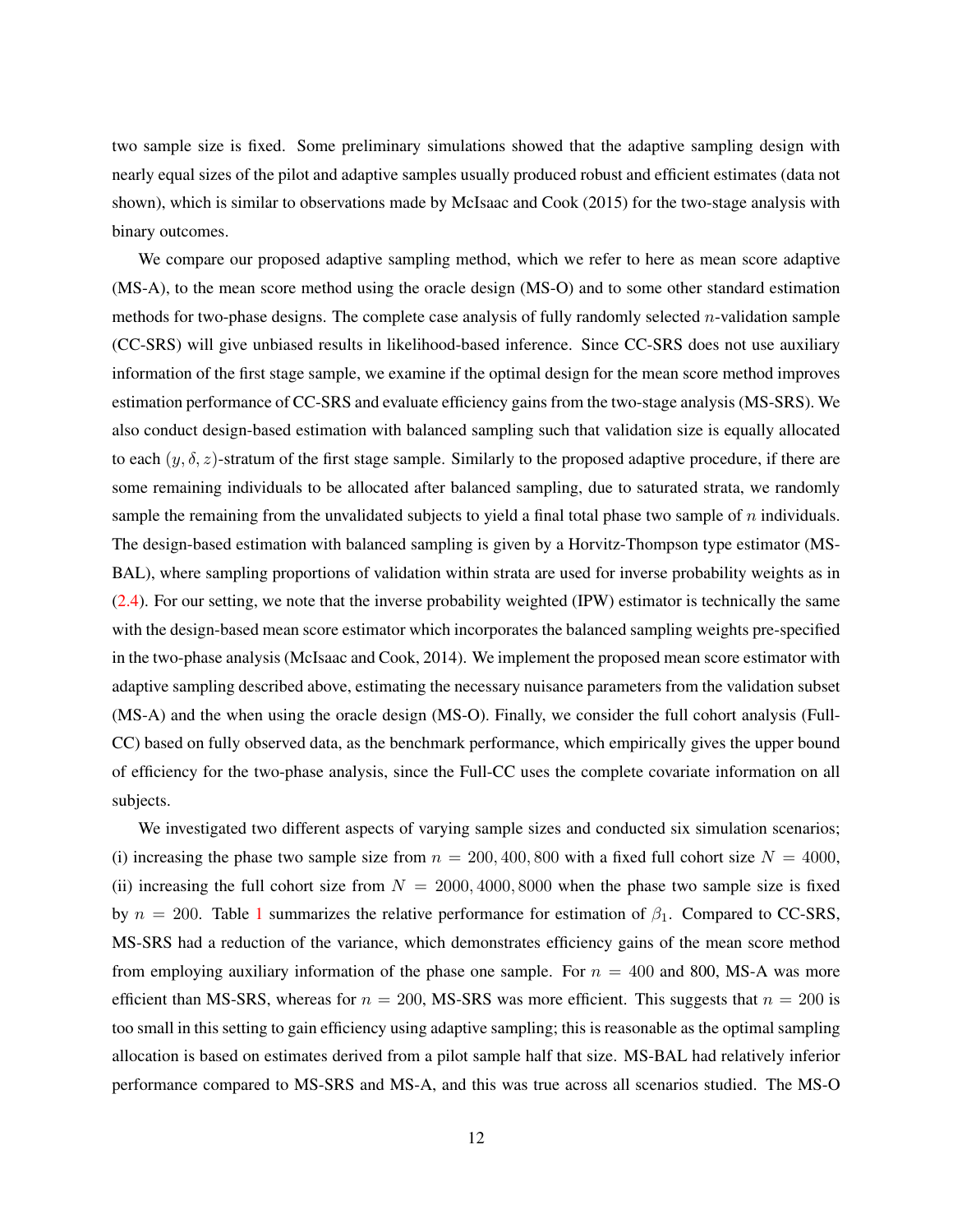two sample size is fixed. Some preliminary simulations showed that the adaptive sampling design with nearly equal sizes of the pilot and adaptive samples usually produced robust and efficient estimates (data not shown), which is similar to observations made by [McIsaac and Cook](#page-21-6) [\(2015\)](#page-21-6) for the two-stage analysis with binary outcomes.

We compare our proposed adaptive sampling method, which we refer to here as mean score adaptive (MS-A), to the mean score method using the oracle design (MS-O) and to some other standard estimation methods for two-phase designs. The complete case analysis of fully randomly selected n-validation sample (CC-SRS) will give unbiased results in likelihood-based inference. Since CC-SRS does not use auxiliary information of the first stage sample, we examine if the optimal design for the mean score method improves estimation performance of CC-SRS and evaluate efficiency gains from the two-stage analysis (MS-SRS). We also conduct design-based estimation with balanced sampling such that validation size is equally allocated to each  $(y, \delta, z)$ -stratum of the first stage sample. Similarly to the proposed adaptive procedure, if there are some remaining individuals to be allocated after balanced sampling, due to saturated strata, we randomly sample the remaining from the unvalidated subjects to yield a final total phase two sample of  $n$  individuals. The design-based estimation with balanced sampling is given by a Horvitz-Thompson type estimator (MS-BAL), where sampling proportions of validation within strata are used for inverse probability weights as in [\(2.4\)](#page-5-0). For our setting, we note that the inverse probability weighted (IPW) estimator is technically the same with the design-based mean score estimator which incorporates the balanced sampling weights pre-specified in the two-phase analysis [\(McIsaac and Cook,](#page-21-2) [2014\)](#page-21-2). We implement the proposed mean score estimator with adaptive sampling described above, estimating the necessary nuisance parameters from the validation subset (MS-A) and the when using the oracle design (MS-O). Finally, we consider the full cohort analysis (Full-CC) based on fully observed data, as the benchmark performance, which empirically gives the upper bound of efficiency for the two-phase analysis, since the Full-CC uses the complete covariate information on all subjects.

We investigated two different aspects of varying sample sizes and conducted six simulation scenarios; (i) increasing the phase two sample size from  $n = 200, 400, 800$  with a fixed full cohort size  $N = 4000$ , (ii) increasing the full cohort size from  $N = 2000, 4000, 8000$  when the phase two sample size is fixed by  $n = 200$ . Table [1](#page-12-0) summarizes the relative performance for estimation of  $\beta_1$ . Compared to CC-SRS, MS-SRS had a reduction of the variance, which demonstrates efficiency gains of the mean score method from employing auxiliary information of the phase one sample. For  $n = 400$  and 800, MS-A was more efficient than MS-SRS, whereas for  $n = 200$ , MS-SRS was more efficient. This suggests that  $n = 200$  is too small in this setting to gain efficiency using adaptive sampling; this is reasonable as the optimal sampling allocation is based on estimates derived from a pilot sample half that size. MS-BAL had relatively inferior performance compared to MS-SRS and MS-A, and this was true across all scenarios studied. The MS-O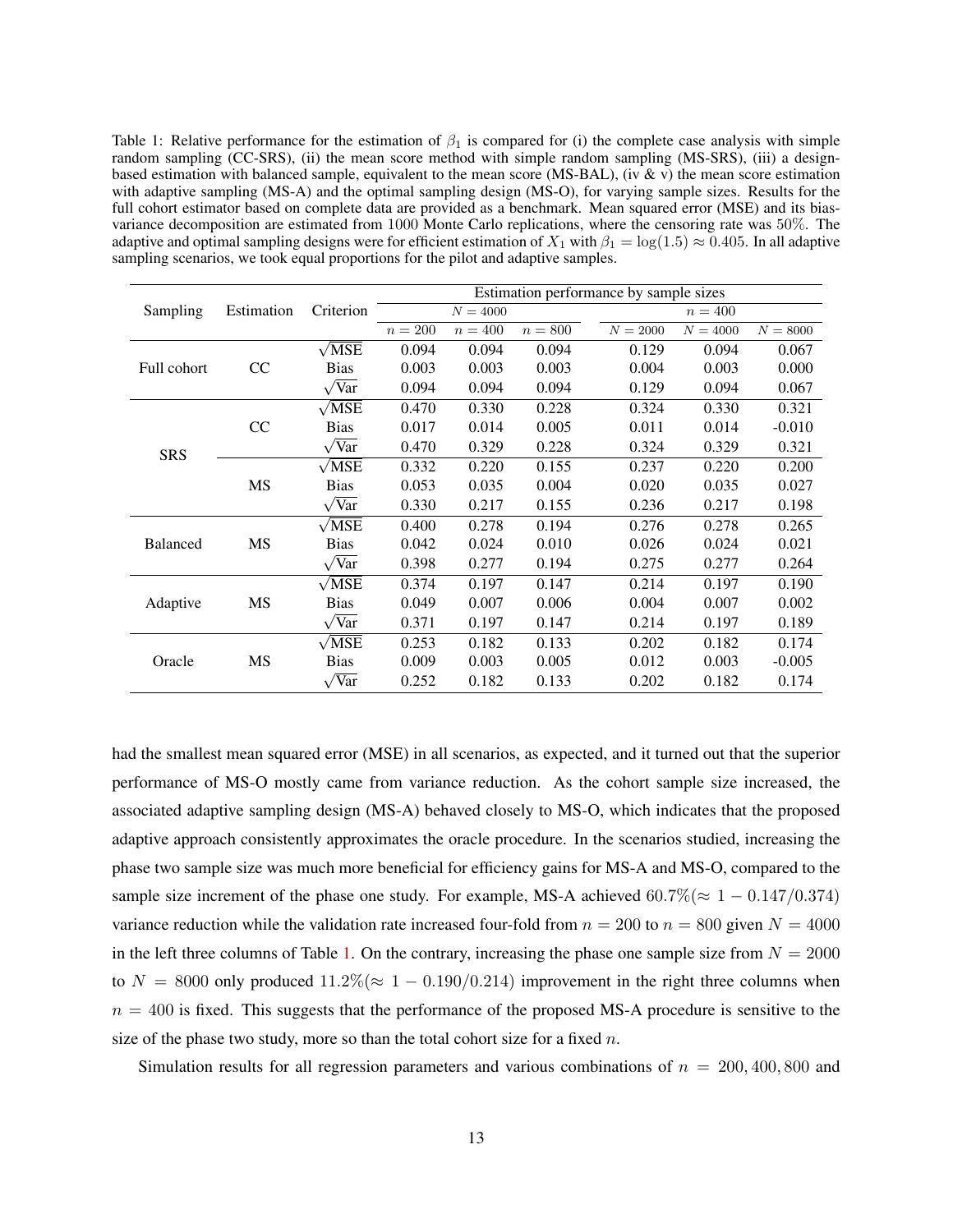<span id="page-12-0"></span>Table 1: Relative performance for the estimation of  $\beta_1$  is compared for (i) the complete case analysis with simple random sampling (CC-SRS), (ii) the mean score method with simple random sampling (MS-SRS), (iii) a designbased estimation with balanced sample, equivalent to the mean score (MS-BAL), (iv & v) the mean score estimation with adaptive sampling (MS-A) and the optimal sampling design (MS-O), for varying sample sizes. Results for the full cohort estimator based on complete data are provided as a benchmark. Mean squared error (MSE) and its biasvariance decomposition are estimated from 1000 Monte Carlo replications, where the censoring rate was 50%. The adaptive and optimal sampling designs were for efficient estimation of  $X_1$  with  $\beta_1 = \log(1.5) \approx 0.405$ . In all adaptive sampling scenarios, we took equal proportions for the pilot and adaptive samples.

|                 |            |                         |         |            |         | Estimation performance by sample sizes |            |            |
|-----------------|------------|-------------------------|---------|------------|---------|----------------------------------------|------------|------------|
| Sampling        | Estimation | Criterion               |         | $N = 4000$ |         |                                        | $n = 400$  |            |
|                 |            |                         | $n=200$ | $n=400$    | $n=800$ | $N = 2000$                             | $N = 4000$ | $N = 8000$ |
|                 |            | $\sqrt{\text{MSE}}$     | 0.094   | 0.094      | 0.094   | 0.129                                  | 0.094      | 0.067      |
| Full cohort     | CC         | <b>Bias</b>             | 0.003   | 0.003      | 0.003   | 0.004                                  | 0.003      | 0.000      |
|                 |            | $\sqrt{\text{Var}}$     | 0.094   | 0.094      | 0.094   | 0.129                                  | 0.094      | 0.067      |
|                 |            | $\sqrt{\text{MSE}}$     | 0.470   | 0.330      | 0.228   | 0.324                                  | 0.330      | 0.321      |
|                 | CC         | <b>Bias</b>             | 0.017   | 0.014      | 0.005   | 0.011                                  | 0.014      | $-0.010$   |
| <b>SRS</b>      |            | $\sqrt{Var}$            | 0.470   | 0.329      | 0.228   | 0.324                                  | 0.329      | 0.321      |
|                 |            | $\sqrt{MSE}$            | 0.332   | 0.220      | 0.155   | 0.237                                  | 0.220      | 0.200      |
|                 | MS         | <b>Bias</b>             | 0.053   | 0.035      | 0.004   | 0.020                                  | 0.035      | 0.027      |
|                 |            | $\overline{\text{Var}}$ | 0.330   | 0.217      | 0.155   | 0.236                                  | 0.217      | 0.198      |
|                 |            | $\sqrt{\text{MSE}}$     | 0.400   | 0.278      | 0.194   | 0.276                                  | 0.278      | 0.265      |
| <b>Balanced</b> | MS         | <b>Bias</b>             | 0.042   | 0.024      | 0.010   | 0.026                                  | 0.024      | 0.021      |
|                 |            | $\sqrt{Var}$            | 0.398   | 0.277      | 0.194   | 0.275                                  | 0.277      | 0.264      |
|                 |            | $\sqrt{\text{MSE}}$     | 0.374   | 0.197      | 0.147   | 0.214                                  | 0.197      | 0.190      |
| Adaptive        | MS         | <b>Bias</b>             | 0.049   | 0.007      | 0.006   | 0.004                                  | 0.007      | 0.002      |
|                 |            | $\sqrt{Var}$            | 0.371   | 0.197      | 0.147   | 0.214                                  | 0.197      | 0.189      |
|                 |            | $\sqrt{\text{MSE}}$     | 0.253   | 0.182      | 0.133   | 0.202                                  | 0.182      | 0.174      |
| Oracle          | MS         | <b>Bias</b>             | 0.009   | 0.003      | 0.005   | 0.012                                  | 0.003      | $-0.005$   |
|                 |            | $\sqrt{\text{Var}}$     | 0.252   | 0.182      | 0.133   | 0.202                                  | 0.182      | 0.174      |

had the smallest mean squared error (MSE) in all scenarios, as expected, and it turned out that the superior performance of MS-O mostly came from variance reduction. As the cohort sample size increased, the associated adaptive sampling design (MS-A) behaved closely to MS-O, which indicates that the proposed adaptive approach consistently approximates the oracle procedure. In the scenarios studied, increasing the phase two sample size was much more beneficial for efficiency gains for MS-A and MS-O, compared to the sample size increment of the phase one study. For example, MS-A achieved  $60.7\% (\approx 1 - 0.147/0.374)$ variance reduction while the validation rate increased four-fold from  $n = 200$  to  $n = 800$  given  $N = 4000$ in the left three columns of Table [1.](#page-12-0) On the contrary, increasing the phase one sample size from  $N = 2000$ to  $N = 8000$  only produced  $11.2\% (\approx 1 - 0.190/0.214)$  improvement in the right three columns when  $n = 400$  is fixed. This suggests that the performance of the proposed MS-A procedure is sensitive to the size of the phase two study, more so than the total cohort size for a fixed  $n$ .

Simulation results for all regression parameters and various combinations of  $n = 200, 400, 800$  and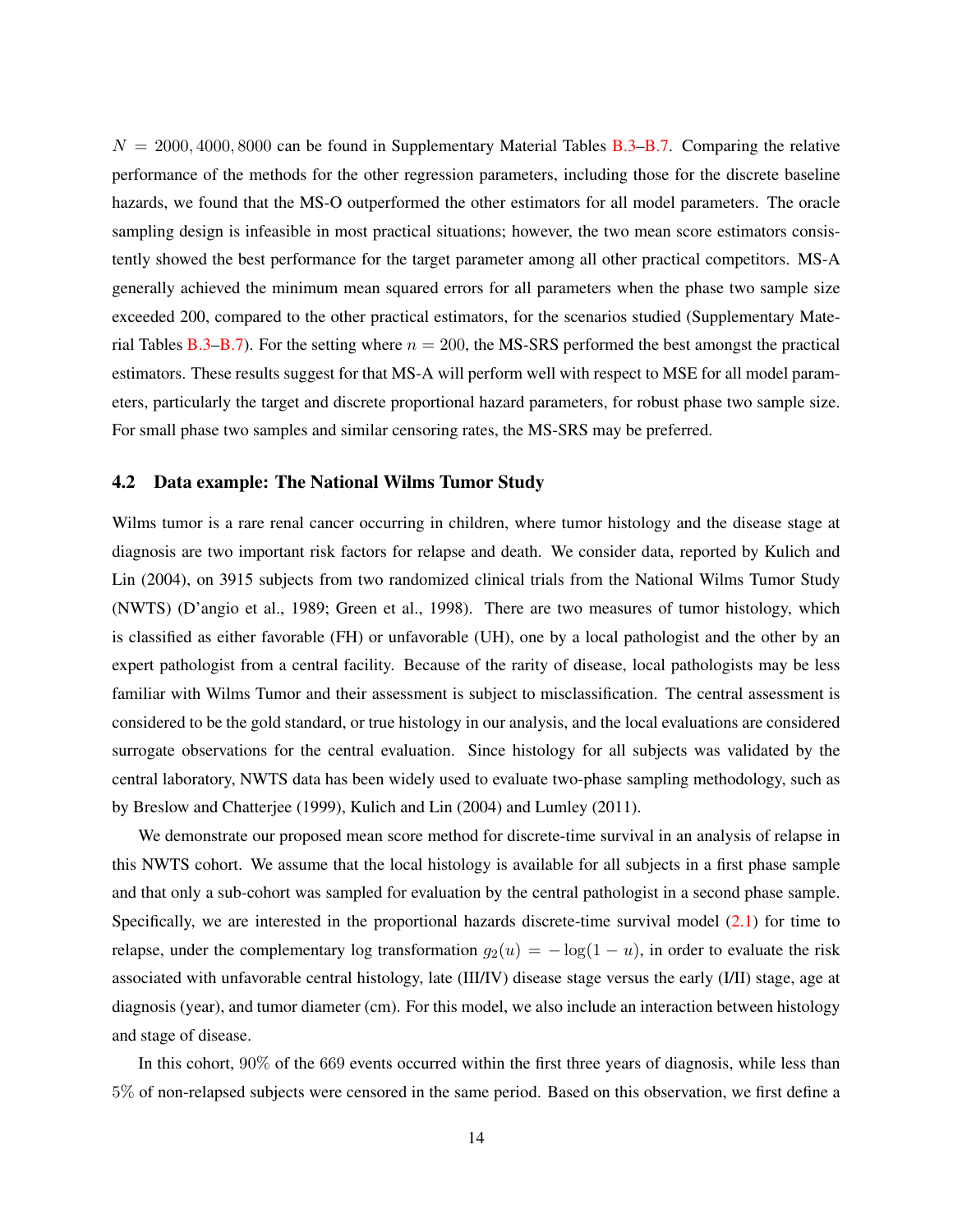$N = 2000, 4000, 8000$  can be found in Supplementary Material Tables [B.3](#page-27-0)[–B.7.](#page-31-0) Comparing the relative performance of the methods for the other regression parameters, including those for the discrete baseline hazards, we found that the MS-O outperformed the other estimators for all model parameters. The oracle sampling design is infeasible in most practical situations; however, the two mean score estimators consistently showed the best performance for the target parameter among all other practical competitors. MS-A generally achieved the minimum mean squared errors for all parameters when the phase two sample size exceeded 200, compared to the other practical estimators, for the scenarios studied (Supplementary Mate-rial Tables [B.3–](#page-27-0)[B.7\)](#page-31-0). For the setting where  $n = 200$ , the MS-SRS performed the best amongst the practical estimators. These results suggest for that MS-A will perform well with respect to MSE for all model parameters, particularly the target and discrete proportional hazard parameters, for robust phase two sample size. For small phase two samples and similar censoring rates, the MS-SRS may be preferred.

#### <span id="page-13-0"></span>4.2 Data example: The National Wilms Tumor Study

Wilms tumor is a rare renal cancer occurring in children, where tumor histology and the disease stage at diagnosis are two important risk factors for relapse and death. We consider data, reported by [Kulich and](#page-21-16) [Lin](#page-21-16) [\(2004\)](#page-21-16), on 3915 subjects from two randomized clinical trials from the National Wilms Tumor Study (NWTS) [\(D'angio et al.,](#page-20-3) [1989;](#page-20-3) [Green et al.,](#page-21-17) [1998\)](#page-21-17). There are two measures of tumor histology, which is classified as either favorable (FH) or unfavorable (UH), one by a local pathologist and the other by an expert pathologist from a central facility. Because of the rarity of disease, local pathologists may be less familiar with Wilms Tumor and their assessment is subject to misclassification. The central assessment is considered to be the gold standard, or true histology in our analysis, and the local evaluations are considered surrogate observations for the central evaluation. Since histology for all subjects was validated by the central laboratory, NWTS data has been widely used to evaluate two-phase sampling methodology, such as by [Breslow and Chatterjee](#page-20-0) [\(1999\)](#page-20-0), [Kulich and Lin](#page-21-16) [\(2004\)](#page-21-16) and [Lumley](#page-21-18) [\(2011\)](#page-21-18).

We demonstrate our proposed mean score method for discrete-time survival in an analysis of relapse in this NWTS cohort. We assume that the local histology is available for all subjects in a first phase sample and that only a sub-cohort was sampled for evaluation by the central pathologist in a second phase sample. Specifically, we are interested in the proportional hazards discrete-time survival model [\(2.1\)](#page-3-0) for time to relapse, under the complementary log transformation  $g_2(u) = -\log(1 - u)$ , in order to evaluate the risk associated with unfavorable central histology, late (III/IV) disease stage versus the early (I/II) stage, age at diagnosis (year), and tumor diameter (cm). For this model, we also include an interaction between histology and stage of disease.

In this cohort,  $90\%$  of the 669 events occurred within the first three years of diagnosis, while less than 5% of non-relapsed subjects were censored in the same period. Based on this observation, we first define a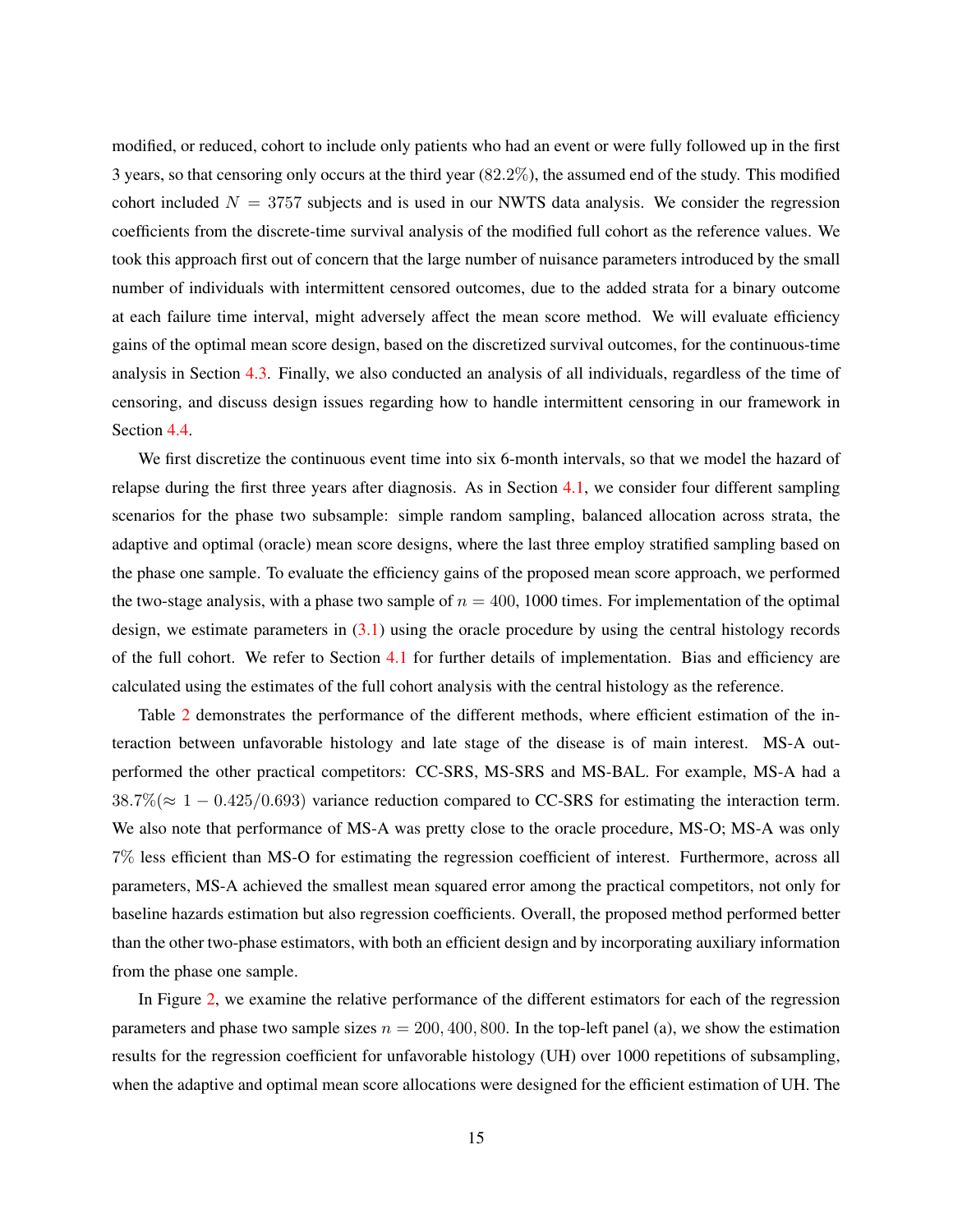modified, or reduced, cohort to include only patients who had an event or were fully followed up in the first 3 years, so that censoring only occurs at the third year (82.2%), the assumed end of the study. This modified cohort included  $N = 3757$  subjects and is used in our NWTS data analysis. We consider the regression coefficients from the discrete-time survival analysis of the modified full cohort as the reference values. We took this approach first out of concern that the large number of nuisance parameters introduced by the small number of individuals with intermittent censored outcomes, due to the added strata for a binary outcome at each failure time interval, might adversely affect the mean score method. We will evaluate efficiency gains of the optimal mean score design, based on the discretized survival outcomes, for the continuous-time analysis in Section [4.3.](#page-15-0) Finally, we also conducted an analysis of all individuals, regardless of the time of censoring, and discuss design issues regarding how to handle intermittent censoring in our framework in Section [4.4.](#page-18-0)

We first discretize the continuous event time into six 6-month intervals, so that we model the hazard of relapse during the first three years after diagnosis. As in Section [4.1,](#page-8-0) we consider four different sampling scenarios for the phase two subsample: simple random sampling, balanced allocation across strata, the adaptive and optimal (oracle) mean score designs, where the last three employ stratified sampling based on the phase one sample. To evaluate the efficiency gains of the proposed mean score approach, we performed the two-stage analysis, with a phase two sample of  $n = 400, 1000$  times. For implementation of the optimal design, we estimate parameters in  $(3.1)$  using the oracle procedure by using the central histology records of the full cohort. We refer to Section [4.1](#page-8-0) for further details of implementation. Bias and efficiency are calculated using the estimates of the full cohort analysis with the central histology as the reference.

Table [2](#page-15-1) demonstrates the performance of the different methods, where efficient estimation of the interaction between unfavorable histology and late stage of the disease is of main interest. MS-A outperformed the other practical competitors: CC-SRS, MS-SRS and MS-BAL. For example, MS-A had a  $38.7\% (\approx 1 - 0.425/0.693)$  variance reduction compared to CC-SRS for estimating the interaction term. We also note that performance of MS-A was pretty close to the oracle procedure, MS-O; MS-A was only 7% less efficient than MS-O for estimating the regression coefficient of interest. Furthermore, across all parameters, MS-A achieved the smallest mean squared error among the practical competitors, not only for baseline hazards estimation but also regression coefficients. Overall, the proposed method performed better than the other two-phase estimators, with both an efficient design and by incorporating auxiliary information from the phase one sample.

In Figure [2,](#page-16-0) we examine the relative performance of the different estimators for each of the regression parameters and phase two sample sizes  $n = 200, 400, 800$ . In the top-left panel (a), we show the estimation results for the regression coefficient for unfavorable histology (UH) over 1000 repetitions of subsampling, when the adaptive and optimal mean score allocations were designed for the efficient estimation of UH. The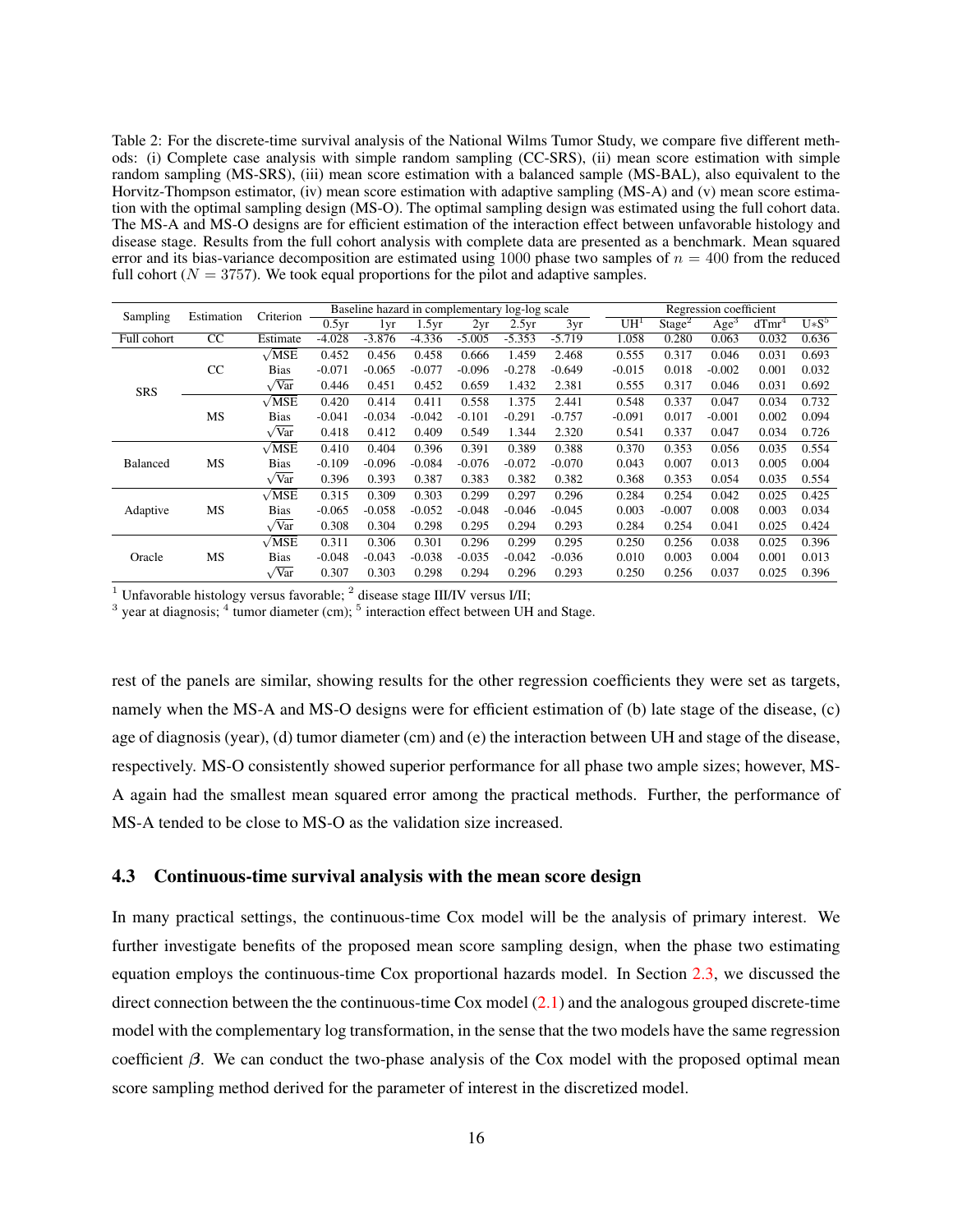<span id="page-15-1"></span>Table 2: For the discrete-time survival analysis of the National Wilms Tumor Study, we compare five different methods: (i) Complete case analysis with simple random sampling (CC-SRS), (ii) mean score estimation with simple random sampling (MS-SRS), (iii) mean score estimation with a balanced sample (MS-BAL), also equivalent to the Horvitz-Thompson estimator, (iv) mean score estimation with adaptive sampling (MS-A) and (v) mean score estimation with the optimal sampling design (MS-O). The optimal sampling design was estimated using the full cohort data. The MS-A and MS-O designs are for efficient estimation of the interaction effect between unfavorable histology and disease stage. Results from the full cohort analysis with complete data are presented as a benchmark. Mean squared error and its bias-variance decomposition are estimated using 1000 phase two samples of  $n = 400$  from the reduced full cohort ( $N = 3757$ ). We took equal proportions for the pilot and adaptive samples.

| Sampling    | Estimation | Criterion    |          | Baseline hazard in complementary log-log scale |          |          |          |          |                 |                    | Regression coefficient |          |         |
|-------------|------------|--------------|----------|------------------------------------------------|----------|----------|----------|----------|-----------------|--------------------|------------------------|----------|---------|
|             |            |              | 0.5yr    | 1yr                                            | 1.5yr    | 2yr      | 2.5yr    | 3yr      | UH <sup>1</sup> | Stage <sup>2</sup> | Age <sup>3</sup>       | $dTmr^4$ | $U*S^5$ |
| Full cohort | CC         | Estimate     | $-4.028$ | $-3.876$                                       | $-4.336$ | $-5.005$ | $-5.353$ | $-5.719$ | 1.058           | 0.280              | 0.063                  | 0.032    | 0.636   |
|             |            | $\sqrt{MSE}$ | 0.452    | 0.456                                          | 0.458    | 0.666    | 1.459    | 2.468    | 0.555           | 0.317              | 0.046                  | 0.031    | 0.693   |
|             | CC         | <b>Bias</b>  | $-0.071$ | $-0.065$                                       | $-0.077$ | $-0.096$ | $-0.278$ | $-0.649$ | $-0.015$        | 0.018              | $-0.002$               | 0.001    | 0.032   |
| <b>SRS</b>  |            | $\sqrt{Var}$ | 0.446    | 0.451                                          | 0.452    | 0.659    | 1.432    | 2.381    | 0.555           | 0.317              | 0.046                  | 0.031    | 0.692   |
|             |            | $\sqrt{MSE}$ | 0.420    | 0.414                                          | 0.411    | 0.558    | 1.375    | 2.441    | 0.548           | 0.337              | 0.047                  | 0.034    | 0.732   |
|             | MS         | <b>Bias</b>  | $-0.041$ | $-0.034$                                       | $-0.042$ | $-0.101$ | $-0.291$ | $-0.757$ | $-0.091$        | 0.017              | $-0.001$               | 0.002    | 0.094   |
|             |            | $\sqrt{Var}$ | 0.418    | 0.412                                          | 0.409    | 0.549    | 1.344    | 2.320    | 0.541           | 0.337              | 0.047                  | 0.034    | 0.726   |
|             |            | $\sqrt{MSE}$ | 0.410    | 0.404                                          | 0.396    | 0.391    | 0.389    | 0.388    | 0.370           | 0.353              | 0.056                  | 0.035    | 0.554   |
| Balanced    | MS         | <b>Bias</b>  | $-0.109$ | $-0.096$                                       | $-0.084$ | $-0.076$ | $-0.072$ | $-0.070$ | 0.043           | 0.007              | 0.013                  | 0.005    | 0.004   |
|             |            | $\sqrt{Var}$ | 0.396    | 0.393                                          | 0.387    | 0.383    | 0.382    | 0.382    | 0.368           | 0.353              | 0.054                  | 0.035    | 0.554   |
|             |            | $\sqrt{MSE}$ | 0.315    | 0.309                                          | 0.303    | 0.299    | 0.297    | 0.296    | 0.284           | 0.254              | 0.042                  | 0.025    | 0.425   |
| Adaptive    | MS         | Bias         | $-0.065$ | $-0.058$                                       | $-0.052$ | $-0.048$ | $-0.046$ | $-0.045$ | 0.003           | $-0.007$           | 0.008                  | 0.003    | 0.034   |
|             |            | $\sqrt{Var}$ | 0.308    | 0.304                                          | 0.298    | 0.295    | 0.294    | 0.293    | 0.284           | 0.254              | 0.041                  | 0.025    | 0.424   |
|             |            | $\sqrt{MSE}$ | 0.311    | 0.306                                          | 0.301    | 0.296    | 0.299    | 0.295    | 0.250           | 0.256              | 0.038                  | 0.025    | 0.396   |
| Oracle      | MS         | Bias         | $-0.048$ | $-0.043$                                       | $-0.038$ | $-0.035$ | $-0.042$ | $-0.036$ | 0.010           | 0.003              | 0.004                  | 0.001    | 0.013   |
|             |            | $\sqrt{Var}$ | 0.307    | 0.303                                          | 0.298    | 0.294    | 0.296    | 0.293    | 0.250           | 0.256              | 0.037                  | 0.025    | 0.396   |

<sup>1</sup> Unfavorable histology versus favorable;  $^2$  disease stage III/IV versus I/II;

 $3$  year at diagnosis;  $4$  tumor diameter (cm);  $5$  interaction effect between UH and Stage.

rest of the panels are similar, showing results for the other regression coefficients they were set as targets, namely when the MS-A and MS-O designs were for efficient estimation of (b) late stage of the disease, (c) age of diagnosis (year), (d) tumor diameter (cm) and (e) the interaction between UH and stage of the disease, respectively. MS-O consistently showed superior performance for all phase two ample sizes; however, MS-A again had the smallest mean squared error among the practical methods. Further, the performance of MS-A tended to be close to MS-O as the validation size increased.

#### <span id="page-15-0"></span>4.3 Continuous-time survival analysis with the mean score design

In many practical settings, the continuous-time Cox model will be the analysis of primary interest. We further investigate benefits of the proposed mean score sampling design, when the phase two estimating equation employs the continuous-time Cox proportional hazards model. In Section [2.3,](#page-5-1) we discussed the direct connection between the the continuous-time Cox model [\(2.1\)](#page-3-0) and the analogous grouped discrete-time model with the complementary log transformation, in the sense that the two models have the same regression coefficient  $\beta$ . We can conduct the two-phase analysis of the Cox model with the proposed optimal mean score sampling method derived for the parameter of interest in the discretized model.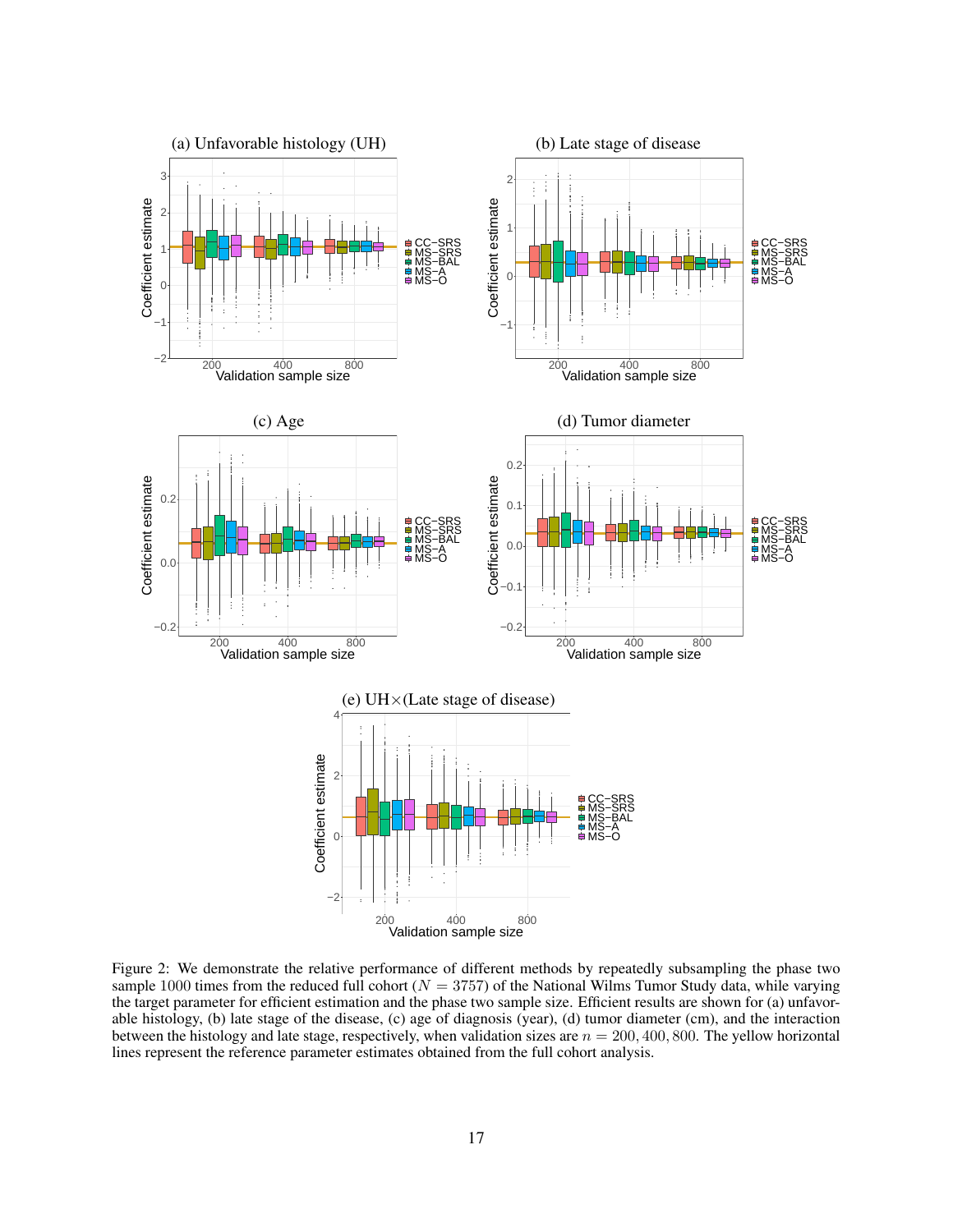<span id="page-16-0"></span>

Figure 2: We demonstrate the relative performance of different methods by repeatedly subsampling the phase two sample 1000 times from the reduced full cohort ( $N = 3757$ ) of the National Wilms Tumor Study data, while varying the target parameter for efficient estimation and the phase two sample size. Efficient results are shown for (a) unfavorable histology, (b) late stage of the disease, (c) age of diagnosis (year), (d) tumor diameter (cm), and the interaction between the histology and late stage, respectively, when validation sizes are  $n = 200, 400, 800$ . The yellow horizontal lines represent the reference parameter estimates obtained from the full cohort analysis.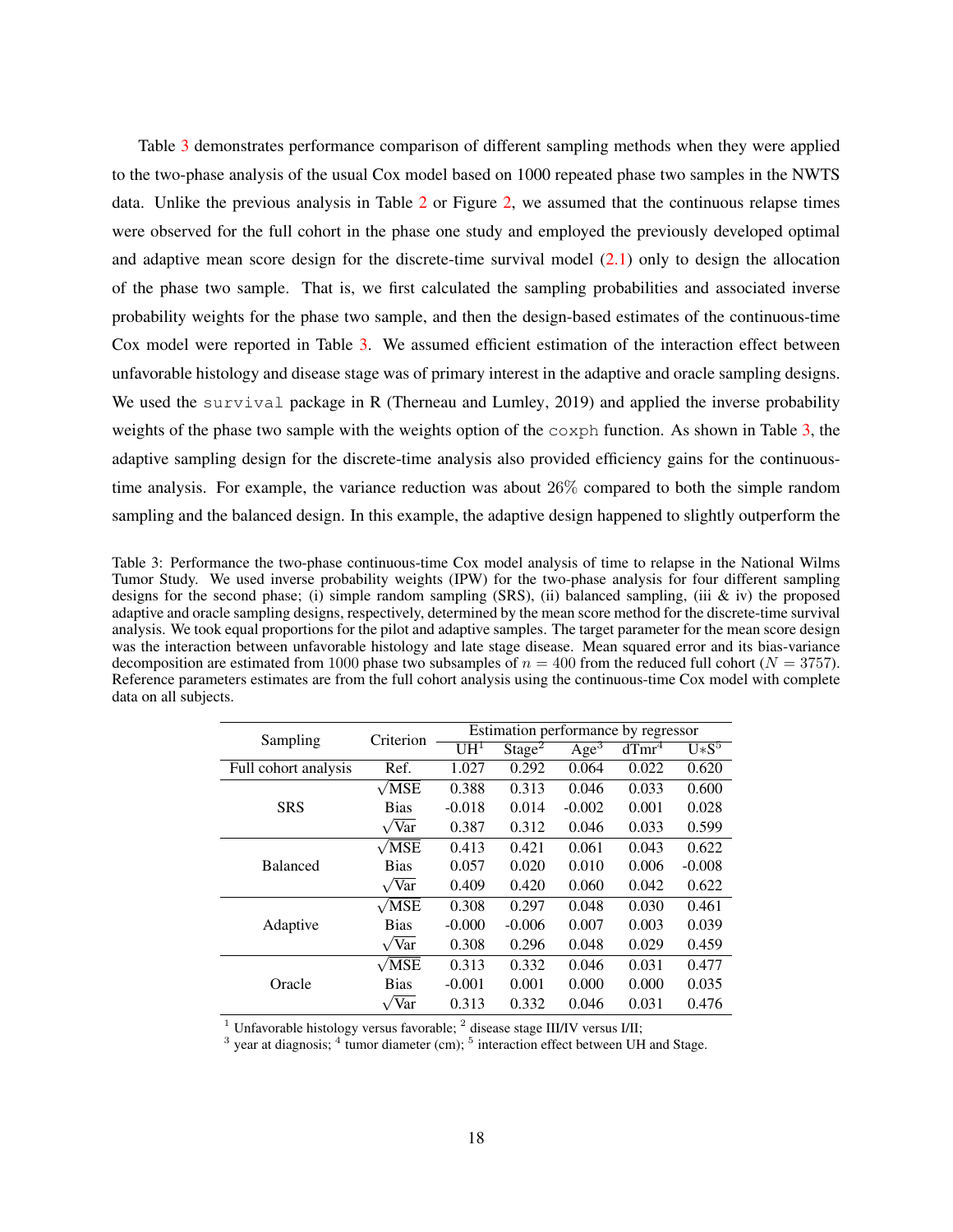Table [3](#page-17-0) demonstrates performance comparison of different sampling methods when they were applied to the two-phase analysis of the usual Cox model based on 1000 repeated phase two samples in the NWTS data. Unlike the previous analysis in Table [2](#page-15-1) or Figure [2,](#page-16-0) we assumed that the continuous relapse times were observed for the full cohort in the phase one study and employed the previously developed optimal and adaptive mean score design for the discrete-time survival model [\(2.1\)](#page-3-0) only to design the allocation of the phase two sample. That is, we first calculated the sampling probabilities and associated inverse probability weights for the phase two sample, and then the design-based estimates of the continuous-time Cox model were reported in Table [3.](#page-17-0) We assumed efficient estimation of the interaction effect between unfavorable histology and disease stage was of primary interest in the adaptive and oracle sampling designs. We used the survival package in R [\(Therneau and Lumley,](#page-21-19) [2019\)](#page-21-19) and applied the inverse probability weights of the phase two sample with the weights option of the  $\cosph$  function. As shown in Table [3,](#page-17-0) the adaptive sampling design for the discrete-time analysis also provided efficiency gains for the continuoustime analysis. For example, the variance reduction was about 26% compared to both the simple random sampling and the balanced design. In this example, the adaptive design happened to slightly outperform the

<span id="page-17-0"></span>Table 3: Performance the two-phase continuous-time Cox model analysis of time to relapse in the National Wilms Tumor Study. We used inverse probability weights (IPW) for the two-phase analysis for four different sampling designs for the second phase; (i) simple random sampling (SRS), (ii) balanced sampling, (iii & iv) the proposed adaptive and oracle sampling designs, respectively, determined by the mean score method for the discrete-time survival analysis. We took equal proportions for the pilot and adaptive samples. The target parameter for the mean score design was the interaction between unfavorable histology and late stage disease. Mean squared error and its bias-variance decomposition are estimated from 1000 phase two subsamples of  $n = 400$  from the reduced full cohort ( $N = 3757$ ). Reference parameters estimates are from the full cohort analysis using the continuous-time Cox model with complete data on all subjects.

| Sampling             | Criterion           |          | Estimation performance by regressor |                    |          |             |
|----------------------|---------------------|----------|-------------------------------------|--------------------|----------|-------------|
|                      |                     | $UH^1$   | Stage <sup>2</sup>                  | $\overline{Age^3}$ | $dTmr^4$ | $U\ast S^5$ |
| Full cohort analysis | Ref.                | 1.027    | 0.292                               | 0.064              | 0.022    | 0.620       |
|                      | $\sqrt{\text{MSE}}$ | 0.388    | 0.313                               | 0.046              | 0.033    | 0.600       |
| <b>SRS</b>           | <b>Bias</b>         | $-0.018$ | 0.014                               | $-0.002$           | 0.001    | 0.028       |
|                      | $\sqrt{Var}$        | 0.387    | 0.312                               | 0.046              | 0.033    | 0.599       |
|                      | $\sqrt{MSE}$        | 0.413    | 0.421                               | 0.061              | 0.043    | 0.622       |
| <b>Balanced</b>      | <b>Bias</b>         | 0.057    | 0.020                               | 0.010              | 0.006    | $-0.008$    |
|                      | $\sqrt{Var}$        | 0.409    | 0.420                               | 0.060              | 0.042    | 0.622       |
|                      | $\sqrt{MSE}$        | 0.308    | 0.297                               | 0.048              | 0.030    | 0.461       |
| Adaptive             | <b>Bias</b>         | $-0.000$ | $-0.006$                            | 0.007              | 0.003    | 0.039       |
|                      | $\sqrt{Var}$        | 0.308    | 0.296                               | 0.048              | 0.029    | 0.459       |
|                      | $\sqrt{MSE}$        | 0.313    | 0.332                               | 0.046              | 0.031    | 0.477       |
| Oracle               | <b>Bias</b>         | $-0.001$ | 0.001                               | 0.000              | 0.000    | 0.035       |
|                      | $\sqrt{Var}$        | 0.313    | 0.332                               | 0.046              | 0.031    | 0.476       |

<sup>1</sup> Unfavorable histology versus favorable;  $^2$  disease stage III/IV versus I/II;

 $3$  year at diagnosis;  $4$  tumor diameter (cm);  $5$  interaction effect between UH and Stage.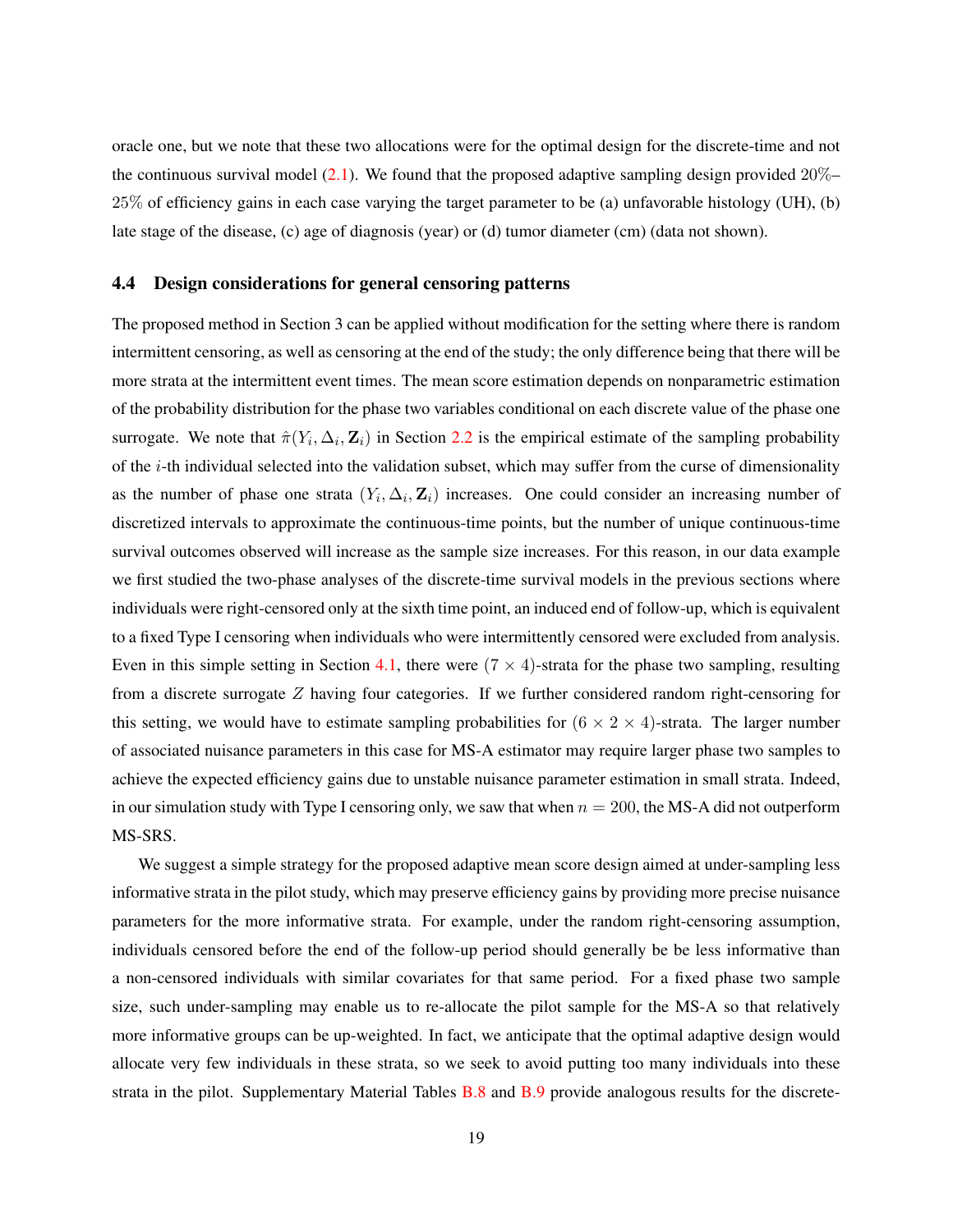oracle one, but we note that these two allocations were for the optimal design for the discrete-time and not the continuous survival model  $(2.1)$ . We found that the proposed adaptive sampling design provided  $20\%$ 25% of efficiency gains in each case varying the target parameter to be (a) unfavorable histology (UH), (b) late stage of the disease, (c) age of diagnosis (year) or (d) tumor diameter (cm) (data not shown).

#### <span id="page-18-0"></span>4.4 Design considerations for general censoring patterns

The proposed method in Section 3 can be applied without modification for the setting where there is random intermittent censoring, as well as censoring at the end of the study; the only difference being that there will be more strata at the intermittent event times. The mean score estimation depends on nonparametric estimation of the probability distribution for the phase two variables conditional on each discrete value of the phase one surrogate. We note that  $\hat{\pi}(Y_i, \Delta_i, \mathbf{Z}_i)$  in Section [2.2](#page-4-2) is the empirical estimate of the sampling probability of the i-th individual selected into the validation subset, which may suffer from the curse of dimensionality as the number of phase one strata  $(Y_i, \Delta_i, \mathbf{Z}_i)$  increases. One could consider an increasing number of discretized intervals to approximate the continuous-time points, but the number of unique continuous-time survival outcomes observed will increase as the sample size increases. For this reason, in our data example we first studied the two-phase analyses of the discrete-time survival models in the previous sections where individuals were right-censored only at the sixth time point, an induced end of follow-up, which is equivalent to a fixed Type I censoring when individuals who were intermittently censored were excluded from analysis. Even in this simple setting in Section [4.1,](#page-8-0) there were  $(7 \times 4)$ -strata for the phase two sampling, resulting from a discrete surrogate Z having four categories. If we further considered random right-censoring for this setting, we would have to estimate sampling probabilities for  $(6 \times 2 \times 4)$ -strata. The larger number of associated nuisance parameters in this case for MS-A estimator may require larger phase two samples to achieve the expected efficiency gains due to unstable nuisance parameter estimation in small strata. Indeed, in our simulation study with Type I censoring only, we saw that when  $n = 200$ , the MS-A did not outperform MS-SRS.

We suggest a simple strategy for the proposed adaptive mean score design aimed at under-sampling less informative strata in the pilot study, which may preserve efficiency gains by providing more precise nuisance parameters for the more informative strata. For example, under the random right-censoring assumption, individuals censored before the end of the follow-up period should generally be be less informative than a non-censored individuals with similar covariates for that same period. For a fixed phase two sample size, such under-sampling may enable us to re-allocate the pilot sample for the MS-A so that relatively more informative groups can be up-weighted. In fact, we anticipate that the optimal adaptive design would allocate very few individuals in these strata, so we seek to avoid putting too many individuals into these strata in the pilot. Supplementary Material Tables [B.8](#page-32-0) and [B.9](#page-33-0) provide analogous results for the discrete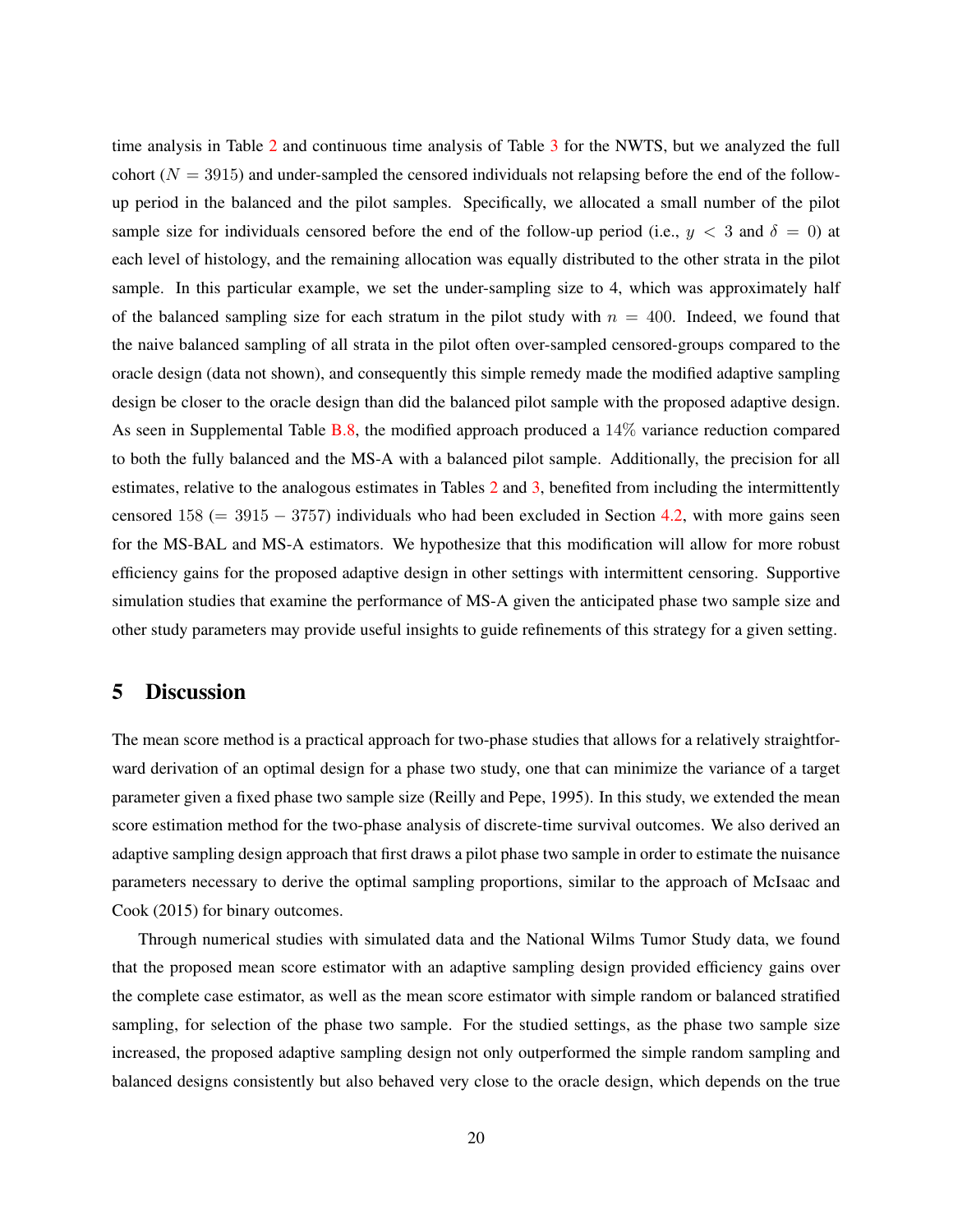time analysis in Table [2](#page-15-1) and continuous time analysis of Table [3](#page-17-0) for the NWTS, but we analyzed the full cohort ( $N = 3915$ ) and under-sampled the censored individuals not relapsing before the end of the followup period in the balanced and the pilot samples. Specifically, we allocated a small number of the pilot sample size for individuals censored before the end of the follow-up period (i.e.,  $y < 3$  and  $\delta = 0$ ) at each level of histology, and the remaining allocation was equally distributed to the other strata in the pilot sample. In this particular example, we set the under-sampling size to 4, which was approximately half of the balanced sampling size for each stratum in the pilot study with  $n = 400$ . Indeed, we found that the naive balanced sampling of all strata in the pilot often over-sampled censored-groups compared to the oracle design (data not shown), and consequently this simple remedy made the modified adaptive sampling design be closer to the oracle design than did the balanced pilot sample with the proposed adaptive design. As seen in Supplemental Table [B.8,](#page-32-0) the modified approach produced a 14% variance reduction compared to both the fully balanced and the MS-A with a balanced pilot sample. Additionally, the precision for all estimates, relative to the analogous estimates in Tables [2](#page-15-1) and [3,](#page-17-0) benefited from including the intermittently censored  $158 (= 3915 - 3757)$  individuals who had been excluded in Section [4.2,](#page-13-0) with more gains seen for the MS-BAL and MS-A estimators. We hypothesize that this modification will allow for more robust efficiency gains for the proposed adaptive design in other settings with intermittent censoring. Supportive simulation studies that examine the performance of MS-A given the anticipated phase two sample size and other study parameters may provide useful insights to guide refinements of this strategy for a given setting.

## 5 Discussion

The mean score method is a practical approach for two-phase studies that allows for a relatively straightforward derivation of an optimal design for a phase two study, one that can minimize the variance of a target parameter given a fixed phase two sample size [\(Reilly and Pepe,](#page-21-0) [1995\)](#page-21-0). In this study, we extended the mean score estimation method for the two-phase analysis of discrete-time survival outcomes. We also derived an adaptive sampling design approach that first draws a pilot phase two sample in order to estimate the nuisance parameters necessary to derive the optimal sampling proportions, similar to the approach of [McIsaac and](#page-21-6) [Cook](#page-21-6) [\(2015\)](#page-21-6) for binary outcomes.

Through numerical studies with simulated data and the National Wilms Tumor Study data, we found that the proposed mean score estimator with an adaptive sampling design provided efficiency gains over the complete case estimator, as well as the mean score estimator with simple random or balanced stratified sampling, for selection of the phase two sample. For the studied settings, as the phase two sample size increased, the proposed adaptive sampling design not only outperformed the simple random sampling and balanced designs consistently but also behaved very close to the oracle design, which depends on the true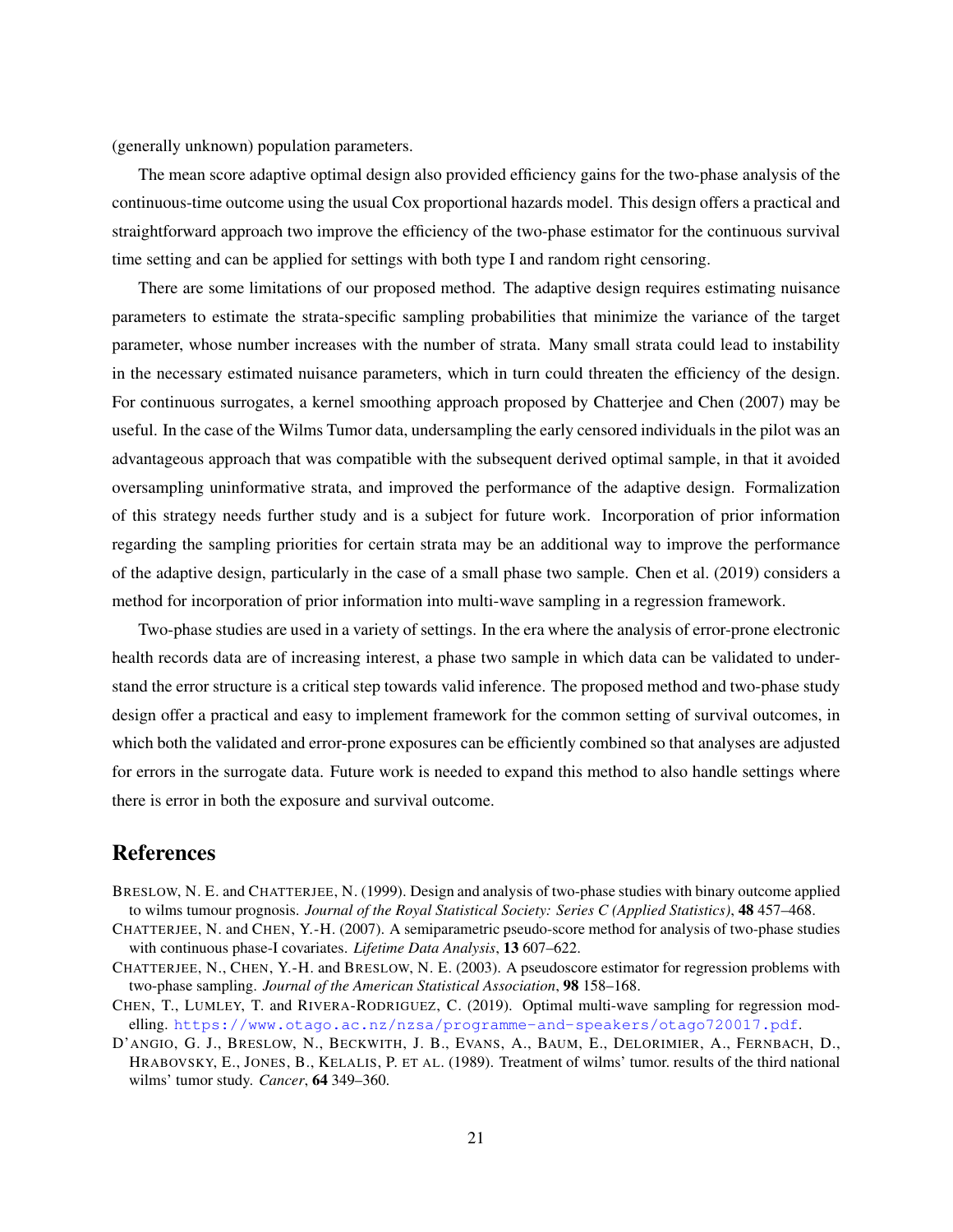(generally unknown) population parameters.

The mean score adaptive optimal design also provided efficiency gains for the two-phase analysis of the continuous-time outcome using the usual Cox proportional hazards model. This design offers a practical and straightforward approach two improve the efficiency of the two-phase estimator for the continuous survival time setting and can be applied for settings with both type I and random right censoring.

There are some limitations of our proposed method. The adaptive design requires estimating nuisance parameters to estimate the strata-specific sampling probabilities that minimize the variance of the target parameter, whose number increases with the number of strata. Many small strata could lead to instability in the necessary estimated nuisance parameters, which in turn could threaten the efficiency of the design. For continuous surrogates, a kernel smoothing approach proposed by [Chatterjee and Chen](#page-20-2) [\(2007\)](#page-20-2) may be useful. In the case of the Wilms Tumor data, undersampling the early censored individuals in the pilot was an advantageous approach that was compatible with the subsequent derived optimal sample, in that it avoided oversampling uninformative strata, and improved the performance of the adaptive design. Formalization of this strategy needs further study and is a subject for future work. Incorporation of prior information regarding the sampling priorities for certain strata may be an additional way to improve the performance of the adaptive design, particularly in the case of a small phase two sample. [Chen et al.](#page-20-4) [\(2019\)](#page-20-4) considers a method for incorporation of prior information into multi-wave sampling in a regression framework.

Two-phase studies are used in a variety of settings. In the era where the analysis of error-prone electronic health records data are of increasing interest, a phase two sample in which data can be validated to understand the error structure is a critical step towards valid inference. The proposed method and two-phase study design offer a practical and easy to implement framework for the common setting of survival outcomes, in which both the validated and error-prone exposures can be efficiently combined so that analyses are adjusted for errors in the surrogate data. Future work is needed to expand this method to also handle settings where there is error in both the exposure and survival outcome.

## References

- <span id="page-20-0"></span>BRESLOW, N. E. and CHATTERJEE, N. (1999). Design and analysis of two-phase studies with binary outcome applied to wilms tumour prognosis. *Journal of the Royal Statistical Society: Series C (Applied Statistics)*, 48 457–468.
- <span id="page-20-2"></span>CHATTERJEE, N. and CHEN, Y.-H. (2007). A semiparametric pseudo-score method for analysis of two-phase studies with continuous phase-I covariates. *Lifetime Data Analysis*, 13 607–622.
- <span id="page-20-1"></span>CHATTERJEE, N., CHEN, Y.-H. and BRESLOW, N. E. (2003). A pseudoscore estimator for regression problems with two-phase sampling. *Journal of the American Statistical Association*, 98 158–168.
- <span id="page-20-4"></span>CHEN, T., LUMLEY, T. and RIVERA-RODRIGUEZ, C. (2019). Optimal multi-wave sampling for regression modelling. <https://www.otago.ac.nz/nzsa/programme-and-speakers/otago720017.pdf>.
- <span id="page-20-3"></span>D'ANGIO, G. J., BRESLOW, N., BECKWITH, J. B., EVANS, A., BAUM, E., DELORIMIER, A., FERNBACH, D., HRABOVSKY, E., JONES, B., KELALIS, P. ET AL. (1989). Treatment of wilms' tumor. results of the third national wilms' tumor study. *Cancer*, 64 349–360.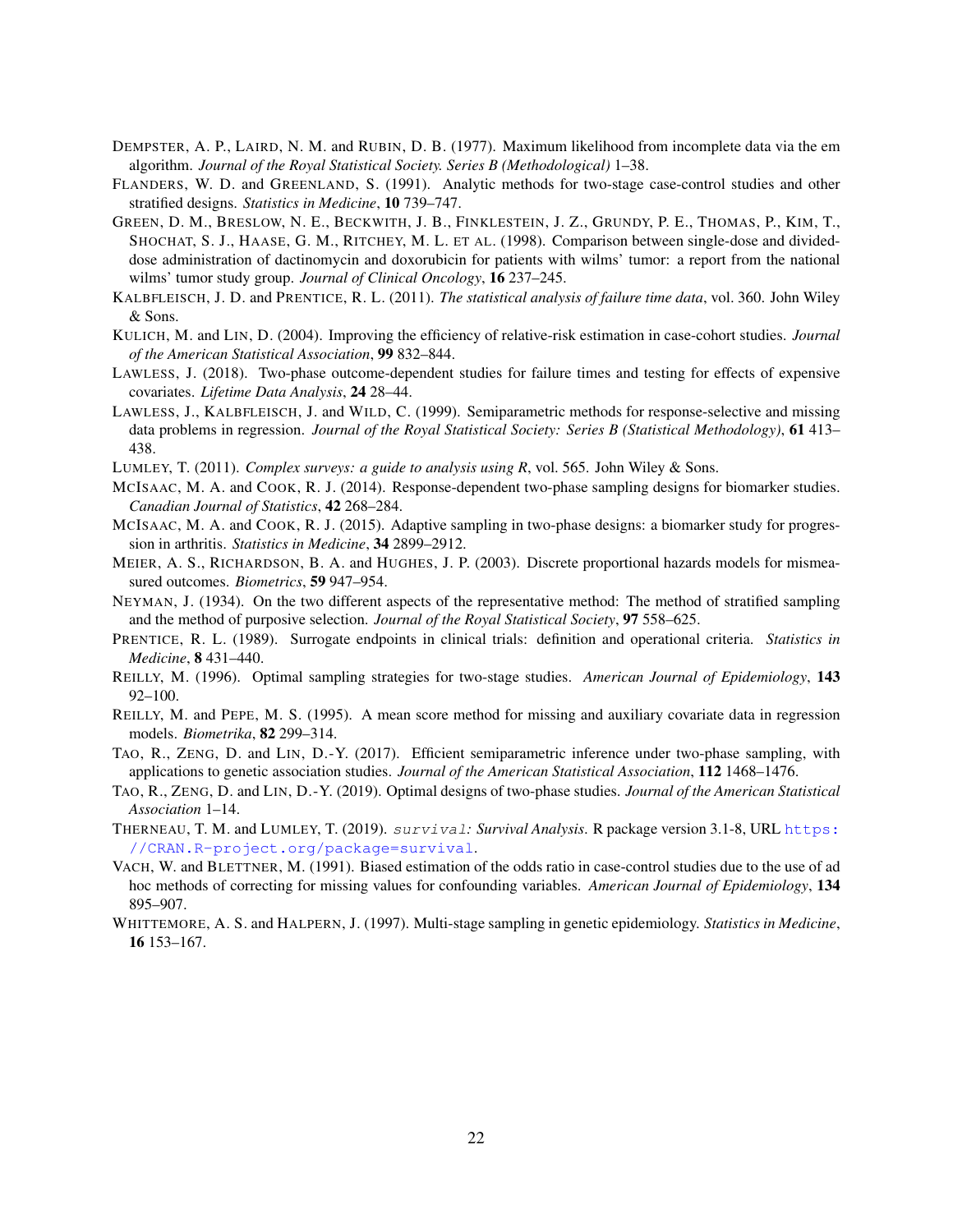- <span id="page-21-12"></span>DEMPSTER, A. P., LAIRD, N. M. and RUBIN, D. B. (1977). Maximum likelihood from incomplete data via the em algorithm. *Journal of the Royal Statistical Society. Series B (Methodological)* 1–38.
- <span id="page-21-13"></span>FLANDERS, W. D. and GREENLAND, S. (1991). Analytic methods for two-stage case-control studies and other stratified designs. *Statistics in Medicine*, 10 739–747.
- <span id="page-21-17"></span>GREEN, D. M., BRESLOW, N. E., BECKWITH, J. B., FINKLESTEIN, J. Z., GRUNDY, P. E., THOMAS, P., KIM, T., SHOCHAT, S. J., HAASE, G. M., RITCHEY, M. L. ET AL. (1998). Comparison between single-dose and divideddose administration of dactinomycin and doxorubicin for patients with wilms' tumor: a report from the national wilms' tumor study group. *Journal of Clinical Oncology*, 16 237–245.
- <span id="page-21-8"></span>KALBFLEISCH, J. D. and PRENTICE, R. L. (2011). *The statistical analysis of failure time data*, vol. 360. John Wiley & Sons.
- <span id="page-21-16"></span>KULICH, M. and LIN, D. (2004). Improving the efficiency of relative-risk estimation in case-cohort studies. *Journal of the American Statistical Association*, 99 832–844.
- <span id="page-21-3"></span>LAWLESS, J. (2018). Two-phase outcome-dependent studies for failure times and testing for effects of expensive covariates. *Lifetime Data Analysis*, 24 28–44.
- <span id="page-21-9"></span>LAWLESS, J., KALBFLEISCH, J. and WILD, C. (1999). Semiparametric methods for response-selective and missing data problems in regression. *Journal of the Royal Statistical Society: Series B (Statistical Methodology)*, 61 413– 438.
- <span id="page-21-18"></span>LUMLEY, T. (2011). *Complex surveys: a guide to analysis using R*, vol. 565. John Wiley & Sons.
- <span id="page-21-2"></span>MCISAAC, M. A. and COOK, R. J. (2014). Response-dependent two-phase sampling designs for biomarker studies. *Canadian Journal of Statistics*, 42 268–284.
- <span id="page-21-6"></span>MCISAAC, M. A. and COOK, R. J. (2015). Adaptive sampling in two-phase designs: a biomarker study for progression in arthritis. *Statistics in Medicine*, 34 2899–2912.
- <span id="page-21-7"></span>MEIER, A. S., RICHARDSON, B. A. and HUGHES, J. P. (2003). Discrete proportional hazards models for mismeasured outcomes. *Biometrics*, 59 947–954.
- <span id="page-21-15"></span>NEYMAN, J. (1934). On the two different aspects of the representative method: The method of stratified sampling and the method of purposive selection. *Journal of the Royal Statistical Society*, 97 558–625.
- <span id="page-21-11"></span>PRENTICE, R. L. (1989). Surrogate endpoints in clinical trials: definition and operational criteria. *Statistics in Medicine*, 8 431–440.
- <span id="page-21-1"></span>REILLY, M. (1996). Optimal sampling strategies for two-stage studies. *American Journal of Epidemiology*, 143 92–100.
- <span id="page-21-0"></span>REILLY, M. and PEPE, M. S. (1995). A mean score method for missing and auxiliary covariate data in regression models. *Biometrika*, 82 299–314.
- <span id="page-21-10"></span>TAO, R., ZENG, D. and LIN, D.-Y. (2017). Efficient semiparametric inference under two-phase sampling, with applications to genetic association studies. *Journal of the American Statistical Association*, 112 1468–1476.
- <span id="page-21-4"></span>TAO, R., ZENG, D. and LIN, D.-Y. (2019). Optimal designs of two-phase studies. *Journal of the American Statistical Association* 1–14.
- <span id="page-21-19"></span>THERNEAU, T. M. and LUMLEY, T. (2019). survival*: Survival Analysis*. R package version 3.1-8, URL [https:](https://CRAN.R-project.org/package=survival) [//CRAN.R-project.org/package=survival](https://CRAN.R-project.org/package=survival).
- <span id="page-21-14"></span>VACH, W. and BLETTNER, M. (1991). Biased estimation of the odds ratio in case-control studies due to the use of ad hoc methods of correcting for missing values for confounding variables. *American Journal of Epidemiology*, 134 895–907.
- <span id="page-21-5"></span>WHITTEMORE, A. S. and HALPERN, J. (1997). Multi-stage sampling in genetic epidemiology. *Statistics in Medicine*, 16 153–167.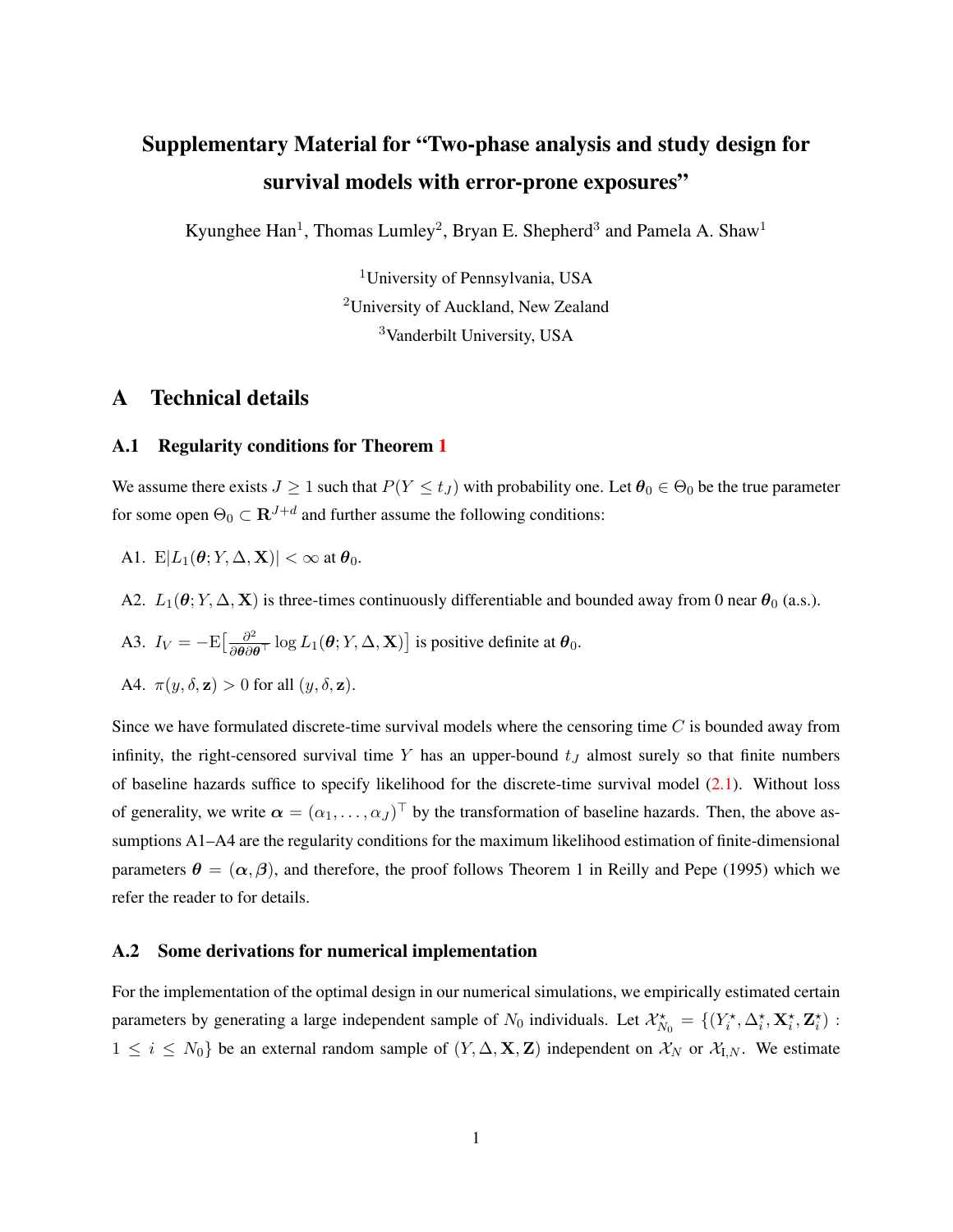## Supplementary Material for "Two-phase analysis and study design for survival models with error-prone exposures"

Kyunghee Han<sup>1</sup>, Thomas Lumley<sup>2</sup>, Bryan E. Shepherd<sup>3</sup> and Pamela A. Shaw<sup>1</sup>

<sup>1</sup>University of Pennsylvania, USA <sup>2</sup>University of Auckland, New Zealand <sup>3</sup>Vanderbilt University, USA

## A Technical details

#### <span id="page-22-1"></span>A.1 Regularity conditions for Theorem [1](#page-6-1)

We assume there exists  $J \ge 1$  such that  $P(Y \le t_J)$  with probability one. Let  $\theta_0 \in \Theta_0$  be the true parameter for some open  $\Theta_0 \subset \mathbf{R}^{J+d}$  and further assume the following conditions:

A1. E $|L_1(\theta; Y, \Delta, \mathbf{X})| < \infty$  at  $\theta_0$ .

A2.  $L_1(\theta; Y, \Delta, \mathbf{X})$  is three-times continuously differentiable and bounded away from 0 near  $\theta_0$  (a.s.).

A3. 
$$
I_V = -E\left[\frac{\partial^2}{\partial \theta \partial \theta^T} \log L_1(\theta; Y, \Delta, \mathbf{X})\right]
$$
 is positive definite at  $\theta_0$ .

A4. 
$$
\pi(y, \delta, \mathbf{z}) > 0
$$
 for all  $(y, \delta, \mathbf{z})$ .

Since we have formulated discrete-time survival models where the censoring time  $C$  is bounded away from infinity, the right-censored survival time Y has an upper-bound  $t_J$  almost surely so that finite numbers of baseline hazards suffice to specify likelihood for the discrete-time survival model [\(2.1\)](#page-3-0). Without loss of generality, we write  $\alpha = (\alpha_1, \dots, \alpha_J)^{\top}$  by the transformation of baseline hazards. Then, the above assumptions A1–A4 are the regularity conditions for the maximum likelihood estimation of finite-dimensional parameters  $\theta = (\alpha, \beta)$ , and therefore, the proof follows Theorem 1 in [Reilly and Pepe](#page-21-0) [\(1995\)](#page-21-0) which we refer the reader to for details.

#### <span id="page-22-0"></span>A.2 Some derivations for numerical implementation

For the implementation of the optimal design in our numerical simulations, we empirically estimated certain parameters by generating a large independent sample of  $N_0$  individuals. Let  $\mathcal{X}_{N_0}^{\star} = \{(Y_i^{\star}, \Delta_i^{\star}, \mathbf{X}_i^{\star}, \mathbf{Z}_i^{\star})\}$ :  $1 \leq i \leq N_0$  be an external random sample of  $(Y, \Delta, \mathbf{X}, \mathbf{Z})$  independent on  $\mathcal{X}_N$  or  $\mathcal{X}_{I,N}$ . We estimate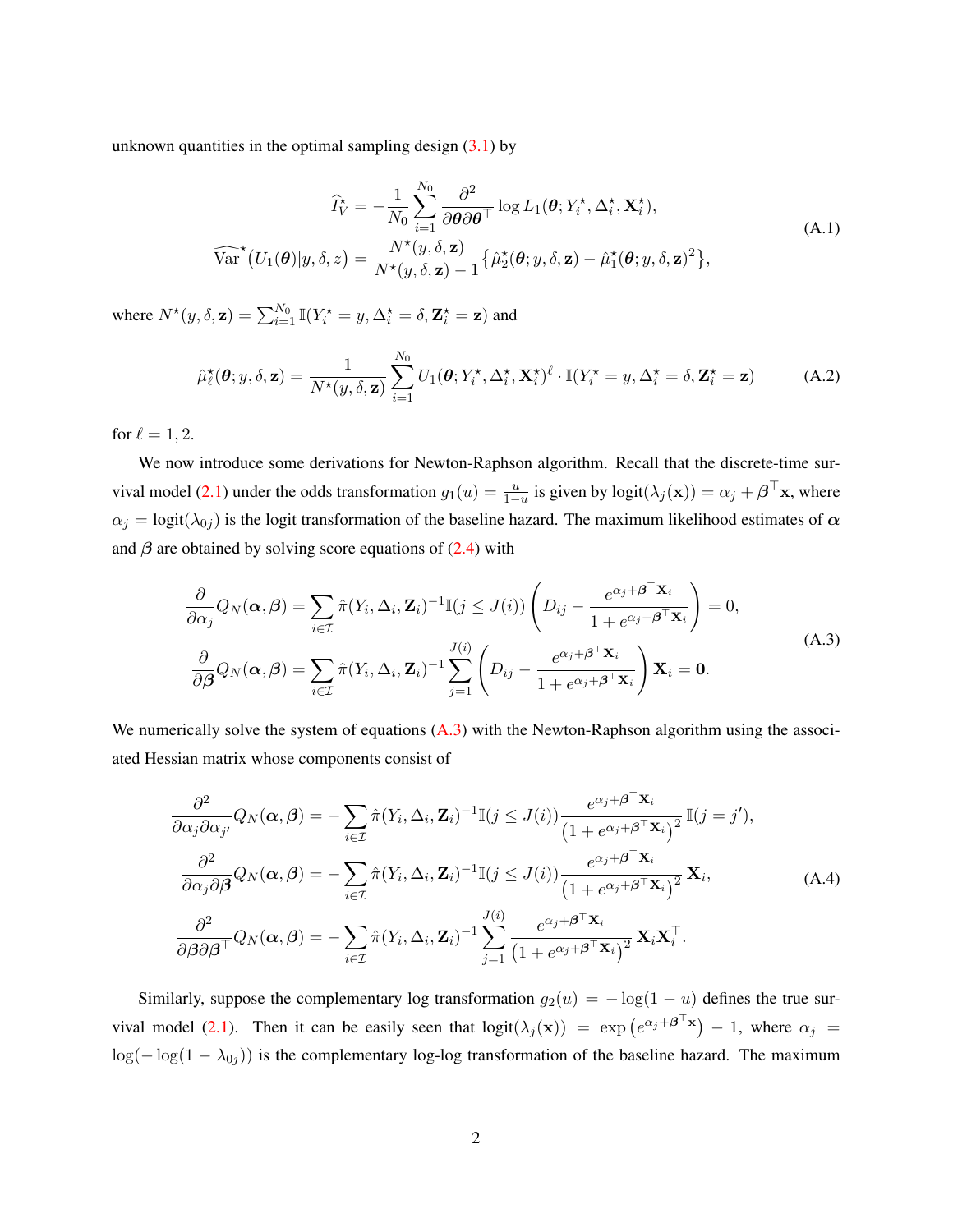unknown quantities in the optimal sampling design  $(3.1)$  by

$$
\widehat{I}_{V}^{\star} = -\frac{1}{N_{0}} \sum_{i=1}^{N_{0}} \frac{\partial^{2}}{\partial \boldsymbol{\theta} \partial \boldsymbol{\theta}^{\top}} \log L_{1}(\boldsymbol{\theta}; Y_{i}^{\star}, \Delta_{i}^{\star}, \mathbf{X}_{i}^{\star}),
$$
\n
$$
\widehat{\text{Var}}^{\star}(U_{1}(\boldsymbol{\theta})|y, \delta, z) = \frac{N^{\star}(y, \delta, \mathbf{z})}{N^{\star}(y, \delta, \mathbf{z}) - 1} \{\widehat{\mu}_{2}^{\star}(\boldsymbol{\theta}; y, \delta, \mathbf{z}) - \widehat{\mu}_{1}^{\star}(\boldsymbol{\theta}; y, \delta, \mathbf{z})^{2}\},
$$
\n(A.1)

where  $N^*(y, \delta, \mathbf{z}) = \sum_{i=1}^{N_0} \mathbb{I}(Y_i^* = y, \Delta_i^* = \delta, \mathbf{Z}_i^* = \mathbf{z})$  and

$$
\hat{\mu}_{\ell}^{\star}(\boldsymbol{\theta};y,\delta,\mathbf{z}) = \frac{1}{N^{\star}(y,\delta,\mathbf{z})} \sum_{i=1}^{N_0} U_1(\boldsymbol{\theta};Y_i^{\star},\Delta_i^{\star},\mathbf{X}_i^{\star})^{\ell} \cdot \mathbb{I}(Y_i^{\star} = y,\Delta_i^{\star} = \delta,\mathbf{Z}_i^{\star} = \mathbf{z})
$$
\n(A.2)

for  $\ell = 1, 2$ .

We now introduce some derivations for Newton-Raphson algorithm. Recall that the discrete-time sur-vival model [\(2.1\)](#page-3-0) under the odds transformation  $g_1(u) = \frac{u}{1-u}$  is given by  $logit(\lambda_j(\mathbf{x})) = \alpha_j + \boldsymbol{\beta}^\top \mathbf{x}$ , where  $\alpha_j = \text{logit}(\lambda_{0j})$  is the logit transformation of the baseline hazard. The maximum likelihood estimates of  $\alpha$ and  $\beta$  are obtained by solving score equations of [\(2.4\)](#page-5-0) with

<span id="page-23-0"></span>
$$
\frac{\partial}{\partial \alpha_j} Q_N(\boldsymbol{\alpha}, \boldsymbol{\beta}) = \sum_{i \in \mathcal{I}} \hat{\pi}(Y_i, \Delta_i, \mathbf{Z}_i)^{-1} \mathbb{I}(j \leq J(i)) \left( D_{ij} - \frac{e^{\alpha_j + \boldsymbol{\beta}^\top \mathbf{X}_i}}{1 + e^{\alpha_j + \boldsymbol{\beta}^\top \mathbf{X}_i}} \right) = 0,
$$
\n
$$
\frac{\partial}{\partial \boldsymbol{\beta}} Q_N(\boldsymbol{\alpha}, \boldsymbol{\beta}) = \sum_{i \in \mathcal{I}} \hat{\pi}(Y_i, \Delta_i, \mathbf{Z}_i)^{-1} \sum_{j=1}^{J(i)} \left( D_{ij} - \frac{e^{\alpha_j + \boldsymbol{\beta}^\top \mathbf{X}_i}}{1 + e^{\alpha_j + \boldsymbol{\beta}^\top \mathbf{X}_i}} \right) \mathbf{X}_i = \mathbf{0}.
$$
\n(A.3)

We numerically solve the system of equations  $(A.3)$  with the Newton-Raphson algorithm using the associated Hessian matrix whose components consist of

$$
\frac{\partial^2}{\partial \alpha_j \partial \alpha_{j'}} Q_N(\boldsymbol{\alpha}, \boldsymbol{\beta}) = -\sum_{i \in \mathcal{I}} \hat{\pi}(Y_i, \Delta_i, \mathbf{Z}_i)^{-1} \mathbb{I}(j \leq J(i)) \frac{e^{\alpha_j + \boldsymbol{\beta}^\top \mathbf{X}_i}}{\left(1 + e^{\alpha_j + \boldsymbol{\beta}^\top \mathbf{X}_i}\right)^2} \mathbb{I}(j = j'),
$$
\n
$$
\frac{\partial^2}{\partial \alpha_j \partial \boldsymbol{\beta}} Q_N(\boldsymbol{\alpha}, \boldsymbol{\beta}) = -\sum_{i \in \mathcal{I}} \hat{\pi}(Y_i, \Delta_i, \mathbf{Z}_i)^{-1} \mathbb{I}(j \leq J(i)) \frac{e^{\alpha_j + \boldsymbol{\beta}^\top \mathbf{X}_i}}{\left(1 + e^{\alpha_j + \boldsymbol{\beta}^\top \mathbf{X}_i}\right)^2} \mathbf{X}_i,
$$
\n(A.4)\n
$$
\frac{\partial^2}{\partial \boldsymbol{\beta} \partial \boldsymbol{\beta}^\top} Q_N(\boldsymbol{\alpha}, \boldsymbol{\beta}) = -\sum_{i \in \mathcal{I}} \hat{\pi}(Y_i, \Delta_i, \mathbf{Z}_i)^{-1} \sum_{j=1}^{J(i)} \frac{e^{\alpha_j + \boldsymbol{\beta}^\top \mathbf{X}_i}}{\left(1 + e^{\alpha_j + \boldsymbol{\beta}^\top \mathbf{X}_i}\right)^2} \mathbf{X}_i \mathbf{X}_i^\top.
$$

Similarly, suppose the complementary log transformation  $g_2(u) = -\log(1 - u)$  defines the true sur-vival model [\(2.1\)](#page-3-0). Then it can be easily seen that  $logit(\lambda_j(\mathbf{x})) = exp(e^{\alpha_j + \boldsymbol{\beta}^\top \mathbf{x}}) - 1$ , where  $\alpha_j =$  $log(-log(1 - \lambda_{0j}))$  is the complementary log-log transformation of the baseline hazard. The maximum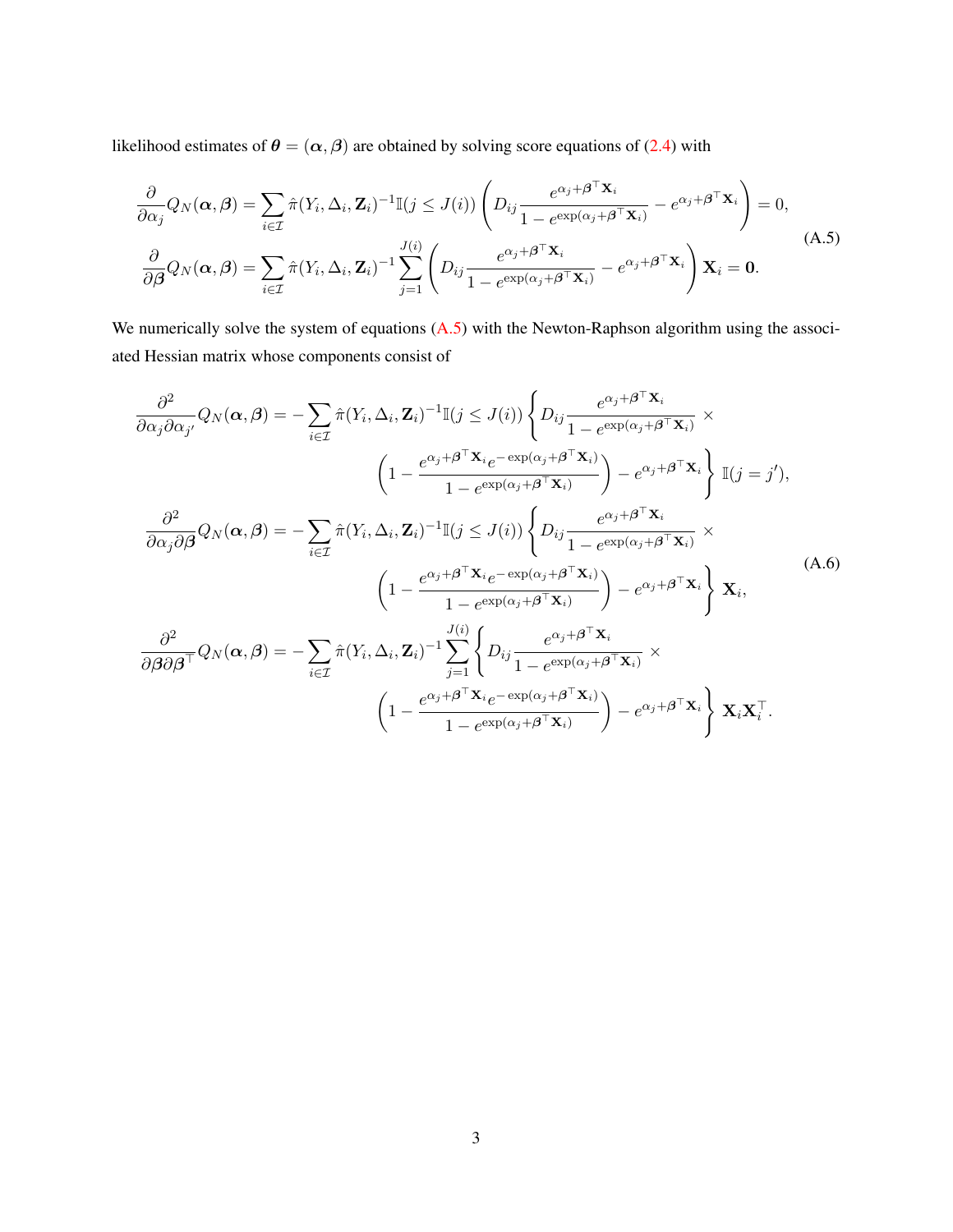likelihood estimates of  $\theta = (\alpha, \beta)$  are obtained by solving score equations of [\(2.4\)](#page-5-0) with

<span id="page-24-0"></span>
$$
\frac{\partial}{\partial \alpha_j} Q_N(\boldsymbol{\alpha}, \boldsymbol{\beta}) = \sum_{i \in \mathcal{I}} \hat{\pi}(Y_i, \Delta_i, \mathbf{Z}_i)^{-1} \mathbb{I}(j \leq J(i)) \left( D_{ij} \frac{e^{\alpha_j + \boldsymbol{\beta}^\top \mathbf{X}_i}}{1 - e^{\exp(\alpha_j + \boldsymbol{\beta}^\top \mathbf{X}_i)}} - e^{\alpha_j + \boldsymbol{\beta}^\top \mathbf{X}_i} \right) = 0,
$$
\n
$$
\frac{\partial}{\partial \boldsymbol{\beta}} Q_N(\boldsymbol{\alpha}, \boldsymbol{\beta}) = \sum_{i \in \mathcal{I}} \hat{\pi}(Y_i, \Delta_i, \mathbf{Z}_i)^{-1} \sum_{j=1}^{J(i)} \left( D_{ij} \frac{e^{\alpha_j + \boldsymbol{\beta}^\top \mathbf{X}_i}}{1 - e^{\exp(\alpha_j + \boldsymbol{\beta}^\top \mathbf{X}_i)}} - e^{\alpha_j + \boldsymbol{\beta}^\top \mathbf{X}_i} \right) \mathbf{X}_i = \mathbf{0}.
$$
\n(A.5)

We numerically solve the system of equations  $(A.5)$  with the Newton-Raphson algorithm using the associated Hessian matrix whose components consist of

$$
\frac{\partial^2}{\partial \alpha_j \partial \alpha_{j'}} Q_N(\boldsymbol{\alpha}, \boldsymbol{\beta}) = -\sum_{i \in \mathcal{I}} \hat{\pi}(Y_i, \Delta_i, \mathbf{Z}_i)^{-1} \mathbb{I}(j \leq J(i)) \left\{ D_{ij} \frac{e^{\alpha_j + \boldsymbol{\beta}^\top \mathbf{X}_i}}{1 - e^{\exp(\alpha_j + \boldsymbol{\beta}^\top \mathbf{X}_i)}} \times \right.
$$
\n
$$
\left( 1 - \frac{e^{\alpha_j + \boldsymbol{\beta}^\top \mathbf{X}_i} e^{-\exp(\alpha_j + \boldsymbol{\beta}^\top \mathbf{X}_i)}}{1 - e^{\exp(\alpha_j + \boldsymbol{\beta}^\top \mathbf{X}_i)}} \right) - e^{\alpha_j + \boldsymbol{\beta}^\top \mathbf{X}_i} \right\} \mathbb{I}(j = j'),
$$
\n
$$
\frac{\partial^2}{\partial \alpha_j \partial \boldsymbol{\beta}} Q_N(\boldsymbol{\alpha}, \boldsymbol{\beta}) = -\sum_{i \in \mathcal{I}} \hat{\pi}(Y_i, \Delta_i, \mathbf{Z}_i)^{-1} \mathbb{I}(j \leq J(i)) \left\{ D_{ij} \frac{e^{\alpha_j + \boldsymbol{\beta}^\top \mathbf{X}_i}}{1 - e^{\exp(\alpha_j + \boldsymbol{\beta}^\top \mathbf{X}_i)}} \times \right.
$$
\n
$$
\left( 1 - \frac{e^{\alpha_j + \boldsymbol{\beta}^\top \mathbf{X}_i} e^{-\exp(\alpha_j + \boldsymbol{\beta}^\top \mathbf{X}_i)}}{1 - e^{\exp(\alpha_j + \boldsymbol{\beta}^\top \mathbf{X}_i)}} \right) - e^{\alpha_j + \boldsymbol{\beta}^\top \mathbf{X}_i} \right\} \mathbf{X}_i,
$$
\n
$$
\frac{\partial^2}{\partial \boldsymbol{\beta} \partial \boldsymbol{\beta}^\top} Q_N(\boldsymbol{\alpha}, \boldsymbol{\beta}) = -\sum_{i \in \mathcal{I}} \hat{\pi}(Y_i, \Delta_i, \mathbf{Z}_i)^{-1} \sum_{j=1}^{J(i)} \left\{ D_{ij} \frac{e^{\alpha_j + \boldsymbol{\beta}^\top \mathbf{X}_i}}{1 - e^{\exp(\alpha_j + \boldsymbol{\beta}^\top \mathbf{X}_i)}} \times \right.\n\left.\left( 1 - \frac{e^{\alpha_j + \boldsymbol{\beta}^\top \mathbf{X}_i} e
$$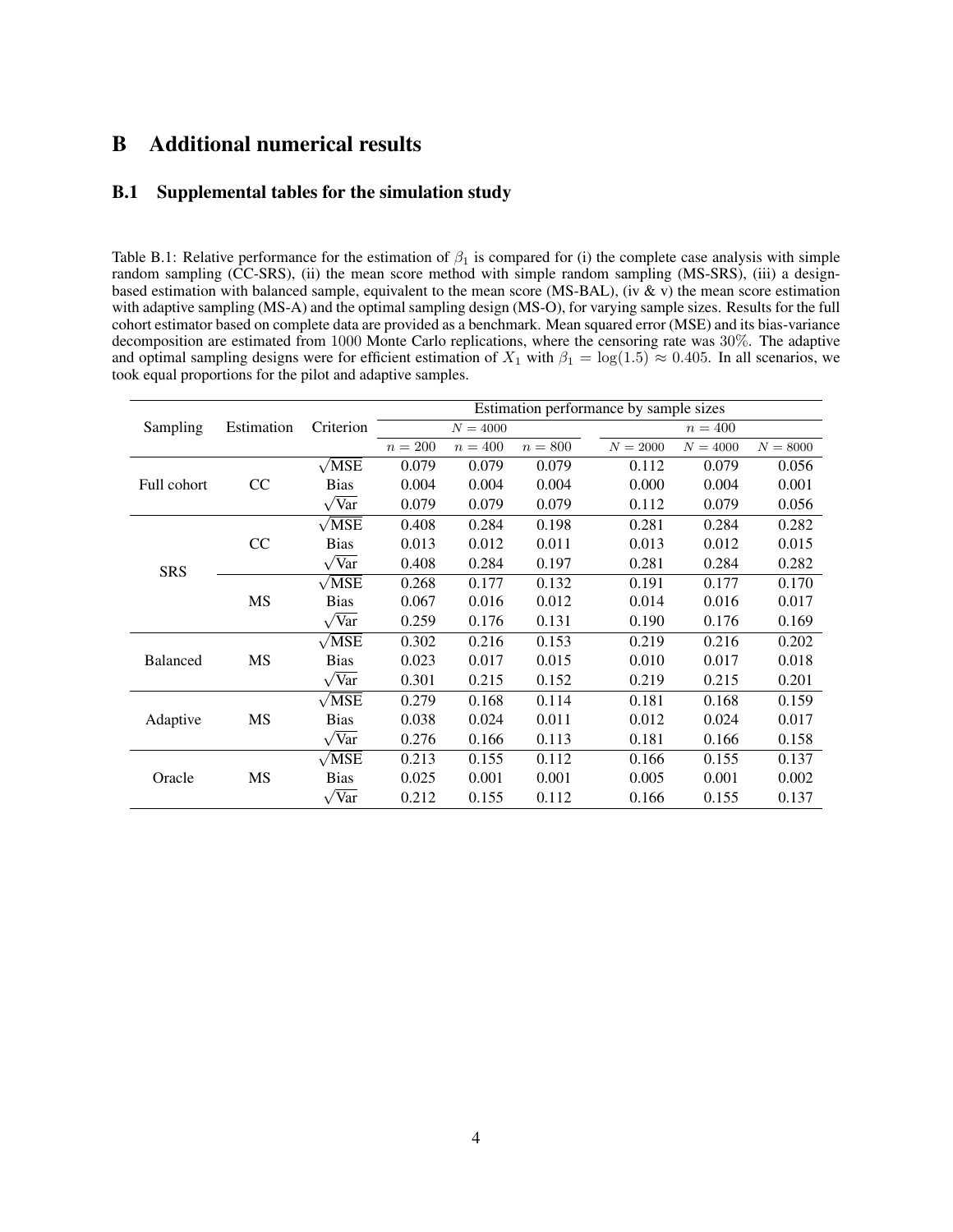## B Additional numerical results

#### B.1 Supplemental tables for the simulation study

<span id="page-25-0"></span>Table B.1: Relative performance for the estimation of  $\beta_1$  is compared for (i) the complete case analysis with simple random sampling (CC-SRS), (ii) the mean score method with simple random sampling (MS-SRS), (iii) a designbased estimation with balanced sample, equivalent to the mean score (MS-BAL), (iv  $\&$  v) the mean score estimation with adaptive sampling (MS-A) and the optimal sampling design (MS-O), for varying sample sizes. Results for the full cohort estimator based on complete data are provided as a benchmark. Mean squared error (MSE) and its bias-variance decomposition are estimated from 1000 Monte Carlo replications, where the censoring rate was 30%. The adaptive and optimal sampling designs were for efficient estimation of  $X_1$  with  $\beta_1 = \log(1.5) \approx 0.405$ . In all scenarios, we took equal proportions for the pilot and adaptive samples.

|                 |            |                     |         |            |         | Estimation performance by sample sizes |            |            |
|-----------------|------------|---------------------|---------|------------|---------|----------------------------------------|------------|------------|
| Sampling        | Estimation | Criterion           |         | $N = 4000$ |         |                                        | $n = 400$  |            |
|                 |            |                     | $n=200$ | $n = 400$  | $n=800$ | $N = 2000$                             | $N = 4000$ | $N = 8000$ |
|                 |            | $\sqrt{\text{MSE}}$ | 0.079   | 0.079      | 0.079   | 0.112                                  | 0.079      | 0.056      |
| Full cohort     | CC         | <b>Bias</b>         | 0.004   | 0.004      | 0.004   | 0.000                                  | 0.004      | 0.001      |
|                 |            | $\sqrt{x}$          | 0.079   | 0.079      | 0.079   | 0.112                                  | 0.079      | 0.056      |
|                 |            | $\sqrt{MSE}$        | 0.408   | 0.284      | 0.198   | 0.281                                  | 0.284      | 0.282      |
|                 | CC         | <b>Bias</b>         | 0.013   | 0.012      | 0.011   | 0.013                                  | 0.012      | 0.015      |
| <b>SRS</b>      |            | $\sqrt{Var}$        | 0.408   | 0.284      | 0.197   | 0.281                                  | 0.284      | 0.282      |
|                 |            | $\sqrt{MSE}$        | 0.268   | 0.177      | 0.132   | 0.191                                  | 0.177      | 0.170      |
|                 | MS         | <b>Bias</b>         | 0.067   | 0.016      | 0.012   | 0.014                                  | 0.016      | 0.017      |
|                 |            | $\sqrt{Var}$        | 0.259   | 0.176      | 0.131   | 0.190                                  | 0.176      | 0.169      |
|                 |            | $\sqrt{MSE}$        | 0.302   | 0.216      | 0.153   | 0.219                                  | 0.216      | 0.202      |
| <b>Balanced</b> | MS         | <b>Bias</b>         | 0.023   | 0.017      | 0.015   | 0.010                                  | 0.017      | 0.018      |
|                 |            | $\sqrt{Var}$        | 0.301   | 0.215      | 0.152   | 0.219                                  | 0.215      | 0.201      |
|                 |            | $\sqrt{\text{MSE}}$ | 0.279   | 0.168      | 0.114   | 0.181                                  | 0.168      | 0.159      |
| Adaptive        | MS         | <b>Bias</b>         | 0.038   | 0.024      | 0.011   | 0.012                                  | 0.024      | 0.017      |
|                 |            | $\sqrt{Var}$        | 0.276   | 0.166      | 0.113   | 0.181                                  | 0.166      | 0.158      |
|                 |            | $\sqrt{MSE}$        | 0.213   | 0.155      | 0.112   | 0.166                                  | 0.155      | 0.137      |
| Oracle          | MS         | <b>Bias</b>         | 0.025   | 0.001      | 0.001   | 0.005                                  | 0.001      | 0.002      |
|                 |            | 'Var                | 0.212   | 0.155      | 0.112   | 0.166                                  | 0.155      | 0.137      |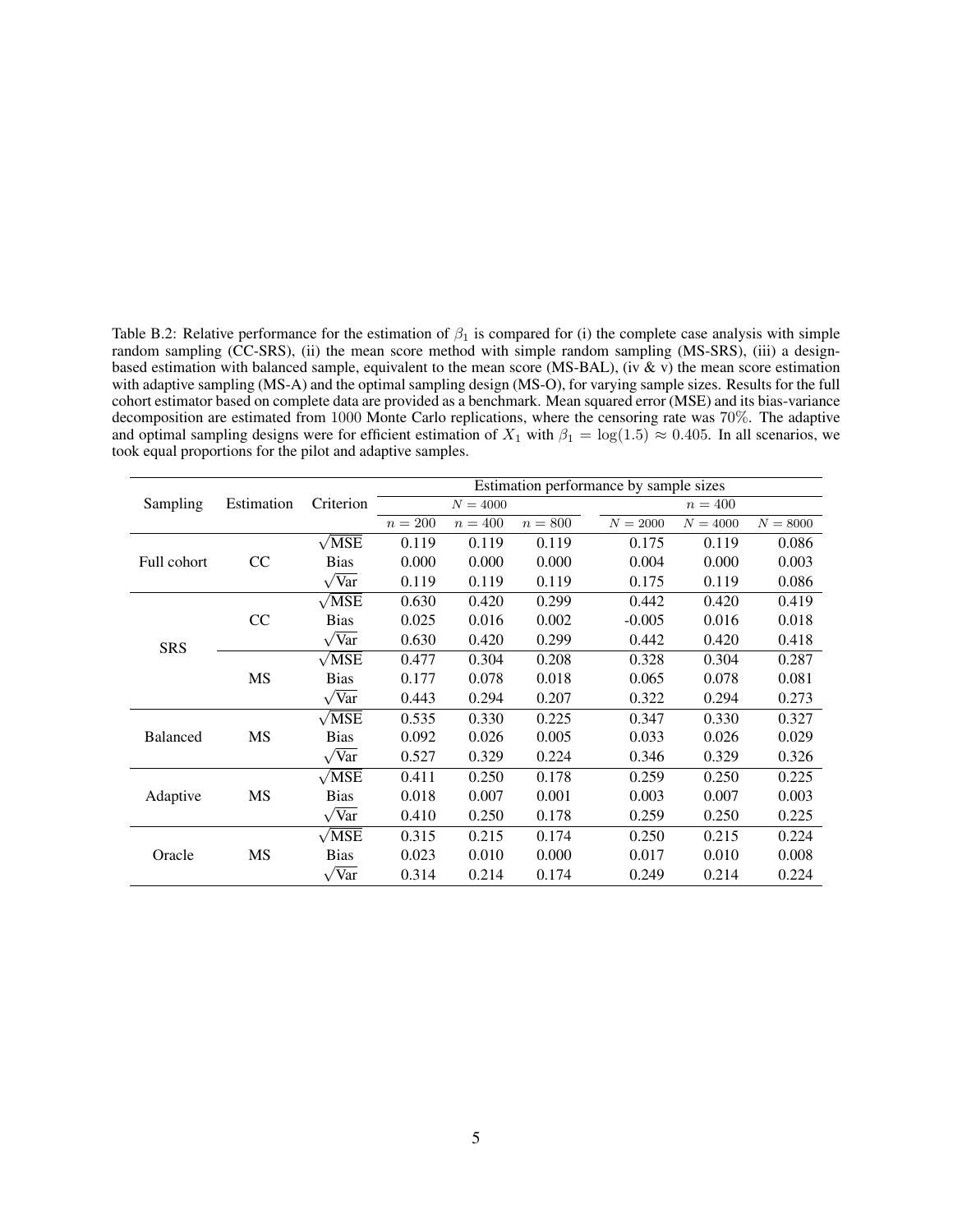<span id="page-26-0"></span>Table B.2: Relative performance for the estimation of  $\beta_1$  is compared for (i) the complete case analysis with simple random sampling (CC-SRS), (ii) the mean score method with simple random sampling (MS-SRS), (iii) a designbased estimation with balanced sample, equivalent to the mean score (MS-BAL), (iv & v) the mean score estimation with adaptive sampling (MS-A) and the optimal sampling design (MS-O), for varying sample sizes. Results for the full cohort estimator based on complete data are provided as a benchmark. Mean squared error (MSE) and its bias-variance decomposition are estimated from 1000 Monte Carlo replications, where the censoring rate was 70%. The adaptive and optimal sampling designs were for efficient estimation of  $X_1$  with  $\beta_1 = \log(1.5) \approx 0.405$ . In all scenarios, we took equal proportions for the pilot and adaptive samples.

|                 |            |                     |         |            |         | Estimation performance by sample sizes |            |            |
|-----------------|------------|---------------------|---------|------------|---------|----------------------------------------|------------|------------|
| Sampling        | Estimation | Criterion           |         | $N = 4000$ |         |                                        | $n=400$    |            |
|                 |            |                     | $n=200$ | $n=400$    | $n=800$ | $N = 2000$                             | $N = 4000$ | $N = 8000$ |
|                 |            | $\sqrt{\text{MSE}}$ | 0.119   | 0.119      | 0.119   | 0.175                                  | 0.119      | 0.086      |
| Full cohort     | CC         | <b>Bias</b>         | 0.000   | 0.000      | 0.000   | 0.004                                  | 0.000      | 0.003      |
|                 |            | $\sqrt{Var}$        | 0.119   | 0.119      | 0.119   | 0.175                                  | 0.119      | 0.086      |
|                 |            | $\sqrt{MSE}$        | 0.630   | 0.420      | 0.299   | 0.442                                  | 0.420      | 0.419      |
|                 | CC         | <b>Bias</b>         | 0.025   | 0.016      | 0.002   | $-0.005$                               | 0.016      | 0.018      |
| <b>SRS</b>      |            | $\sqrt{Var}$        | 0.630   | 0.420      | 0.299   | 0.442                                  | 0.420      | 0.418      |
|                 |            | $\sqrt{MSE}$        | 0.477   | 0.304      | 0.208   | 0.328                                  | 0.304      | 0.287      |
|                 | MS         | <b>Bias</b>         | 0.177   | 0.078      | 0.018   | 0.065                                  | 0.078      | 0.081      |
|                 |            | $\sqrt{Var}$        | 0.443   | 0.294      | 0.207   | 0.322                                  | 0.294      | 0.273      |
|                 |            | $\sqrt{MSE}$        | 0.535   | 0.330      | 0.225   | 0.347                                  | 0.330      | 0.327      |
| <b>Balanced</b> | MS         | <b>Bias</b>         | 0.092   | 0.026      | 0.005   | 0.033                                  | 0.026      | 0.029      |
|                 |            | $\sqrt{Var}$        | 0.527   | 0.329      | 0.224   | 0.346                                  | 0.329      | 0.326      |
|                 |            | $\sqrt{\text{MSE}}$ | 0.411   | 0.250      | 0.178   | 0.259                                  | 0.250      | 0.225      |
| Adaptive        | MS         | <b>Bias</b>         | 0.018   | 0.007      | 0.001   | 0.003                                  | 0.007      | 0.003      |
|                 |            | $\sqrt{Var}$        | 0.410   | 0.250      | 0.178   | 0.259                                  | 0.250      | 0.225      |
|                 |            | $\sqrt{MSE}$        | 0.315   | 0.215      | 0.174   | 0.250                                  | 0.215      | 0.224      |
| Oracle          | MS         | <b>Bias</b>         | 0.023   | 0.010      | 0.000   | 0.017                                  | 0.010      | 0.008      |
|                 |            | $\sqrt{Var}$        | 0.314   | 0.214      | 0.174   | 0.249                                  | 0.214      | 0.224      |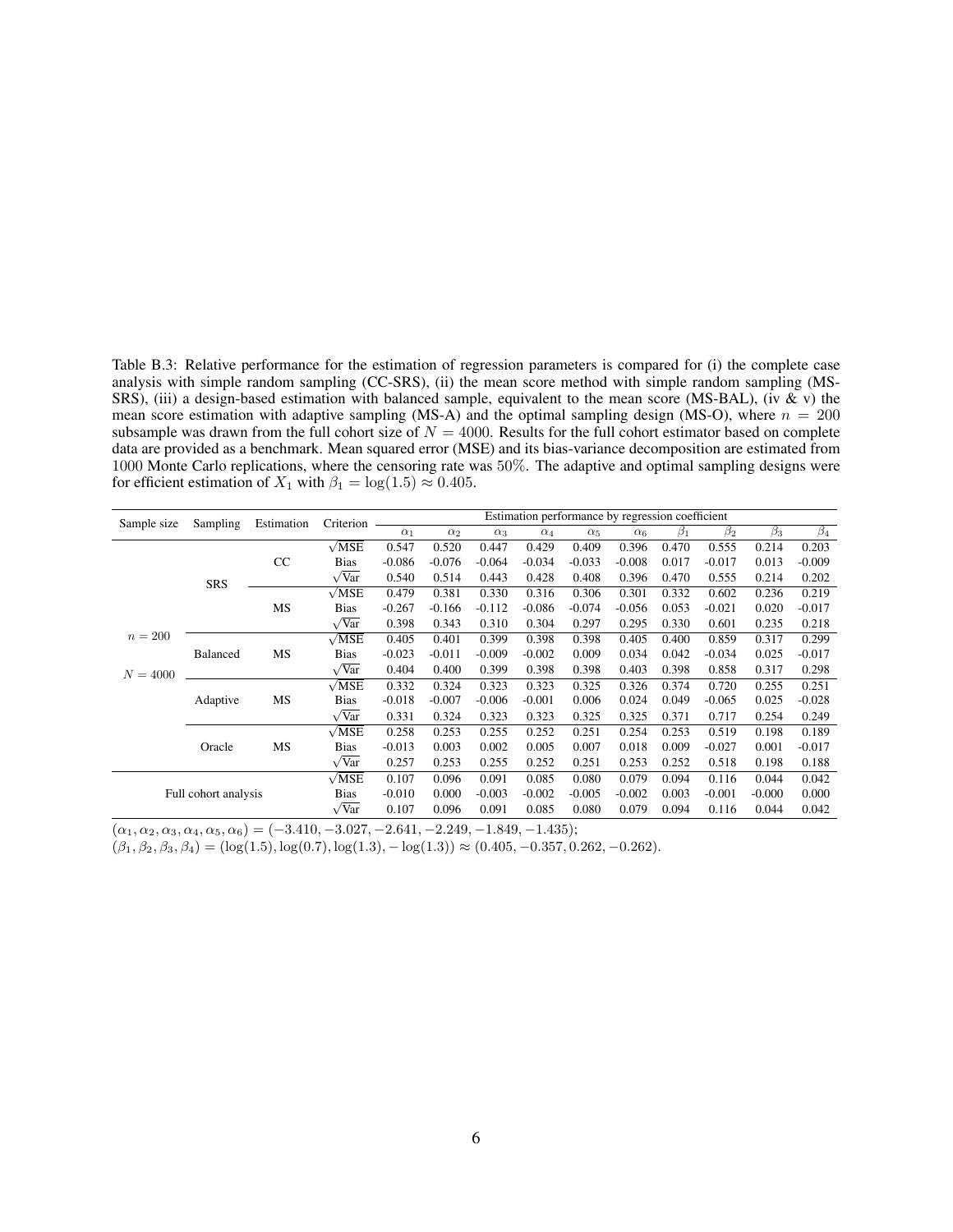<span id="page-27-0"></span>Table B.3: Relative performance for the estimation of regression parameters is compared for (i) the complete case analysis with simple random sampling (CC-SRS), (ii) the mean score method with simple random sampling (MS-SRS), (iii) a design-based estimation with balanced sample, equivalent to the mean score (MS-BAL), (iv & v) the mean score estimation with adaptive sampling (MS-A) and the optimal sampling design (MS-O), where  $n = 200$ subsample was drawn from the full cohort size of  $N = 4000$ . Results for the full cohort estimator based on complete data are provided as a benchmark. Mean squared error (MSE) and its bias-variance decomposition are estimated from 1000 Monte Carlo replications, where the censoring rate was 50%. The adaptive and optimal sampling designs were for efficient estimation of  $X_1$  with  $\beta_1 = \log(1.5) \approx 0.405$ .

|            | Sampling<br>Sample size | Estimation | Criterion           |            |            |            |            | Estimation performance by regression coefficient |            |           |           |           |                      |
|------------|-------------------------|------------|---------------------|------------|------------|------------|------------|--------------------------------------------------|------------|-----------|-----------|-----------|----------------------|
|            |                         |            |                     | $\alpha_1$ | $\alpha_2$ | $\alpha_3$ | $\alpha_4$ | $\alpha_5$                                       | $\alpha_6$ | $\beta_1$ | $\beta_2$ | $\beta_3$ | $\overline{\beta_4}$ |
|            |                         |            | $\sqrt{MSE}$        | 0.547      | 0.520      | 0.447      | 0.429      | 0.409                                            | 0.396      | 0.470     | 0.555     | 0.214     | 0.203                |
|            |                         | CC         | <b>Bias</b>         | $-0.086$   | $-0.076$   | $-0.064$   | $-0.034$   | $-0.033$                                         | $-0.008$   | 0.017     | $-0.017$  | 0.013     | $-0.009$             |
|            | <b>SRS</b>              |            | $\sqrt{Var}$        | 0.540      | 0.514      | 0.443      | 0.428      | 0.408                                            | 0.396      | 0.470     | 0.555     | 0.214     | 0.202                |
|            |                         |            | $\sqrt{MSE}$        | 0.479      | 0.381      | 0.330      | 0.316      | 0.306                                            | 0.301      | 0.332     | 0.602     | 0.236     | 0.219                |
|            |                         | MS         | <b>Bias</b>         | $-0.267$   | $-0.166$   | $-0.112$   | $-0.086$   | $-0.074$                                         | $-0.056$   | 0.053     | $-0.021$  | 0.020     | $-0.017$             |
|            |                         |            | $\sqrt{Var}$        | 0.398      | 0.343      | 0.310      | 0.304      | 0.297                                            | 0.295      | 0.330     | 0.601     | 0.235     | 0.218                |
| $n = 200$  |                         |            | $\sqrt{MSE}$        | 0.405      | 0.401      | 0.399      | 0.398      | 0.398                                            | 0.405      | 0.400     | 0.859     | 0.317     | 0.299                |
|            | <b>Balanced</b>         | MS         | <b>Bias</b>         | $-0.023$   | $-0.011$   | $-0.009$   | $-0.002$   | 0.009                                            | 0.034      | 0.042     | $-0.034$  | 0.025     | $-0.017$             |
| $N = 4000$ |                         |            | $\sqrt{Var}$        | 0.404      | 0.400      | 0.399      | 0.398      | 0.398                                            | 0.403      | 0.398     | 0.858     | 0.317     | 0.298                |
|            |                         |            | $\sqrt{MSE}$        | 0.332      | 0.324      | 0.323      | 0.323      | 0.325                                            | 0.326      | 0.374     | 0.720     | 0.255     | 0.251                |
|            | Adaptive                | MS         | <b>Bias</b>         | $-0.018$   | $-0.007$   | $-0.006$   | $-0.001$   | 0.006                                            | 0.024      | 0.049     | $-0.065$  | 0.025     | $-0.028$             |
|            |                         |            | $\sqrt{Var}$        | 0.331      | 0.324      | 0.323      | 0.323      | 0.325                                            | 0.325      | 0.371     | 0.717     | 0.254     | 0.249                |
|            |                         |            | $\sqrt{MSE}$        | 0.258      | 0.253      | 0.255      | 0.252      | 0.251                                            | 0.254      | 0.253     | 0.519     | 0.198     | 0.189                |
|            | Oracle                  |            | <b>Bias</b>         | $-0.013$   | 0.003      | 0.002      | 0.005      | 0.007                                            | 0.018      | 0.009     | $-0.027$  | 0.001     | $-0.017$             |
|            |                         |            | $\sqrt{Var}$        | 0.257      | 0.253      | 0.255      | 0.252      | 0.251                                            | 0.253      | 0.252     | 0.518     | 0.198     | 0.188                |
|            |                         |            | $\sqrt{\text{MSE}}$ | 0.107      | 0.096      | 0.091      | 0.085      | 0.080                                            | 0.079      | 0.094     | 0.116     | 0.044     | 0.042                |
|            | Full cohort analysis    |            | <b>Bias</b>         | $-0.010$   | 0.000      | $-0.003$   | $-0.002$   | $-0.005$                                         | $-0.002$   | 0.003     | $-0.001$  | $-0.000$  | 0.000                |
|            |                         |            | $\sqrt{Var}$        | 0.107      | 0.096      | 0.091      | 0.085      | 0.080                                            | 0.079      | 0.094     | 0.116     | 0.044     | 0.042                |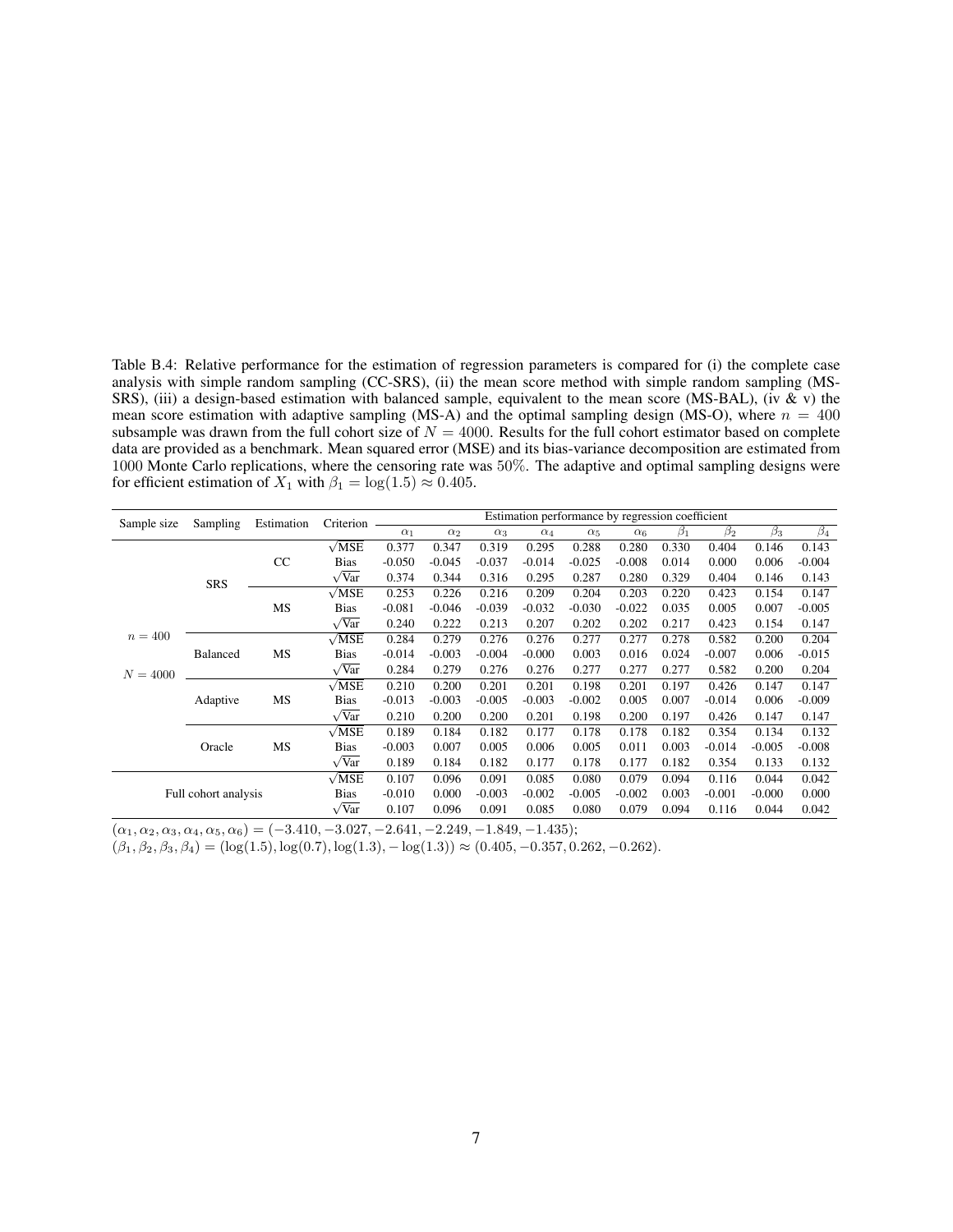Table B.4: Relative performance for the estimation of regression parameters is compared for (i) the complete case analysis with simple random sampling (CC-SRS), (ii) the mean score method with simple random sampling (MS-SRS), (iii) a design-based estimation with balanced sample, equivalent to the mean score (MS-BAL), (iv & v) the mean score estimation with adaptive sampling (MS-A) and the optimal sampling design (MS-O), where  $n = 400$ subsample was drawn from the full cohort size of  $N = 4000$ . Results for the full cohort estimator based on complete data are provided as a benchmark. Mean squared error (MSE) and its bias-variance decomposition are estimated from 1000 Monte Carlo replications, where the censoring rate was 50%. The adaptive and optimal sampling designs were for efficient estimation of  $X_1$  with  $\beta_1 = \log(1.5) \approx 0.405$ .

| Sample size          | Sampling        | Estimation | Criterion           |            |            |            | Estimation performance by regression coefficient |            |            |           |           |           |                      |
|----------------------|-----------------|------------|---------------------|------------|------------|------------|--------------------------------------------------|------------|------------|-----------|-----------|-----------|----------------------|
|                      |                 |            |                     | $\alpha_1$ | $\alpha_2$ | $\alpha_3$ | $\alpha_4$                                       | $\alpha_5$ | $\alpha_6$ | $\beta_1$ | $\beta_2$ | $\beta_3$ | $\overline{\beta_4}$ |
|                      |                 |            | $\sqrt{MSE}$        | 0.377      | 0.347      | 0.319      | 0.295                                            | 0.288      | 0.280      | 0.330     | 0.404     | 0.146     | 0.143                |
|                      |                 | CC         | <b>Bias</b>         | $-0.050$   | $-0.045$   | $-0.037$   | $-0.014$                                         | $-0.025$   | $-0.008$   | 0.014     | 0.000     | 0.006     | $-0.004$             |
|                      | SRS             |            | $\sqrt{Var}$        | 0.374      | 0.344      | 0.316      | 0.295                                            | 0.287      | 0.280      | 0.329     | 0.404     | 0.146     | 0.143                |
|                      |                 |            | $\sqrt{MSE}$        | 0.253      | 0.226      | 0.216      | 0.209                                            | 0.204      | 0.203      | 0.220     | 0.423     | 0.154     | 0.147                |
|                      |                 | MS         | <b>Bias</b>         | $-0.081$   | $-0.046$   | $-0.039$   | $-0.032$                                         | $-0.030$   | $-0.022$   | 0.035     | 0.005     | 0.007     | $-0.005$             |
|                      |                 |            | $\sqrt{Var}$        | 0.240      | 0.222      | 0.213      | 0.207                                            | 0.202      | 0.202      | 0.217     | 0.423     | 0.154     | 0.147                |
| $n = 400$            |                 |            | $\sqrt{MSE}$        | 0.284      | 0.279      | 0.276      | 0.276                                            | 0.277      | 0.277      | 0.278     | 0.582     | 0.200     | 0.204                |
|                      | <b>Balanced</b> | MS         | <b>Bias</b>         | $-0.014$   | $-0.003$   | $-0.004$   | $-0.000$                                         | 0.003      | 0.016      | 0.024     | $-0.007$  | 0.006     | $-0.015$             |
| $N = 4000$           |                 |            | $\sqrt{Var}$        | 0.284      | 0.279      | 0.276      | 0.276                                            | 0.277      | 0.277      | 0.277     | 0.582     | 0.200     | 0.204                |
|                      |                 |            | $\sqrt{MSE}$        | 0.210      | 0.200      | 0.201      | 0.201                                            | 0.198      | 0.201      | 0.197     | 0.426     | 0.147     | 0.147                |
|                      | Adaptive        | MS         | <b>Bias</b>         | $-0.013$   | $-0.003$   | $-0.005$   | $-0.003$                                         | $-0.002$   | 0.005      | 0.007     | $-0.014$  | 0.006     | $-0.009$             |
|                      |                 |            | $\sqrt{Var}$        | 0.210      | 0.200      | 0.200      | 0.201                                            | 0.198      | 0.200      | 0.197     | 0.426     | 0.147     | 0.147                |
|                      |                 |            | $\sqrt{MSE}$        | 0.189      | 0.184      | 0.182      | 0.177                                            | 0.178      | 0.178      | 0.182     | 0.354     | 0.134     | 0.132                |
|                      | Oracle          |            | <b>Bias</b>         | $-0.003$   | 0.007      | 0.005      | 0.006                                            | 0.005      | 0.011      | 0.003     | $-0.014$  | $-0.005$  | $-0.008$             |
|                      |                 |            | $\sqrt{Var}$        | 0.189      | 0.184      | 0.182      | 0.177                                            | 0.178      | 0.177      | 0.182     | 0.354     | 0.133     | 0.132                |
| Full cohort analysis |                 |            | $\sqrt{\text{MSE}}$ | 0.107      | 0.096      | 0.091      | 0.085                                            | 0.080      | 0.079      | 0.094     | 0.116     | 0.044     | 0.042                |
|                      |                 |            | <b>Bias</b>         | $-0.010$   | 0.000      | $-0.003$   | $-0.002$                                         | $-0.005$   | $-0.002$   | 0.003     | $-0.001$  | $-0.000$  | 0.000                |
|                      |                 |            | $\sqrt{Var}$        | 0.107      | 0.096      | 0.091      | 0.085                                            | 0.080      | 0.079      | 0.094     | 0.116     | 0.044     | 0.042                |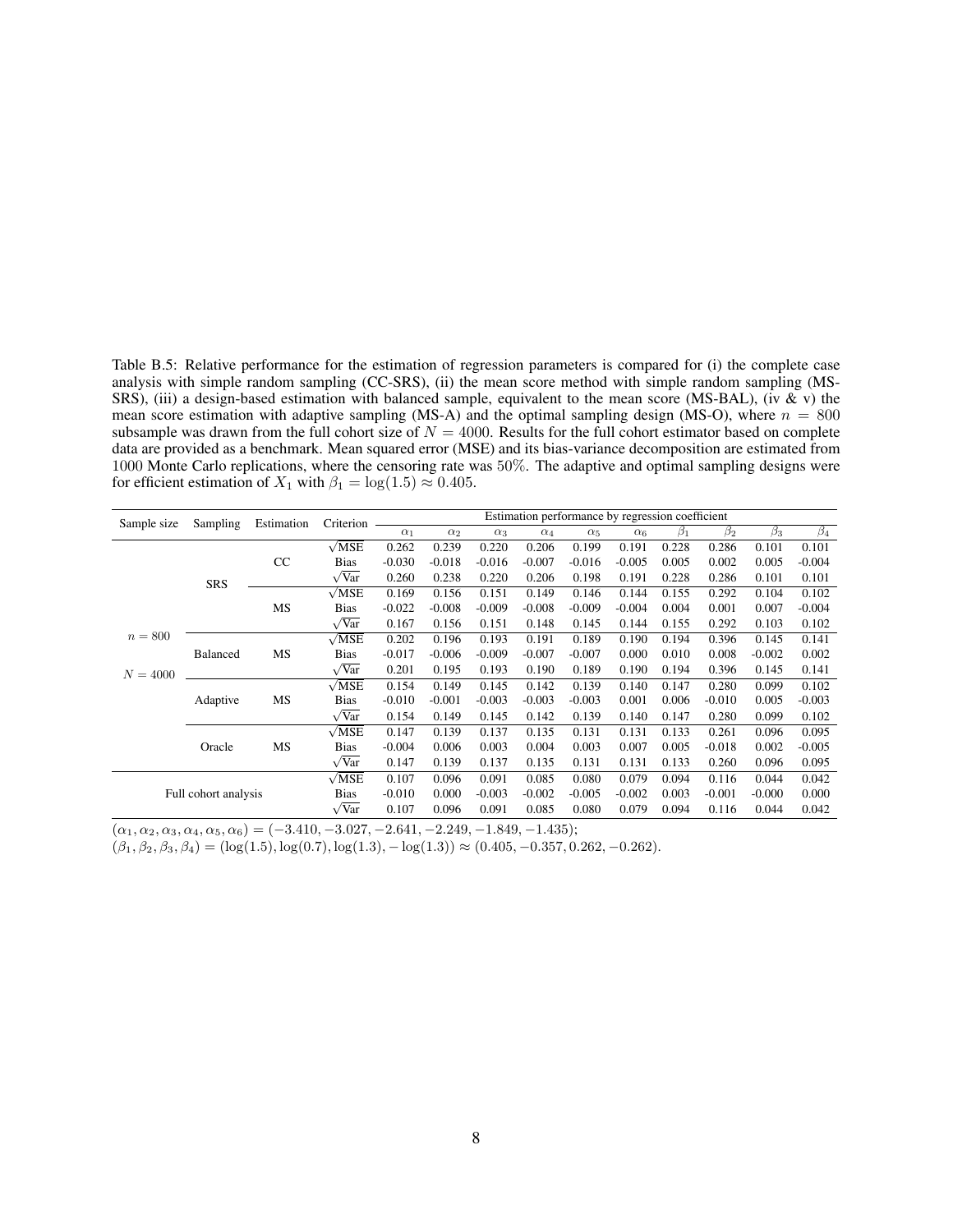Table B.5: Relative performance for the estimation of regression parameters is compared for (i) the complete case analysis with simple random sampling (CC-SRS), (ii) the mean score method with simple random sampling (MS-SRS), (iii) a design-based estimation with balanced sample, equivalent to the mean score (MS-BAL), (iv & v) the mean score estimation with adaptive sampling (MS-A) and the optimal sampling design (MS-O), where  $n = 800$ subsample was drawn from the full cohort size of  $N = 4000$ . Results for the full cohort estimator based on complete data are provided as a benchmark. Mean squared error (MSE) and its bias-variance decomposition are estimated from 1000 Monte Carlo replications, where the censoring rate was 50%. The adaptive and optimal sampling designs were for efficient estimation of  $X_1$  with  $\beta_1 = \log(1.5) \approx 0.405$ .

| Sample size | Sampling             | Estimation | Criterion           |            |            |            |            | Estimation performance by regression coefficient |            |           |           |           |                      |
|-------------|----------------------|------------|---------------------|------------|------------|------------|------------|--------------------------------------------------|------------|-----------|-----------|-----------|----------------------|
|             |                      |            |                     | $\alpha_1$ | $\alpha_2$ | $\alpha_3$ | $\alpha_4$ | $\alpha_5$                                       | $\alpha_6$ | $\beta_1$ | $\beta_2$ | $\beta_3$ | $\overline{\beta_4}$ |
|             |                      |            | $\sqrt{MSE}$        | 0.262      | 0.239      | 0.220      | 0.206      | 0.199                                            | 0.191      | 0.228     | 0.286     | 0.101     | 0.101                |
|             |                      | CC         | <b>Bias</b>         | $-0.030$   | $-0.018$   | $-0.016$   | $-0.007$   | $-0.016$                                         | $-0.005$   | 0.005     | 0.002     | 0.005     | $-0.004$             |
|             | SRS                  |            | $\sqrt{Var}$        | 0.260      | 0.238      | 0.220      | 0.206      | 0.198                                            | 0.191      | 0.228     | 0.286     | 0.101     | 0.101                |
|             |                      |            | $\sqrt{MSE}$        | 0.169      | 0.156      | 0.151      | 0.149      | 0.146                                            | 0.144      | 0.155     | 0.292     | 0.104     | 0.102                |
|             |                      | MS         | <b>Bias</b>         | $-0.022$   | $-0.008$   | $-0.009$   | $-0.008$   | $-0.009$                                         | $-0.004$   | 0.004     | 0.001     | 0.007     | $-0.004$             |
|             |                      |            | $\sqrt{Var}$        | 0.167      | 0.156      | 0.151      | 0.148      | 0.145                                            | 0.144      | 0.155     | 0.292     | 0.103     | 0.102                |
| $n = 800$   |                      |            | $\sqrt{MSE}$        | 0.202      | 0.196      | 0.193      | 0.191      | 0.189                                            | 0.190      | 0.194     | 0.396     | 0.145     | 0.141                |
|             | <b>Balanced</b>      | MS         | <b>Bias</b>         | $-0.017$   | $-0.006$   | $-0.009$   | $-0.007$   | $-0.007$                                         | 0.000      | 0.010     | 0.008     | $-0.002$  | 0.002                |
| $N = 4000$  |                      |            | $\sqrt{Var}$        | 0.201      | 0.195      | 0.193      | 0.190      | 0.189                                            | 0.190      | 0.194     | 0.396     | 0.145     | 0.141                |
|             |                      |            | $\sqrt{MSE}$        | 0.154      | 0.149      | 0.145      | 0.142      | 0.139                                            | 0.140      | 0.147     | 0.280     | 0.099     | 0.102                |
|             | Adaptive             | MS         | <b>Bias</b>         | $-0.010$   | $-0.001$   | $-0.003$   | $-0.003$   | $-0.003$                                         | 0.001      | 0.006     | $-0.010$  | 0.005     | $-0.003$             |
|             |                      |            | $\sqrt{Var}$        | 0.154      | 0.149      | 0.145      | 0.142      | 0.139                                            | 0.140      | 0.147     | 0.280     | 0.099     | 0.102                |
|             |                      |            | $\sqrt{MSE}$        | 0.147      | 0.139      | 0.137      | 0.135      | 0.131                                            | 0.131      | 0.133     | 0.261     | 0.096     | 0.095                |
|             | Oracle               |            | <b>Bias</b>         | $-0.004$   | 0.006      | 0.003      | 0.004      | 0.003                                            | 0.007      | 0.005     | $-0.018$  | 0.002     | $-0.005$             |
|             |                      |            | $\sqrt{Var}$        | 0.147      | 0.139      | 0.137      | 0.135      | 0.131                                            | 0.131      | 0.133     | 0.260     | 0.096     | 0.095                |
|             |                      |            | $\sqrt{\text{MSE}}$ | 0.107      | 0.096      | 0.091      | 0.085      | 0.080                                            | 0.079      | 0.094     | 0.116     | 0.044     | 0.042                |
|             | Full cohort analysis |            | <b>Bias</b>         | $-0.010$   | 0.000      | $-0.003$   | $-0.002$   | $-0.005$                                         | $-0.002$   | 0.003     | $-0.001$  | $-0.000$  | 0.000                |
|             |                      |            | $\sqrt{Var}$        | 0.107      | 0.096      | 0.091      | 0.085      | 0.080                                            | 0.079      | 0.094     | 0.116     | 0.044     | 0.042                |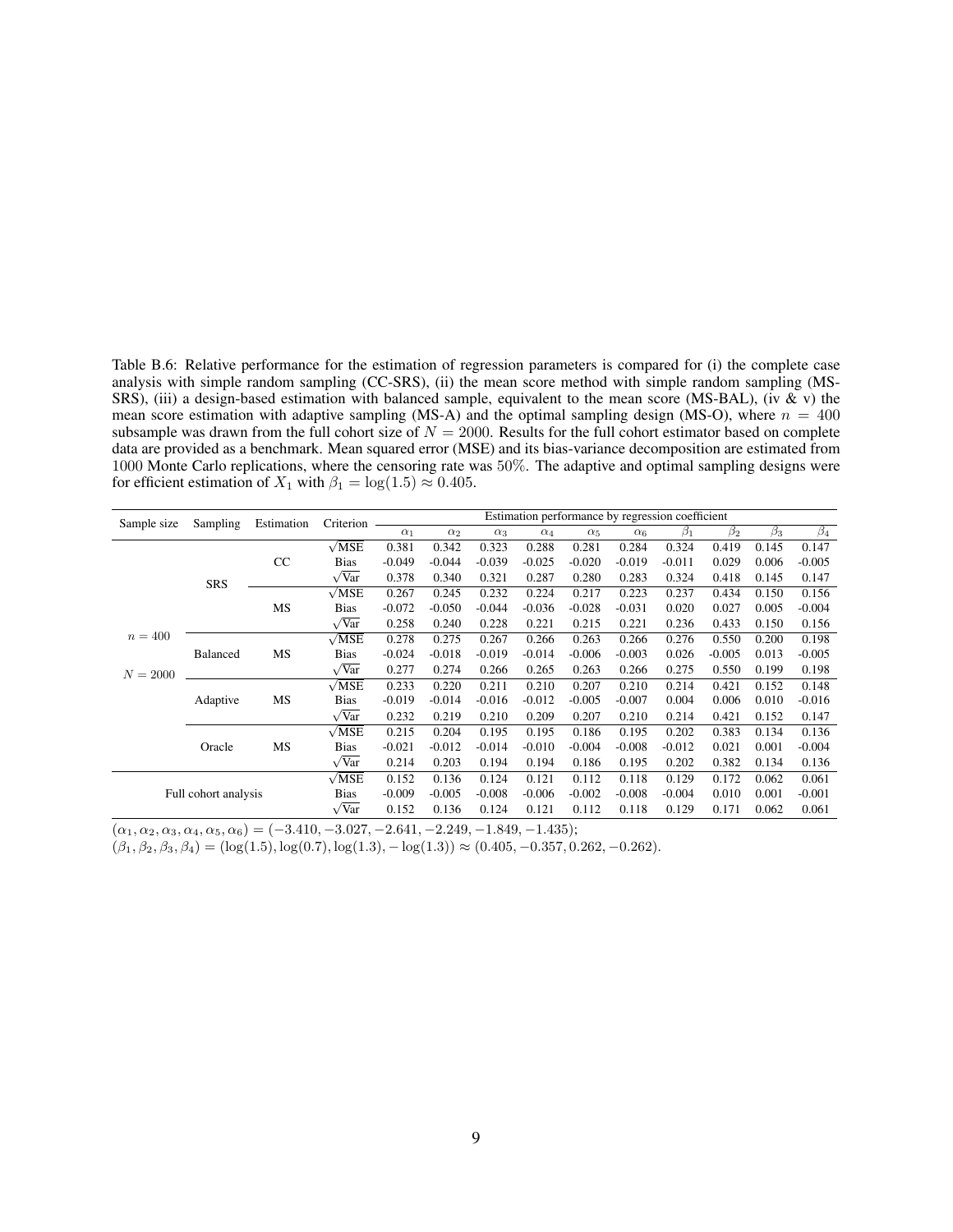Table B.6: Relative performance for the estimation of regression parameters is compared for (i) the complete case analysis with simple random sampling (CC-SRS), (ii) the mean score method with simple random sampling (MS-SRS), (iii) a design-based estimation with balanced sample, equivalent to the mean score (MS-BAL), (iv & v) the mean score estimation with adaptive sampling (MS-A) and the optimal sampling design (MS-O), where  $n = 400$ subsample was drawn from the full cohort size of  $N = 2000$ . Results for the full cohort estimator based on complete data are provided as a benchmark. Mean squared error (MSE) and its bias-variance decomposition are estimated from 1000 Monte Carlo replications, where the censoring rate was 50%. The adaptive and optimal sampling designs were for efficient estimation of  $X_1$  with  $\beta_1 = \log(1.5) \approx 0.405$ .

| Sample size          | Sampling        | Estimation | Criterion           |            |            |            |            |            |            | Estimation performance by regression coefficient |           |           |           |
|----------------------|-----------------|------------|---------------------|------------|------------|------------|------------|------------|------------|--------------------------------------------------|-----------|-----------|-----------|
|                      |                 |            |                     | $\alpha_1$ | $\alpha_2$ | $\alpha_3$ | $\alpha_4$ | $\alpha_5$ | $\alpha_6$ | $\beta_1$                                        | $\beta_2$ | $\beta_3$ | $\beta_4$ |
|                      |                 |            | $\sqrt{MSE}$        | 0.381      | 0.342      | 0.323      | 0.288      | 0.281      | 0.284      | 0.324                                            | 0.419     | 0.145     | 0.147     |
|                      |                 | CC         | <b>Bias</b>         | $-0.049$   | $-0.044$   | $-0.039$   | $-0.025$   | $-0.020$   | $-0.019$   | $-0.011$                                         | 0.029     | 0.006     | $-0.005$  |
|                      | <b>SRS</b>      |            | $\sqrt{Var}$        | 0.378      | 0.340      | 0.321      | 0.287      | 0.280      | 0.283      | 0.324                                            | 0.418     | 0.145     | 0.147     |
|                      |                 |            | $\sqrt{\text{MSE}}$ | 0.267      | 0.245      | 0.232      | 0.224      | 0.217      | 0.223      | 0.237                                            | 0.434     | 0.150     | 0.156     |
|                      |                 | MS         | <b>Bias</b>         | $-0.072$   | $-0.050$   | $-0.044$   | $-0.036$   | $-0.028$   | $-0.031$   | 0.020                                            | 0.027     | 0.005     | $-0.004$  |
|                      |                 |            | $\sqrt{Var}$        | 0.258      | 0.240      | 0.228      | 0.221      | 0.215      | 0.221      | 0.236                                            | 0.433     | 0.150     | 0.156     |
| $n = 400$            |                 |            | $\sqrt{MSE}$        | 0.278      | 0.275      | 0.267      | 0.266      | 0.263      | 0.266      | 0.276                                            | 0.550     | 0.200     | 0.198     |
|                      | <b>Balanced</b> | MS         | <b>Bias</b>         | $-0.024$   | $-0.018$   | $-0.019$   | $-0.014$   | $-0.006$   | $-0.003$   | 0.026                                            | $-0.005$  | 0.013     | $-0.005$  |
| $N = 2000$           |                 |            | $\sqrt{Var}$        | 0.277      | 0.274      | 0.266      | 0.265      | 0.263      | 0.266      | 0.275                                            | 0.550     | 0.199     | 0.198     |
|                      |                 |            | $\sqrt{MSE}$        | 0.233      | 0.220      | 0.211      | 0.210      | 0.207      | 0.210      | 0.214                                            | 0.421     | 0.152     | 0.148     |
|                      | Adaptive        | MS         | <b>Bias</b>         | $-0.019$   | $-0.014$   | $-0.016$   | $-0.012$   | $-0.005$   | $-0.007$   | 0.004                                            | 0.006     | 0.010     | $-0.016$  |
|                      |                 |            | $\sqrt{Var}$        | 0.232      | 0.219      | 0.210      | 0.209      | 0.207      | 0.210      | 0.214                                            | 0.421     | 0.152     | 0.147     |
|                      |                 |            | $\sqrt{MSE}$        | 0.215      | 0.204      | 0.195      | 0.195      | 0.186      | 0.195      | 0.202                                            | 0.383     | 0.134     | 0.136     |
|                      | Oracle          |            | <b>Bias</b>         | $-0.021$   | $-0.012$   | $-0.014$   | $-0.010$   | $-0.004$   | $-0.008$   | $-0.012$                                         | 0.021     | 0.001     | $-0.004$  |
|                      |                 |            | $\sqrt{Var}$        | 0.214      | 0.203      | 0.194      | 0.194      | 0.186      | 0.195      | 0.202                                            | 0.382     | 0.134     | 0.136     |
| Full cohort analysis |                 |            | $\sqrt{MSE}$        | 0.152      | 0.136      | 0.124      | 0.121      | 0.112      | 0.118      | 0.129                                            | 0.172     | 0.062     | 0.061     |
|                      |                 |            | <b>Bias</b>         | $-0.009$   | $-0.005$   | $-0.008$   | $-0.006$   | $-0.002$   | $-0.008$   | $-0.004$                                         | 0.010     | 0.001     | $-0.001$  |
|                      |                 |            | $\sqrt{Var}$        | 0.152      | 0.136      | 0.124      | 0.121      | 0.112      | 0.118      | 0.129                                            | 0.171     | 0.062     | 0.061     |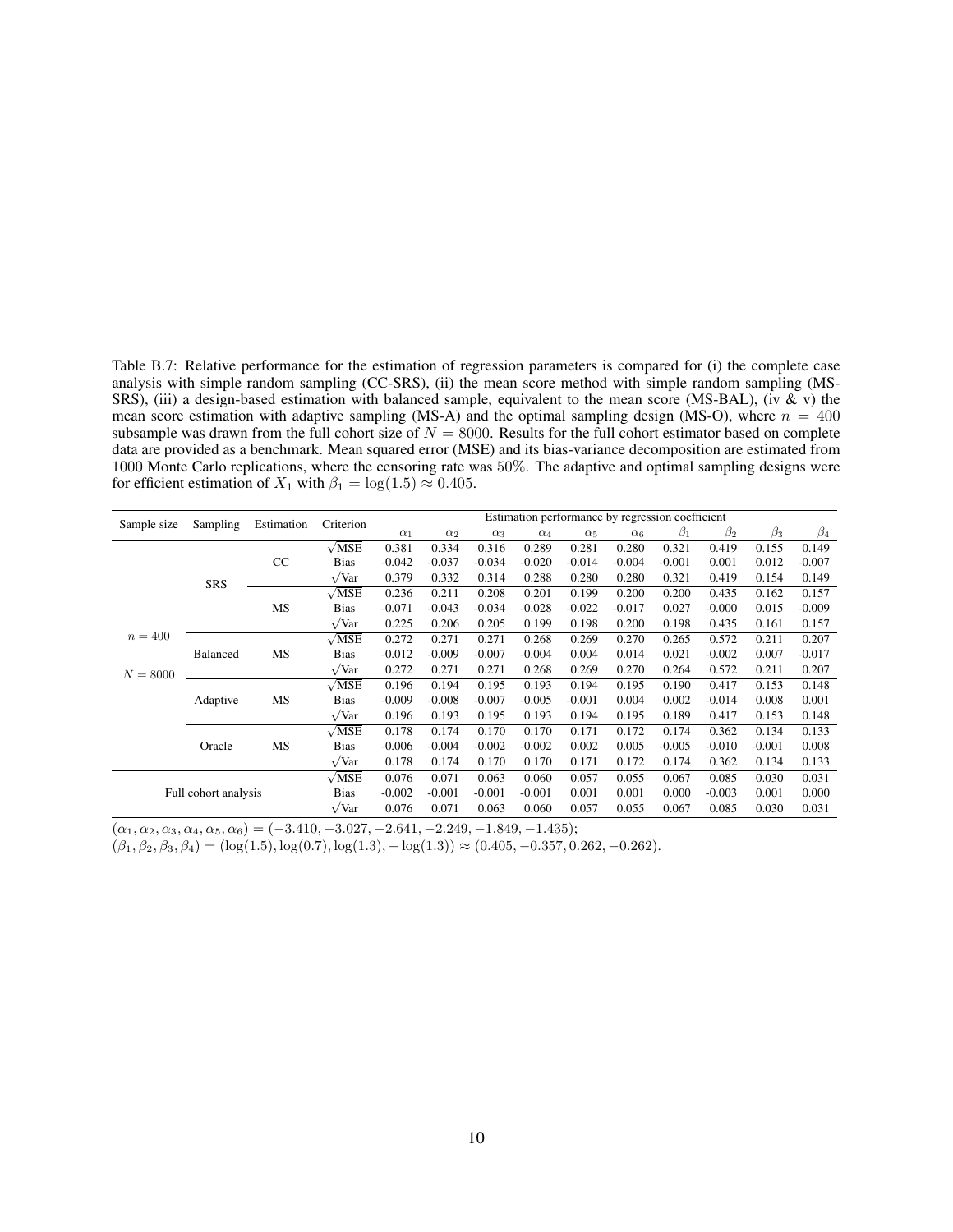<span id="page-31-0"></span>Table B.7: Relative performance for the estimation of regression parameters is compared for (i) the complete case analysis with simple random sampling (CC-SRS), (ii) the mean score method with simple random sampling (MS-SRS), (iii) a design-based estimation with balanced sample, equivalent to the mean score (MS-BAL), (iv & v) the mean score estimation with adaptive sampling (MS-A) and the optimal sampling design (MS-O), where  $n = 400$ subsample was drawn from the full cohort size of  $N = 8000$ . Results for the full cohort estimator based on complete data are provided as a benchmark. Mean squared error (MSE) and its bias-variance decomposition are estimated from 1000 Monte Carlo replications, where the censoring rate was 50%. The adaptive and optimal sampling designs were for efficient estimation of  $X_1$  with  $\beta_1 = \log(1.5) \approx 0.405$ .

| Sample size          | Sampling                    | Estimation | Criterion           |                                                                                                                                        |            |            |            | Estimation performance by regression coefficient |            |           |           |           |           |
|----------------------|-----------------------------|------------|---------------------|----------------------------------------------------------------------------------------------------------------------------------------|------------|------------|------------|--------------------------------------------------|------------|-----------|-----------|-----------|-----------|
|                      |                             |            |                     | $\alpha_1$                                                                                                                             | $\alpha_2$ | $\alpha_3$ | $\alpha_4$ | $\alpha_5$                                       | $\alpha_6$ | $\beta_1$ | $\beta_2$ | $\beta_3$ | $\beta_4$ |
|                      |                             |            | $\sqrt{MSE}$        | 0.381                                                                                                                                  | 0.334      | 0.316      | 0.289      | 0.281                                            | 0.280      | 0.321     | 0.419     | 0.155     | 0.149     |
|                      |                             | CC         | <b>Bias</b>         | $-0.042$                                                                                                                               | $-0.037$   | $-0.034$   | $-0.020$   | $-0.014$                                         | $-0.004$   | $-0.001$  | 0.001     | 0.012     | $-0.007$  |
|                      | <b>SRS</b>                  |            | $\sqrt{Var}$        | 0.379                                                                                                                                  | 0.332      | 0.314      | 0.288      | 0.280                                            | 0.280      | 0.321     | 0.419     | 0.154     | 0.149     |
|                      |                             |            | $\sqrt{MSE}$        | 0.236                                                                                                                                  | 0.211      | 0.208      | 0.201      | 0.199                                            | 0.200      | 0.200     | 0.435     | 0.162     | 0.157     |
|                      |                             | MS         | <b>Bias</b>         | $-0.071$                                                                                                                               | $-0.043$   | $-0.034$   | $-0.028$   | $-0.022$                                         | $-0.017$   | 0.027     | $-0.000$  | 0.015     | $-0.009$  |
|                      |                             |            | $\sqrt{\text{Var}}$ | 0.225                                                                                                                                  | 0.206      | 0.205      | 0.199      | 0.198                                            | 0.200      | 0.198     | 0.435     | 0.161     | 0.157     |
| $n = 400$            |                             |            | $\sqrt{MSE}$        | 0.272                                                                                                                                  | 0.271      | 0.271      | 0.268      | 0.269                                            | 0.270      | 0.265     | 0.572     | 0.211     | 0.207     |
|                      | <b>Balanced</b><br>Adaptive | MS         | <b>Bias</b>         | $-0.012$                                                                                                                               | $-0.009$   | $-0.007$   | $-0.004$   | 0.004                                            | 0.014      | 0.021     | $-0.002$  | 0.007     | $-0.017$  |
| $N = 8000$           |                             |            | $\sqrt{Var}$        | 0.272                                                                                                                                  | 0.271      | 0.271      | 0.268      | 0.269                                            | 0.270      | 0.264     | 0.572     | 0.211     | 0.207     |
|                      |                             |            | $\sqrt{MSE}$        | 0.196                                                                                                                                  | 0.194      | 0.195      | 0.193      | 0.194                                            | 0.195      | 0.190     | 0.417     | 0.153     | 0.148     |
|                      |                             | MS<br>MS   | <b>Bias</b>         | $-0.009$                                                                                                                               | $-0.008$   | $-0.007$   | $-0.005$   | $-0.001$                                         | 0.004      | 0.002     | $-0.014$  | 0.008     | 0.001     |
|                      |                             |            | $\sqrt{Var}$        | 0.196                                                                                                                                  | 0.193      | 0.195      | 0.193      | 0.194                                            | 0.195      | 0.189     | 0.417     | 0.153     | 0.148     |
|                      |                             |            | $\sqrt{MSE}$        | 0.178                                                                                                                                  | 0.174      | 0.170      | 0.170      | 0.171                                            | 0.172      | 0.174     | 0.362     | 0.134     | 0.133     |
|                      | Oracle                      |            | <b>Bias</b>         | $-0.006$                                                                                                                               | $-0.004$   | $-0.002$   | $-0.002$   | 0.002                                            | 0.005      | $-0.005$  | $-0.010$  | $-0.001$  | 0.008     |
|                      |                             |            | $\sqrt{Var}$        | 0.178                                                                                                                                  | 0.174      | 0.170      | 0.170      | 0.171                                            | 0.172      | 0.174     | 0.362     | 0.134     | 0.133     |
| Full cohort analysis |                             |            | $\sqrt{\text{MSE}}$ | 0.076                                                                                                                                  | 0.071      | 0.063      | 0.060      | 0.057                                            | 0.055      | 0.067     | 0.085     | 0.030     | 0.031     |
|                      |                             |            | <b>Bias</b>         | $-0.002$<br>$-0.001$<br>$-0.001$<br>$-0.001$<br>0.001<br>0.001<br>0.000<br>0.076<br>0.071<br>0.060<br>0.055<br>0.063<br>0.057<br>0.067 | $-0.003$   | 0.001      | 0.000      |                                                  |            |           |           |           |           |
|                      |                             |            | $\sqrt{Var}$        |                                                                                                                                        |            |            |            |                                                  |            |           | 0.085     | 0.030     | 0.031     |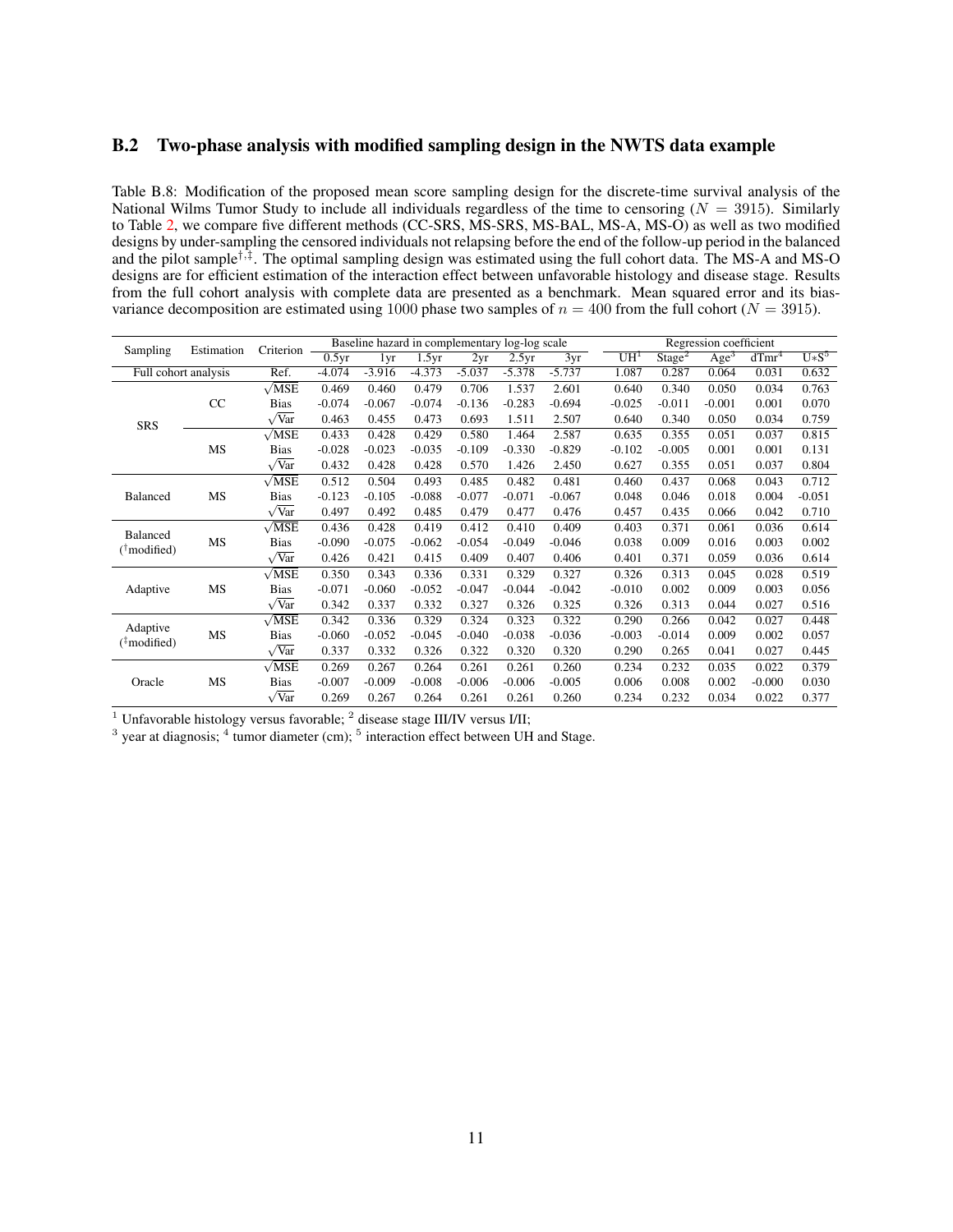#### B.2 Two-phase analysis with modified sampling design in the NWTS data example

<span id="page-32-0"></span>Table B.8: Modification of the proposed mean score sampling design for the discrete-time survival analysis of the National Wilms Tumor Study to include all individuals regardless of the time to censoring  $(N = 3915)$ . Similarly to Table [2,](#page-15-1) we compare five different methods (CC-SRS, MS-SRS, MS-BAL, MS-A, MS-O) as well as two modified designs by under-sampling the censored individuals not relapsing before the end of the follow-up period in the balanced and the pilot sample†,‡ . The optimal sampling design was estimated using the full cohort data. The MS-A and MS-O designs are for efficient estimation of the interaction effect between unfavorable histology and disease stage. Results from the full cohort analysis with complete data are presented as a benchmark. Mean squared error and its biasvariance decomposition are estimated using 1000 phase two samples of  $n = 400$  from the full cohort ( $N = 3915$ ).

| Estimation<br>Sampling               |                      | Criterion -         |          | Baseline hazard in complementary log-log scale |          |          |          |          |                 |                    | Regression coefficient |          |          |
|--------------------------------------|----------------------|---------------------|----------|------------------------------------------------|----------|----------|----------|----------|-----------------|--------------------|------------------------|----------|----------|
|                                      |                      |                     | 0.5yr    | 1yr                                            | 1.5yr    | 2yr      | 2.5yr    | 3yr      | UH <sup>1</sup> | Stage <sup>2</sup> | Age <sup>3</sup>       | $dTmr^4$ | $U*S^5$  |
|                                      | Full cohort analysis | Ref.                | $-4.074$ | $-3.916$                                       | $-4.373$ | $-5.037$ | $-5.378$ | $-5.737$ | 1.087           | 0.287              | 0.064                  | 0.031    | 0.632    |
|                                      |                      | $\sqrt{\text{MSE}}$ | 0.469    | 0.460                                          | 0.479    | 0.706    | 1.537    | 2.601    | 0.640           | 0.340              | 0.050                  | 0.034    | 0.763    |
|                                      | CC                   | <b>Bias</b>         | $-0.074$ | $-0.067$                                       | $-0.074$ | $-0.136$ | $-0.283$ | $-0.694$ | $-0.025$        | $-0.011$           | $-0.001$               | 0.001    | 0.070    |
| <b>SRS</b>                           |                      | $\sqrt{Var}$        | 0.463    | 0.455                                          | 0.473    | 0.693    | 1.511    | 2.507    | 0.640           | 0.340              | 0.050                  | 0.034    | 0.759    |
|                                      |                      | $\sqrt{\text{MSE}}$ | 0.433    | 0.428                                          | 0.429    | 0.580    | 1.464    | 2.587    | 0.635           | 0.355              | 0.051                  | 0.037    | 0.815    |
|                                      | MS                   | <b>Bias</b>         | $-0.028$ | $-0.023$                                       | $-0.035$ | $-0.109$ | $-0.330$ | $-0.829$ | $-0.102$        | $-0.005$           | 0.001                  | 0.001    | 0.131    |
|                                      |                      | $\sqrt{Var}$        | 0.432    | 0.428                                          | 0.428    | 0.570    | 1.426    | 2.450    | 0.627           | 0.355              | 0.051                  | 0.037    | 0.804    |
|                                      |                      | $\sqrt{\text{MSE}}$ | 0.512    | 0.504                                          | 0.493    | 0.485    | 0.482    | 0.481    | 0.460           | 0.437              | 0.068                  | 0.043    | 0.712    |
| <b>Balanced</b>                      | MS                   | <b>Bias</b>         | $-0.123$ | $-0.105$                                       | $-0.088$ | $-0.077$ | $-0.071$ | $-0.067$ | 0.048           | 0.046              | 0.018                  | 0.004    | $-0.051$ |
|                                      |                      | $\sqrt{Var}$        | 0.497    | 0.492                                          | 0.485    | 0.479    | 0.477    | 0.476    | 0.457           | 0.435              | 0.066                  | 0.042    | 0.710    |
| Balanced                             |                      | $\sqrt{\text{MSE}}$ | 0.436    | 0.428                                          | 0.419    | 0.412    | 0.410    | 0.409    | 0.403           | 0.371              | 0.061                  | 0.036    | 0.614    |
| $(^{\dagger}$ modified)              | MS                   | <b>Bias</b>         | $-0.090$ | $-0.075$                                       | $-0.062$ | $-0.054$ | $-0.049$ | $-0.046$ | 0.038           | 0.009              | 0.016                  | 0.003    | 0.002    |
|                                      |                      | $\sqrt{Var}$        | 0.426    | 0.421                                          | 0.415    | 0.409    | 0.407    | 0.406    | 0.401           | 0.371              | 0.059                  | 0.036    | 0.614    |
|                                      |                      | $\sqrt{\text{MSE}}$ | 0.350    | 0.343                                          | 0.336    | 0.331    | 0.329    | 0.327    | 0.326           | 0.313              | 0.045                  | 0.028    | 0.519    |
| Adaptive                             | MS                   | <b>Bias</b>         | $-0.071$ | $-0.060$                                       | $-0.052$ | $-0.047$ | $-0.044$ | $-0.042$ | $-0.010$        | 0.002              | 0.009                  | 0.003    | 0.056    |
|                                      |                      | $\sqrt{Var}$        | 0.342    | 0.337                                          | 0.332    | 0.327    | 0.326    | 0.325    | 0.326           | 0.313              | 0.044                  | 0.027    | 0.516    |
|                                      |                      | $\sqrt{\text{MSE}}$ | 0.342    | 0.336                                          | 0.329    | 0.324    | 0.323    | 0.322    | 0.290           | 0.266              | 0.042                  | 0.027    | 0.448    |
| Adaptive<br>$(^{\ddagger}$ modified) | MS                   | <b>Bias</b>         | $-0.060$ | $-0.052$                                       | $-0.045$ | $-0.040$ | $-0.038$ | $-0.036$ | $-0.003$        | $-0.014$           | 0.009                  | 0.002    | 0.057    |
|                                      |                      | $\sqrt{Var}$        | 0.337    | 0.332                                          | 0.326    | 0.322    | 0.320    | 0.320    | 0.290           | 0.265              | 0.041                  | 0.027    | 0.445    |
|                                      |                      | $\sqrt{\text{MSE}}$ | 0.269    | 0.267                                          | 0.264    | 0.261    | 0.261    | 0.260    | 0.234           | 0.232              | 0.035                  | 0.022    | 0.379    |
| Oracle                               | MS                   | <b>Bias</b>         | $-0.007$ | $-0.009$                                       | $-0.008$ | $-0.006$ | $-0.006$ | $-0.005$ | 0.006           | 0.008              | 0.002                  | $-0.000$ | 0.030    |
|                                      |                      | $\sqrt{Var}$        | 0.269    | 0.267                                          | 0.264    | 0.261    | 0.261    | 0.260    | 0.234           | 0.232              | 0.034                  | 0.022    | 0.377    |

 $1$  Unfavorable histology versus favorable;  $2$  disease stage III/IV versus I/II;

 $3$  year at diagnosis;  $4$  tumor diameter (cm);  $5$  interaction effect between UH and Stage.